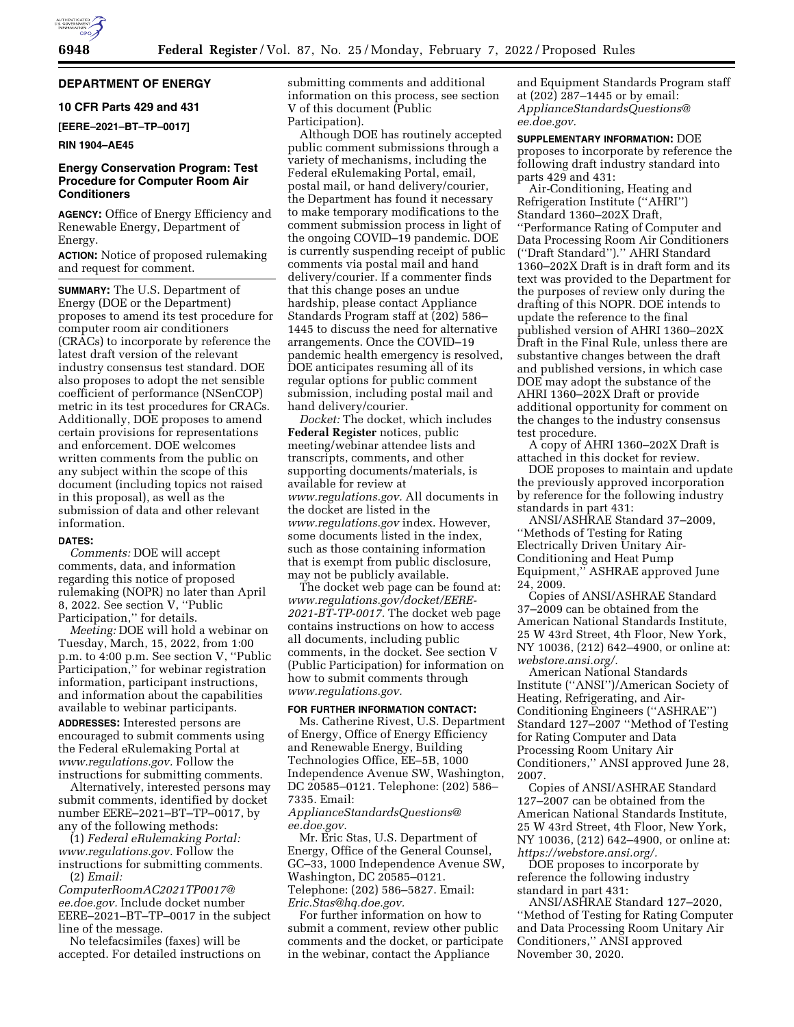# **DEPARTMENT OF ENERGY**

### **10 CFR Parts 429 and 431**

**[EERE–2021–BT–TP–0017]** 

#### **RIN 1904–AE45**

## **Energy Conservation Program: Test Procedure for Computer Room Air Conditioners**

**AGENCY:** Office of Energy Efficiency and Renewable Energy, Department of Energy.

**ACTION:** Notice of proposed rulemaking and request for comment.

**SUMMARY:** The U.S. Department of Energy (DOE or the Department) proposes to amend its test procedure for computer room air conditioners (CRACs) to incorporate by reference the latest draft version of the relevant industry consensus test standard. DOE also proposes to adopt the net sensible coefficient of performance (NSenCOP) metric in its test procedures for CRACs. Additionally, DOE proposes to amend certain provisions for representations and enforcement. DOE welcomes written comments from the public on any subject within the scope of this document (including topics not raised in this proposal), as well as the submission of data and other relevant information.

#### **DATES:**

*Comments:* DOE will accept comments, data, and information regarding this notice of proposed rulemaking (NOPR) no later than April 8, 2022. See section V, ''Public Participation,'' for details.

*Meeting:* DOE will hold a webinar on Tuesday, March, 15, 2022, from 1:00 p.m. to 4:00 p.m. See section V, ''Public Participation,'' for webinar registration information, participant instructions, and information about the capabilities available to webinar participants. **ADDRESSES:** Interested persons are encouraged to submit comments using the Federal eRulemaking Portal at *[www.regulations.gov.](http://www.regulations.gov)* Follow the instructions for submitting comments.

Alternatively, interested persons may submit comments, identified by docket number EERE–2021–BT–TP–0017, by any of the following methods:

(1) *Federal eRulemaking Portal: [www.regulations.gov.](http://www.regulations.gov)* Follow the instructions for submitting comments. (2) *Email:* 

*[ComputerRoomAC2021TP0017@](mailto:ComputerRoomAC2021TP0017@ee.doe.gov) [ee.doe.gov.](mailto:ComputerRoomAC2021TP0017@ee.doe.gov)* Include docket number EERE–2021–BT–TP–0017 in the subject line of the message.

No telefacsimiles (faxes) will be accepted. For detailed instructions on submitting comments and additional information on this process, see section V of this document (Public Participation).

Although DOE has routinely accepted public comment submissions through a variety of mechanisms, including the Federal eRulemaking Portal, email, postal mail, or hand delivery/courier, the Department has found it necessary to make temporary modifications to the comment submission process in light of the ongoing COVID–19 pandemic. DOE is currently suspending receipt of public comments via postal mail and hand delivery/courier. If a commenter finds that this change poses an undue hardship, please contact Appliance Standards Program staff at (202) 586– 1445 to discuss the need for alternative arrangements. Once the COVID–19 pandemic health emergency is resolved, DOE anticipates resuming all of its regular options for public comment submission, including postal mail and hand delivery/courier.

*Docket:* The docket, which includes **Federal Register** notices, public meeting/webinar attendee lists and transcripts, comments, and other supporting documents/materials, is available for review at *[www.regulations.gov.](http://www.regulations.gov)* All documents in the docket are listed in the *[www.regulations.gov](http://www.regulations.gov)* index. However, some documents listed in the index, such as those containing information that is exempt from public disclosure, may not be publicly available.

The docket web page can be found at: *[www.regulations.gov/docket/EERE-](http://www.regulations.gov/docket/EERE-2021-BT-TP-0017)[2021-BT-TP-0017.](http://www.regulations.gov/docket/EERE-2021-BT-TP-0017)* The docket web page contains instructions on how to access all documents, including public comments, in the docket. See section V (Public Participation) for information on how to submit comments through *[www.regulations.gov.](http://www.regulations.gov)* 

#### **FOR FURTHER INFORMATION CONTACT:**

Ms. Catherine Rivest, U.S. Department of Energy, Office of Energy Efficiency and Renewable Energy, Building Technologies Office, EE–5B, 1000 Independence Avenue SW, Washington, DC 20585–0121. Telephone: (202) 586– 7335. Email:

*[ApplianceStandardsQuestions@](mailto:ApplianceStandardsQuestions@ee.doe.gov) [ee.doe.gov.](mailto:ApplianceStandardsQuestions@ee.doe.gov)* 

Mr. Eric Stas, U.S. Department of Energy, Office of the General Counsel, GC–33, 1000 Independence Avenue SW, Washington, DC 20585–0121. Telephone: (202) 586–5827. Email: *[Eric.Stas@hq.doe.gov.](mailto:Eric.Stas@hq.doe.gov)* 

For further information on how to submit a comment, review other public comments and the docket, or participate in the webinar, contact the Appliance

and Equipment Standards Program staff at (202) 287–1445 or by email: *[ApplianceStandardsQuestions@](mailto:ApplianceStandardsQuestions@ee.doe.gov) [ee.doe.gov.](mailto:ApplianceStandardsQuestions@ee.doe.gov)* 

**SUPPLEMENTARY INFORMATION:** DOE proposes to incorporate by reference the following draft industry standard into parts 429 and 431:

Air-Conditioning, Heating and Refrigeration Institute (''AHRI'') Standard 1360–202X Draft, ''Performance Rating of Computer and Data Processing Room Air Conditioners (''Draft Standard'').'' AHRI Standard 1360–202X Draft is in draft form and its text was provided to the Department for the purposes of review only during the drafting of this NOPR. DOE intends to update the reference to the final published version of AHRI 1360–202X Draft in the Final Rule, unless there are substantive changes between the draft and published versions, in which case DOE may adopt the substance of the AHRI 1360–202X Draft or provide additional opportunity for comment on the changes to the industry consensus test procedure.

A copy of AHRI 1360–202X Draft is attached in this docket for review.

DOE proposes to maintain and update the previously approved incorporation by reference for the following industry standards in part 431:

ANSI/ASHRAE Standard 37–2009, ''Methods of Testing for Rating Electrically Driven Unitary Air-Conditioning and Heat Pump Equipment,'' ASHRAE approved June 24, 2009.

Copies of ANSI/ASHRAE Standard 37–2009 can be obtained from the American National Standards Institute, 25 W 43rd Street, 4th Floor, New York, NY 10036, (212) 642–4900, or online at: *webstore.ansi.org/.* 

American National Standards Institute (''ANSI'')/American Society of Heating, Refrigerating, and Air-Conditioning Engineers (''ASHRAE'') Standard 127–2007 ''Method of Testing for Rating Computer and Data Processing Room Unitary Air Conditioners,'' ANSI approved June 28, 2007.

Copies of ANSI/ASHRAE Standard 127–2007 can be obtained from the American National Standards Institute, 25 W 43rd Street, 4th Floor, New York, NY 10036, (212) 642–4900, or online at: *[https://webstore.ansi.org/.](https://webstore.ansi.org/)* 

DOE proposes to incorporate by reference the following industry standard in part 431:

ANSI/ASHRAE Standard 127–2020, ''Method of Testing for Rating Computer and Data Processing Room Unitary Air Conditioners,'' ANSI approved November 30, 2020.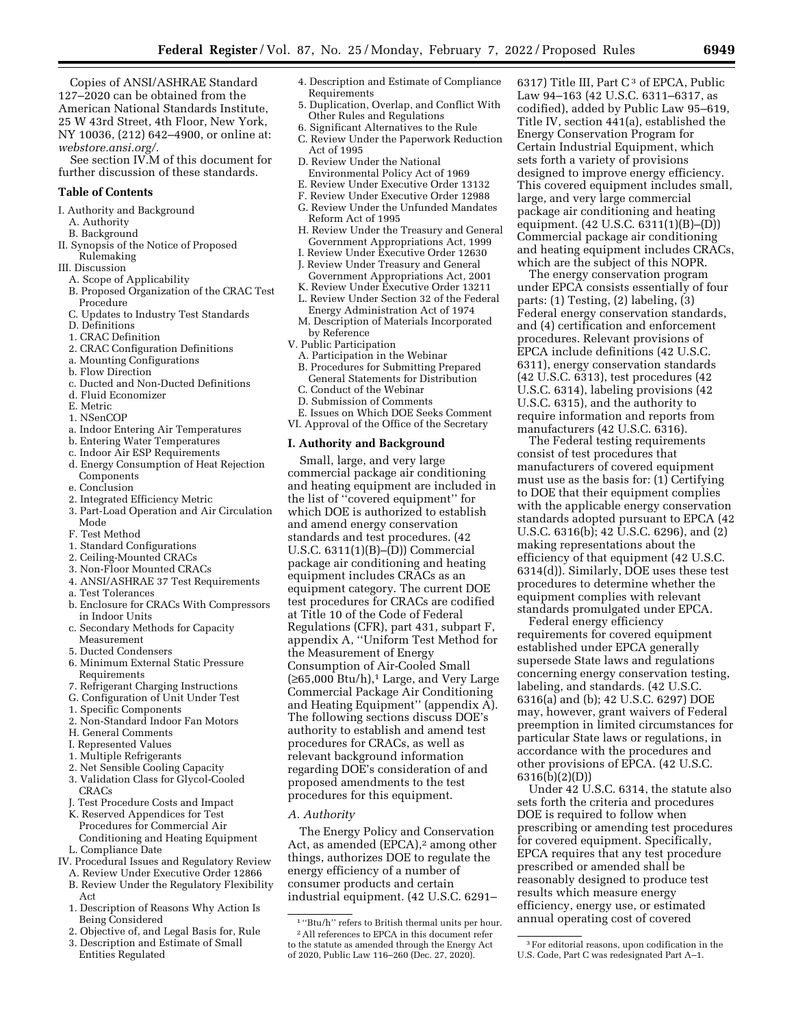Copies of ANSI/ASHRAE Standard 127–2020 can be obtained from the American National Standards Institute, 25 W 43rd Street, 4th Floor, New York, NY 10036, (212) 642–4900, or online at: *webstore.ansi.org/.* 

See section IV.M of this document for further discussion of these standards.

#### **Table of Contents**

I. Authority and Background

- A. Authority
- B. Background
- II. Synopsis of the Notice of Proposed Rulemaking

#### III. Discussion

- A. Scope of Applicability
- B. Proposed Organization of the CRAC Test Procedure
- C. Updates to Industry Test Standards
- D. Definitions
- 1. CRAC Definition
- 2. CRAC Configuration Definitions
- a. Mounting Configurations
- b. Flow Direction
- c. Ducted and Non-Ducted Definitions
- d. Fluid Economizer
- E. Metric
- 1. NSenCOP
- a. Indoor Entering Air Temperatures
- b. Entering Water Temperatures
- c. Indoor Air ESP Requirements
- d. Energy Consumption of Heat Rejection
- Components
- e. Conclusion
- 2. Integrated Efficiency Metric
- 3. Part-Load Operation and Air Circulation Mode
- F. Test Method
- 1. Standard Configurations
- 2. Ceiling-Mounted CRACs
- 3. Non-Floor Mounted CRACs
- 4. ANSI/ASHRAE 37 Test Requirements
- a. Test Tolerances
- b. Enclosure for CRACs With Compressors in Indoor Units
- c. Secondary Methods for Capacity Measurement
- 5. Ducted Condensers
- 6. Minimum External Static Pressure Requirements
- 7. Refrigerant Charging Instructions
- G. Configuration of Unit Under Test
- 1. Specific Components
- 2. Non-Standard Indoor Fan Motors
- H. General Comments
- I. Represented Values
- 1. Multiple Refrigerants
- 2. Net Sensible Cooling Capacity
- 3. Validation Class for Glycol-Cooled CRACs
- Test Procedure Costs and Impact
- K. Reserved Appendices for Test Procedures for Commercial Air Conditioning and Heating Equipment
- L. Compliance Date
- IV. Procedural Issues and Regulatory Review
- A. Review Under Executive Order 12866 B. Review Under the Regulatory Flexibility
- Act 1. Description of Reasons Why Action Is
- Being Considered 2. Objective of, and Legal Basis for, Rule
- 
- 3. Description and Estimate of Small Entities Regulated
- 4. Description and Estimate of Compliance Requirements
- 5. Duplication, Overlap, and Conflict With Other Rules and Regulations
- 6. Significant Alternatives to the Rule
- C. Review Under the Paperwork Reduction Act of 1995
- D. Review Under the National
- Environmental Policy Act of 1969
- E. Review Under Executive Order 13132
- F. Review Under Executive Order 12988
- G. Review Under the Unfunded Mandates Reform Act of 1995
- H. Review Under the Treasury and General Government Appropriations Act, 1999
- I. Review Under Executive Order 12630 J. Review Under Treasury and General
- Government Appropriations Act, 2001
- K. Review Under Executive Order 13211 L. Review Under Section 32 of the Federal Energy Administration Act of 1974
- M. Description of Materials Incorporated by Reference
- V. Public Participation
	- A. Participation in the Webinar
	- B. Procedures for Submitting Prepared General Statements for Distribution
	- C. Conduct of the Webinar
	- D. Submission of Comments
- E. Issues on Which DOE Seeks Comment VI. Approval of the Office of the Secretary

# **I. Authority and Background**

Small, large, and very large commercial package air conditioning and heating equipment are included in the list of ''covered equipment'' for which DOE is authorized to establish and amend energy conservation standards and test procedures. (42 U.S.C. 6311(1)(B)–(D)) Commercial package air conditioning and heating equipment includes CRACs as an equipment category. The current DOE test procedures for CRACs are codified at Title 10 of the Code of Federal Regulations (CFR), part 431, subpart F, appendix A, ''Uniform Test Method for the Measurement of Energy Consumption of Air-Cooled Small (≥65,000 Btu/h),1 Large, and Very Large Commercial Package Air Conditioning and Heating Equipment'' (appendix A). The following sections discuss DOE's authority to establish and amend test procedures for CRACs, as well as relevant background information regarding DOE's consideration of and proposed amendments to the test procedures for this equipment.

#### *A. Authority*

The Energy Policy and Conservation Act, as amended (EPCA),<sup>2</sup> among other things, authorizes DOE to regulate the energy efficiency of a number of consumer products and certain industrial equipment. (42 U.S.C. 6291–

6317) Title III, Part  $C^3$  of EPCA, Public Law 94–163 (42 U.S.C. 6311–6317, as codified), added by Public Law 95–619, Title IV, section 441(a), established the Energy Conservation Program for Certain Industrial Equipment, which sets forth a variety of provisions designed to improve energy efficiency. This covered equipment includes small, large, and very large commercial package air conditioning and heating equipment. (42 U.S.C. 6311(1)(B)–(D)) Commercial package air conditioning and heating equipment includes CRACs, which are the subject of this NOPR.

The energy conservation program under EPCA consists essentially of four parts: (1) Testing, (2) labeling, (3) Federal energy conservation standards, and (4) certification and enforcement procedures. Relevant provisions of EPCA include definitions (42 U.S.C. 6311), energy conservation standards (42 U.S.C. 6313), test procedures (42 U.S.C. 6314), labeling provisions (42 U.S.C. 6315), and the authority to require information and reports from manufacturers (42 U.S.C. 6316).

The Federal testing requirements consist of test procedures that manufacturers of covered equipment must use as the basis for: (1) Certifying to DOE that their equipment complies with the applicable energy conservation standards adopted pursuant to EPCA (42 U.S.C. 6316(b); 42 U.S.C. 6296), and (2) making representations about the efficiency of that equipment (42 U.S.C. 6314(d)). Similarly, DOE uses these test procedures to determine whether the equipment complies with relevant standards promulgated under EPCA.

Federal energy efficiency requirements for covered equipment established under EPCA generally supersede State laws and regulations concerning energy conservation testing, labeling, and standards. (42 U.S.C. 6316(a) and (b); 42 U.S.C. 6297) DOE may, however, grant waivers of Federal preemption in limited circumstances for particular State laws or regulations, in accordance with the procedures and other provisions of EPCA. (42 U.S.C. 6316(b)(2)(D))

Under 42 U.S.C. 6314, the statute also sets forth the criteria and procedures DOE is required to follow when prescribing or amending test procedures for covered equipment. Specifically, EPCA requires that any test procedure prescribed or amended shall be reasonably designed to produce test results which measure energy efficiency, energy use, or estimated annual operating cost of covered

 $^{\rm 1}$  ''Btu/h'' refers to British thermal units per hour. 2All references to EPCA in this document refer to the statute as amended through the Energy Act of 2020, Public Law 116–260 (Dec. 27, 2020).

<sup>3</sup>For editorial reasons, upon codification in the U.S. Code, Part C was redesignated Part A–1.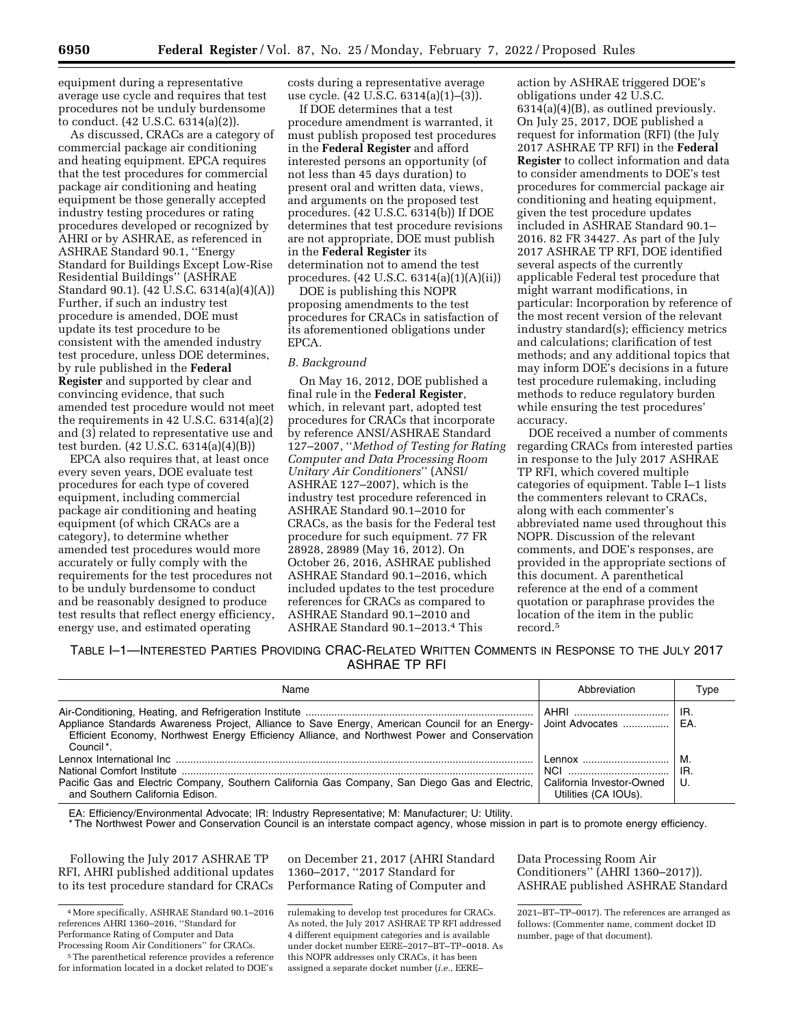equipment during a representative average use cycle and requires that test procedures not be unduly burdensome to conduct. (42 U.S.C. 6314(a)(2)).

As discussed, CRACs are a category of commercial package air conditioning and heating equipment. EPCA requires that the test procedures for commercial package air conditioning and heating equipment be those generally accepted industry testing procedures or rating procedures developed or recognized by AHRI or by ASHRAE, as referenced in ASHRAE Standard 90.1, ''Energy Standard for Buildings Except Low-Rise Residential Buildings'' (ASHRAE Standard 90.1). (42 U.S.C. 6314(a)(4)(A)) Further, if such an industry test procedure is amended, DOE must update its test procedure to be consistent with the amended industry test procedure, unless DOE determines, by rule published in the **Federal Register** and supported by clear and convincing evidence, that such amended test procedure would not meet the requirements in 42 U.S.C. 6314(a)(2) and (3) related to representative use and test burden. (42 U.S.C. 6314(a)(4)(B))

EPCA also requires that, at least once every seven years, DOE evaluate test procedures for each type of covered equipment, including commercial package air conditioning and heating equipment (of which CRACs are a category), to determine whether amended test procedures would more accurately or fully comply with the requirements for the test procedures not to be unduly burdensome to conduct and be reasonably designed to produce test results that reflect energy efficiency, energy use, and estimated operating

costs during a representative average use cycle. (42 U.S.C. 6314(a)(1)–(3)).

If DOE determines that a test procedure amendment is warranted, it must publish proposed test procedures in the **Federal Register** and afford interested persons an opportunity (of not less than 45 days duration) to present oral and written data, views, and arguments on the proposed test procedures. (42 U.S.C. 6314(b)) If DOE determines that test procedure revisions are not appropriate, DOE must publish in the **Federal Register** its determination not to amend the test procedures. (42 U.S.C. 6314(a)(1)(A)(ii))

DOE is publishing this NOPR proposing amendments to the test procedures for CRACs in satisfaction of its aforementioned obligations under EPCA.

### *B. Background*

On May 16, 2012, DOE published a final rule in the **Federal Register**, which, in relevant part, adopted test procedures for CRACs that incorporate by reference ANSI/ASHRAE Standard 127–2007, ''*Method of Testing for Rating Computer and Data Processing Room Unitary Air Conditioners*'' (ANSI/ ASHRAE 127–2007), which is the industry test procedure referenced in ASHRAE Standard 90.1–2010 for CRACs, as the basis for the Federal test procedure for such equipment. 77 FR 28928, 28989 (May 16, 2012). On October 26, 2016, ASHRAE published ASHRAE Standard 90.1–2016, which included updates to the test procedure references for CRACs as compared to ASHRAE Standard 90.1–2010 and ASHRAE Standard 90.1–2013.4 This

action by ASHRAE triggered DOE's obligations under 42 U.S.C.  $6314(a)(4)(B)$ , as outlined previously. On July 25, 2017, DOE published a request for information (RFI) (the July 2017 ASHRAE TP RFI) in the **Federal Register** to collect information and data to consider amendments to DOE's test procedures for commercial package air conditioning and heating equipment, given the test procedure updates included in ASHRAE Standard 90.1– 2016. 82 FR 34427. As part of the July 2017 ASHRAE TP RFI, DOE identified several aspects of the currently applicable Federal test procedure that might warrant modifications, in particular: Incorporation by reference of the most recent version of the relevant industry standard(s); efficiency metrics and calculations; clarification of test methods; and any additional topics that may inform DOE's decisions in a future test procedure rulemaking, including methods to reduce regulatory burden while ensuring the test procedures' accuracy.

DOE received a number of comments regarding CRACs from interested parties in response to the July 2017 ASHRAE TP RFI, which covered multiple categories of equipment. Table I–1 lists the commenters relevant to CRACs, along with each commenter's abbreviated name used throughout this NOPR. Discussion of the relevant comments, and DOE's responses, are provided in the appropriate sections of this document. A parenthetical reference at the end of a comment quotation or paraphrase provides the location of the item in the public record<sup>5</sup>

TABLE I–1—INTERESTED PARTIES PROVIDING CRAC-RELATED WRITTEN COMMENTS IN RESPONSE TO THE JULY 2017 ASHRAE TP RFI

| Name                                                                                                                                                                                                                     | Abbreviation                                                                                       | Type          |
|--------------------------------------------------------------------------------------------------------------------------------------------------------------------------------------------------------------------------|----------------------------------------------------------------------------------------------------|---------------|
| Appliance Standards Awareness Project, Alliance to Save Energy, American Council for an Energy-<br>Efficient Economy, Northwest Energy Efficiency Alliance, and Northwest Power and Conservation<br>Council <sup>*</sup> | AHRI ……………………………<br>Joint Advocates                                                                | IR.<br>EA.    |
| Pacific Gas and Electric Company, Southern California Gas Company, San Diego Gas and Electric,<br>and Southern California Edison.                                                                                        | $l$ ennox $\ldots$ $\ldots$ $\ldots$ $\ldots$<br>California Investor-Owned<br>Utilities (CA IOUs). | м<br>IR.<br>U |

EA: Efficiency/Environmental Advocate; IR: Industry Representative; M: Manufacturer; U: Utility.

\* The Northwest Power and Conservation Council is an interstate compact agency, whose mission in part is to promote energy efficiency.

Following the July 2017 ASHRAE TP RFI, AHRI published additional updates to its test procedure standard for CRACs

5The parenthetical reference provides a reference

for information located in a docket related to DOE's

on December 21, 2017 (AHRI Standard 1360–2017, ''2017 Standard for Performance Rating of Computer and

Data Processing Room Air Conditioners'' (AHRI 1360–2017)). ASHRAE published ASHRAE Standard

<sup>4</sup>More specifically, ASHRAE Standard 90.1–2016 references AHRI 1360–2016, ''Standard for Performance Rating of Computer and Data Processing Room Air Conditioners'' for CRACs.

rulemaking to develop test procedures for CRACs. As noted, the July 2017 ASHRAE TP RFI addressed 4 different equipment categories and is available under docket number EERE–2017–BT–TP–0018. As this NOPR addresses only CRACs, it has been assigned a separate docket number (*i.e.,* EERE–

<sup>2021–</sup>BT–TP–0017). The references are arranged as follows: (Commenter name, comment docket ID number, page of that document).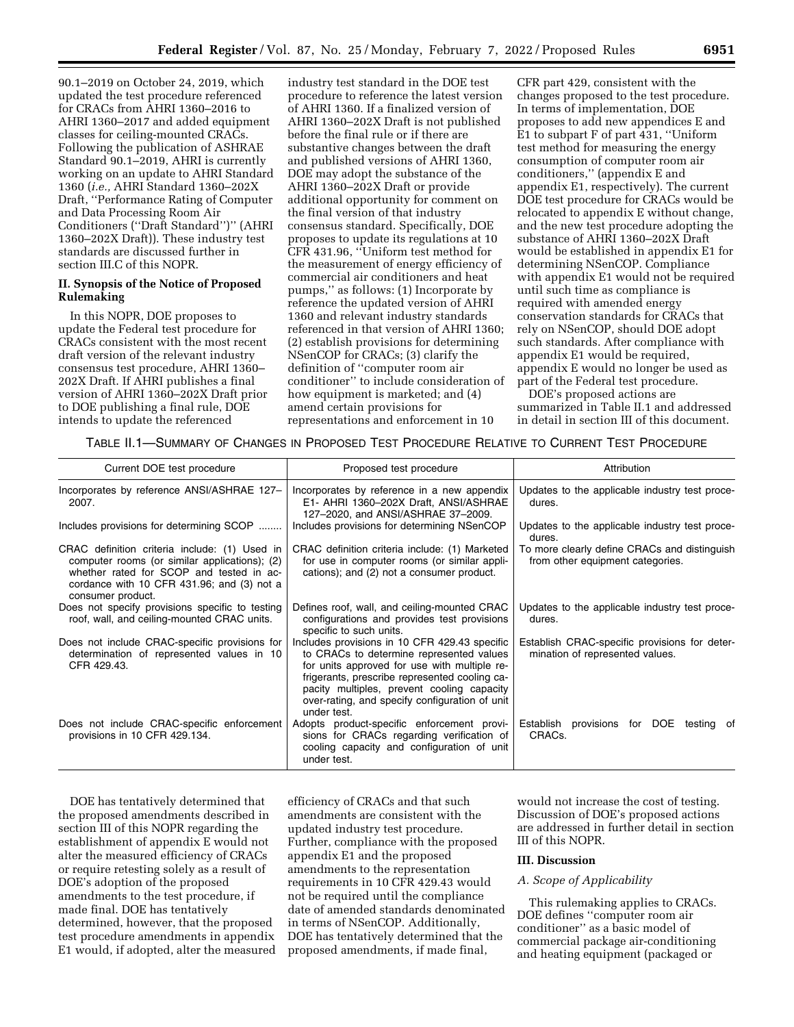90.1–2019 on October 24, 2019, which updated the test procedure referenced for CRACs from AHRI 1360–2016 to AHRI 1360–2017 and added equipment classes for ceiling-mounted CRACs. Following the publication of ASHRAE Standard 90.1–2019, AHRI is currently working on an update to AHRI Standard 1360 (*i.e.,* AHRI Standard 1360–202X Draft, ''Performance Rating of Computer and Data Processing Room Air Conditioners (''Draft Standard'')'' (AHRI 1360–202X Draft)). These industry test standards are discussed further in section III.C of this NOPR.

### **II. Synopsis of the Notice of Proposed Rulemaking**

In this NOPR, DOE proposes to update the Federal test procedure for CRACs consistent with the most recent draft version of the relevant industry consensus test procedure, AHRI 1360– 202X Draft. If AHRI publishes a final version of AHRI 1360–202X Draft prior to DOE publishing a final rule, DOE intends to update the referenced

industry test standard in the DOE test procedure to reference the latest version of AHRI 1360. If a finalized version of AHRI 1360–202X Draft is not published before the final rule or if there are substantive changes between the draft and published versions of AHRI 1360, DOE may adopt the substance of the AHRI 1360–202X Draft or provide additional opportunity for comment on the final version of that industry consensus standard. Specifically, DOE proposes to update its regulations at 10 CFR 431.96, ''Uniform test method for the measurement of energy efficiency of commercial air conditioners and heat pumps,'' as follows: (1) Incorporate by reference the updated version of AHRI 1360 and relevant industry standards referenced in that version of AHRI 1360; (2) establish provisions for determining NSenCOP for CRACs; (3) clarify the definition of ''computer room air conditioner'' to include consideration of how equipment is marketed; and (4) amend certain provisions for representations and enforcement in 10

CFR part 429, consistent with the changes proposed to the test procedure. In terms of implementation, DOE proposes to add new appendices E and E1 to subpart F of part 431, ''Uniform test method for measuring the energy consumption of computer room air conditioners,'' (appendix E and appendix E1, respectively). The current DOE test procedure for CRACs would be relocated to appendix E without change, and the new test procedure adopting the substance of AHRI 1360–202X Draft would be established in appendix E1 for determining NSenCOP. Compliance with appendix E1 would not be required until such time as compliance is required with amended energy conservation standards for CRACs that rely on NSenCOP, should DOE adopt such standards. After compliance with appendix E1 would be required, appendix E would no longer be used as part of the Federal test procedure.

DOE's proposed actions are summarized in Table II.1 and addressed in detail in section III of this document.

### TABLE II.1—SUMMARY OF CHANGES IN PROPOSED TEST PROCEDURE RELATIVE TO CURRENT TEST PROCEDURE

| Current DOE test procedure                                                                                                                                                                                    | Proposed test procedure                                                                                                                                                                                                                                                                                   | Attribution                                                                      |
|---------------------------------------------------------------------------------------------------------------------------------------------------------------------------------------------------------------|-----------------------------------------------------------------------------------------------------------------------------------------------------------------------------------------------------------------------------------------------------------------------------------------------------------|----------------------------------------------------------------------------------|
| Incorporates by reference ANSI/ASHRAE 127-<br>2007.                                                                                                                                                           | Incorporates by reference in a new appendix<br>E1- AHRI 1360-202X Draft, ANSI/ASHRAE<br>127-2020, and ANSI/ASHRAE 37-2009.                                                                                                                                                                                | Updates to the applicable industry test proce-<br>dures.                         |
| Includes provisions for determining SCOP                                                                                                                                                                      | Includes provisions for determining NSenCOP                                                                                                                                                                                                                                                               | Updates to the applicable industry test proce-<br>dures.                         |
| CRAC definition criteria include: (1) Used in<br>computer rooms (or similar applications); (2)<br>whether rated for SCOP and tested in ac-<br>cordance with 10 CFR 431.96; and (3) not a<br>consumer product. | CRAC definition criteria include: (1) Marketed<br>for use in computer rooms (or similar appli-<br>cations); and (2) not a consumer product.                                                                                                                                                               | To more clearly define CRACs and distinguish<br>from other equipment categories. |
| Does not specify provisions specific to testing<br>roof, wall, and ceiling-mounted CRAC units.                                                                                                                | Defines roof, wall, and ceiling-mounted CRAC<br>configurations and provides test provisions<br>specific to such units.                                                                                                                                                                                    | Updates to the applicable industry test proce-<br>dures.                         |
| Does not include CRAC-specific provisions for<br>determination of represented values in 10<br>CFR 429.43.                                                                                                     | Includes provisions in 10 CFR 429.43 specific<br>to CRACs to determine represented values<br>for units approved for use with multiple re-<br>frigerants, prescribe represented cooling ca-<br>pacity multiples, prevent cooling capacity<br>over-rating, and specify configuration of unit<br>under test. | Establish CRAC-specific provisions for deter-<br>mination of represented values. |
| Does not include CRAC-specific enforcement<br>provisions in 10 CFR 429.134.                                                                                                                                   | Adopts product-specific enforcement provi-<br>sions for CRACs regarding verification of<br>cooling capacity and configuration of unit<br>under test.                                                                                                                                                      | Establish<br>provisions for DOE<br>testing of<br>CRAC <sub>s</sub> .             |

DOE has tentatively determined that the proposed amendments described in section III of this NOPR regarding the establishment of appendix E would not alter the measured efficiency of CRACs or require retesting solely as a result of DOE's adoption of the proposed amendments to the test procedure, if made final. DOE has tentatively determined, however, that the proposed test procedure amendments in appendix E1 would, if adopted, alter the measured

efficiency of CRACs and that such amendments are consistent with the updated industry test procedure. Further, compliance with the proposed appendix E1 and the proposed amendments to the representation requirements in 10 CFR 429.43 would not be required until the compliance date of amended standards denominated in terms of NSenCOP. Additionally, DOE has tentatively determined that the proposed amendments, if made final,

would not increase the cost of testing. Discussion of DOE's proposed actions are addressed in further detail in section III of this NOPR.

### **III. Discussion**

### *A. Scope of Applicability*

This rulemaking applies to CRACs. DOE defines ''computer room air conditioner'' as a basic model of commercial package air-conditioning and heating equipment (packaged or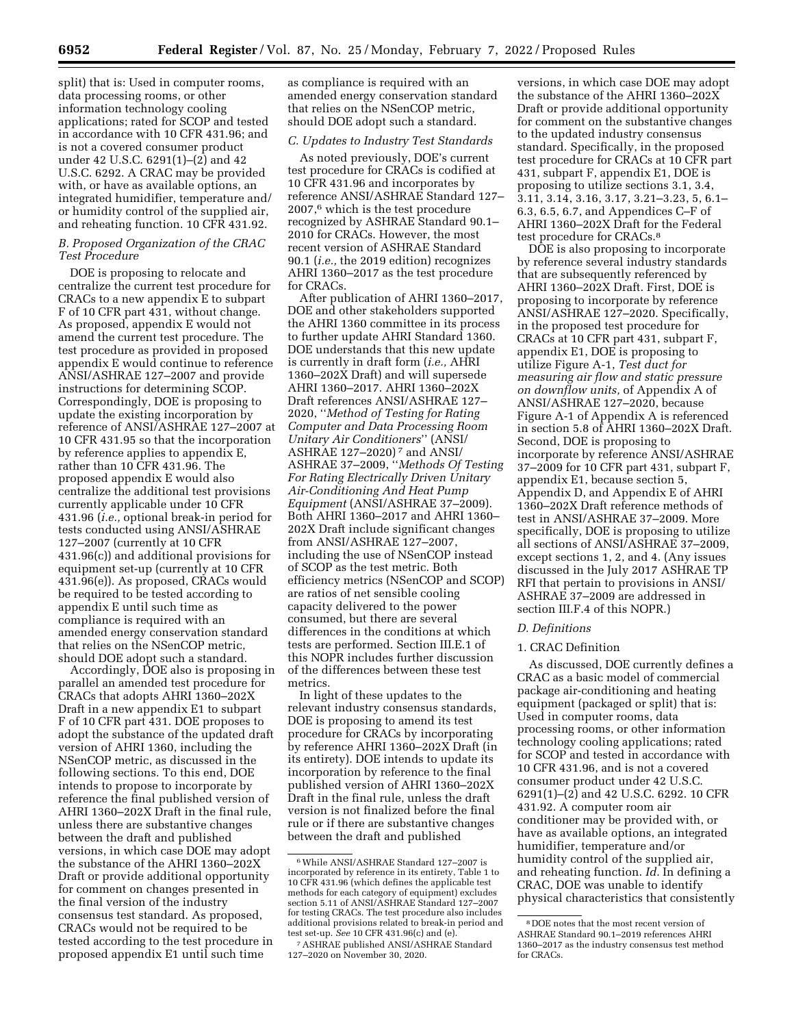split) that is: Used in computer rooms, data processing rooms, or other information technology cooling applications; rated for SCOP and tested in accordance with 10 CFR 431.96; and is not a covered consumer product under 42 U.S.C. 6291(1)–(2) and 42 U.S.C. 6292. A CRAC may be provided with, or have as available options, an integrated humidifier, temperature and/ or humidity control of the supplied air, and reheating function. 10 CFR 431.92.

### *B. Proposed Organization of the CRAC Test Procedure*

DOE is proposing to relocate and centralize the current test procedure for CRACs to a new appendix E to subpart F of 10 CFR part 431, without change. As proposed, appendix E would not amend the current test procedure. The test procedure as provided in proposed appendix E would continue to reference ANSI/ASHRAE 127–2007 and provide instructions for determining SCOP. Correspondingly, DOE is proposing to update the existing incorporation by reference of ANSI/ASHRAE 127–2007 at 10 CFR 431.95 so that the incorporation by reference applies to appendix E, rather than 10 CFR 431.96. The proposed appendix E would also centralize the additional test provisions currently applicable under 10 CFR 431.96 (*i.e.,* optional break-in period for tests conducted using ANSI/ASHRAE 127–2007 (currently at 10 CFR 431.96(c)) and additional provisions for equipment set-up (currently at 10 CFR 431.96(e)). As proposed, CRACs would be required to be tested according to appendix E until such time as compliance is required with an amended energy conservation standard that relies on the NSenCOP metric, should DOE adopt such a standard.

Accordingly, DOE also is proposing in parallel an amended test procedure for CRACs that adopts AHRI 1360–202X Draft in a new appendix E1 to subpart F of 10 CFR part 431. DOE proposes to adopt the substance of the updated draft version of AHRI 1360, including the NSenCOP metric, as discussed in the following sections. To this end, DOE intends to propose to incorporate by reference the final published version of AHRI 1360–202X Draft in the final rule, unless there are substantive changes between the draft and published versions, in which case DOE may adopt the substance of the AHRI 1360–202X Draft or provide additional opportunity for comment on changes presented in the final version of the industry consensus test standard. As proposed, CRACs would not be required to be tested according to the test procedure in proposed appendix E1 until such time

as compliance is required with an amended energy conservation standard that relies on the NSenCOP metric, should DOE adopt such a standard.

### *C. Updates to Industry Test Standards*

As noted previously, DOE's current test procedure for CRACs is codified at 10 CFR 431.96 and incorporates by reference ANSI/ASHRAE Standard 127– 2007,6 which is the test procedure recognized by ASHRAE Standard 90.1– 2010 for CRACs. However, the most recent version of ASHRAE Standard 90.1 (*i.e.,* the 2019 edition) recognizes AHRI 1360–2017 as the test procedure for CRACs.

After publication of AHRI 1360–2017, DOE and other stakeholders supported the AHRI 1360 committee in its process to further update AHRI Standard 1360. DOE understands that this new update is currently in draft form (*i.e.,* AHRI 1360–202X Draft) and will supersede AHRI 1360–2017. AHRI 1360–202X Draft references ANSI/ASHRAE 127– 2020, ''*Method of Testing for Rating Computer and Data Processing Room Unitary Air Conditioners*'' (ANSI/ ASHRAE 127–2020) 7 and ANSI/ ASHRAE 37–2009, ''*Methods Of Testing For Rating Electrically Driven Unitary Air-Conditioning And Heat Pump Equipment* (ANSI/ASHRAE 37–2009). Both AHRI 1360–2017 and AHRI 1360– 202X Draft include significant changes from ANSI/ASHRAE 127–2007, including the use of NSenCOP instead of SCOP as the test metric. Both efficiency metrics (NSenCOP and SCOP) are ratios of net sensible cooling capacity delivered to the power consumed, but there are several differences in the conditions at which tests are performed. Section III.E.1 of this NOPR includes further discussion of the differences between these test metrics.

In light of these updates to the relevant industry consensus standards, DOE is proposing to amend its test procedure for CRACs by incorporating by reference AHRI 1360–202X Draft (in its entirety). DOE intends to update its incorporation by reference to the final published version of AHRI 1360–202X Draft in the final rule, unless the draft version is not finalized before the final rule or if there are substantive changes between the draft and published

versions, in which case DOE may adopt the substance of the AHRI 1360–202X Draft or provide additional opportunity for comment on the substantive changes to the updated industry consensus standard. Specifically, in the proposed test procedure for CRACs at 10 CFR part 431, subpart F, appendix E1, DOE is proposing to utilize sections 3.1, 3.4, 3.11, 3.14, 3.16, 3.17, 3.21–3.23, 5, 6.1– 6.3, 6.5, 6.7, and Appendices C–F of AHRI 1360–202X Draft for the Federal test procedure for CRACs.8

DOE is also proposing to incorporate by reference several industry standards that are subsequently referenced by AHRI 1360–202X Draft. First, DOE is proposing to incorporate by reference ANSI/ASHRAE 127–2020. Specifically, in the proposed test procedure for CRACs at 10 CFR part 431, subpart F, appendix E1, DOE is proposing to utilize Figure A-1, *Test duct for measuring air flow and static pressure on downflow units,* of Appendix A of ANSI/ASHRAE 127–2020, because Figure A-1 of Appendix A is referenced in section 5.8 of AHRI 1360–202X Draft. Second, DOE is proposing to incorporate by reference ANSI/ASHRAE 37–2009 for 10 CFR part 431, subpart F, appendix E1, because section 5, Appendix D, and Appendix E of AHRI 1360–202X Draft reference methods of test in ANSI/ASHRAE 37–2009. More specifically, DOE is proposing to utilize all sections of ANSI/ASHRAE 37–2009, except sections 1, 2, and 4. (Any issues discussed in the July 2017 ASHRAE TP RFI that pertain to provisions in ANSI/ ASHRAE 37–2009 are addressed in section III.F.4 of this NOPR.)

### *D. Definitions*

# 1. CRAC Definition

As discussed, DOE currently defines a CRAC as a basic model of commercial package air-conditioning and heating equipment (packaged or split) that is: Used in computer rooms, data processing rooms, or other information technology cooling applications; rated for SCOP and tested in accordance with 10 CFR 431.96, and is not a covered consumer product under 42 U.S.C. 6291(1)–(2) and 42 U.S.C. 6292. 10 CFR 431.92. A computer room air conditioner may be provided with, or have as available options, an integrated humidifier, temperature and/or humidity control of the supplied air, and reheating function. *Id.* In defining a CRAC, DOE was unable to identify physical characteristics that consistently

<sup>6</sup>While ANSI/ASHRAE Standard 127–2007 is incorporated by reference in its entirety, Table 1 to 10 CFR 431.96 (which defines the applicable test methods for each category of equipment) excludes section 5.11 of ANSI/ASHRAE Standard 127–2007 for testing CRACs. The test procedure also includes additional provisions related to break-in period and test set-up. *See* 10 CFR 431.96(c) and (e).

<sup>7</sup>ASHRAE published ANSI/ASHRAE Standard 127–2020 on November 30, 2020.

<sup>8</sup> DOE notes that the most recent version of ASHRAE Standard 90.1–2019 references AHRI 1360–2017 as the industry consensus test method for CRACs.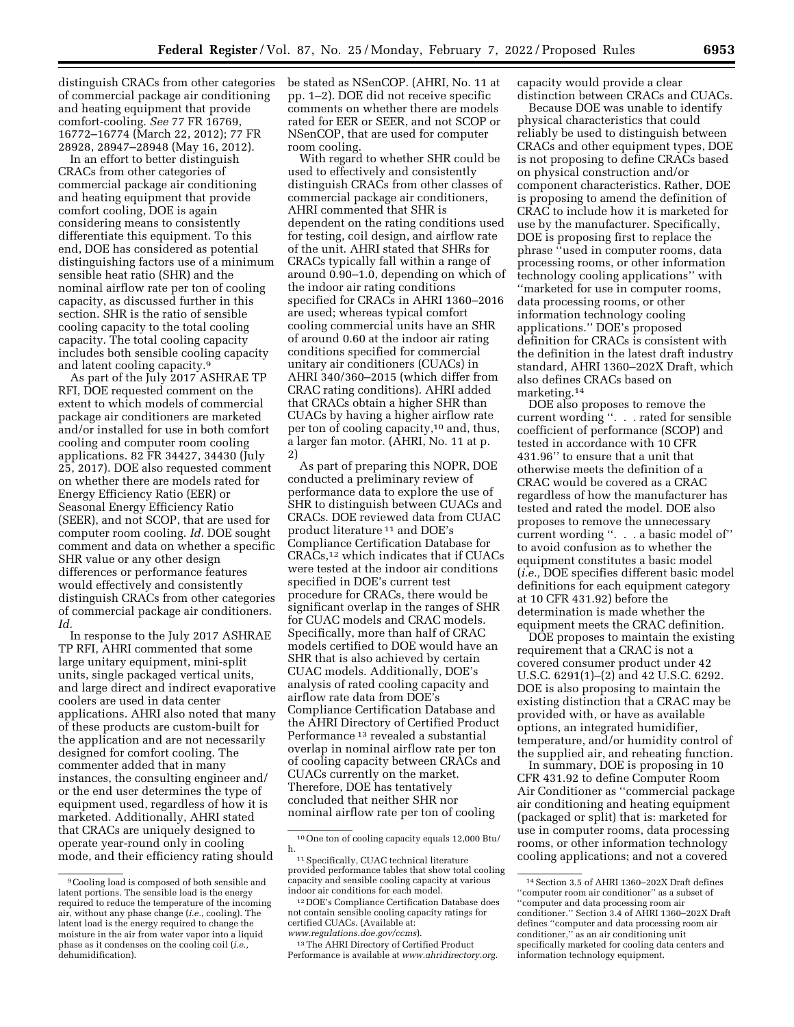distinguish CRACs from other categories of commercial package air conditioning and heating equipment that provide comfort-cooling. *See* 77 FR 16769, 16772–16774 (March 22, 2012); 77 FR 28928, 28947–28948 (May 16, 2012).

In an effort to better distinguish CRACs from other categories of commercial package air conditioning and heating equipment that provide comfort cooling, DOE is again considering means to consistently differentiate this equipment. To this end, DOE has considered as potential distinguishing factors use of a minimum sensible heat ratio (SHR) and the nominal airflow rate per ton of cooling capacity, as discussed further in this section. SHR is the ratio of sensible cooling capacity to the total cooling capacity. The total cooling capacity includes both sensible cooling capacity and latent cooling capacity.9

As part of the July 2017 ASHRAE TP RFI, DOE requested comment on the extent to which models of commercial package air conditioners are marketed and/or installed for use in both comfort cooling and computer room cooling applications. 82 FR 34427, 34430 (July 25, 2017). DOE also requested comment on whether there are models rated for Energy Efficiency Ratio (EER) or Seasonal Energy Efficiency Ratio (SEER), and not SCOP, that are used for computer room cooling. *Id.* DOE sought comment and data on whether a specific SHR value or any other design differences or performance features would effectively and consistently distinguish CRACs from other categories of commercial package air conditioners. *Id.* 

In response to the July 2017 ASHRAE TP RFI, AHRI commented that some large unitary equipment, mini-split units, single packaged vertical units, and large direct and indirect evaporative coolers are used in data center applications. AHRI also noted that many of these products are custom-built for the application and are not necessarily designed for comfort cooling. The commenter added that in many instances, the consulting engineer and/ or the end user determines the type of equipment used, regardless of how it is marketed. Additionally, AHRI stated that CRACs are uniquely designed to operate year-round only in cooling mode, and their efficiency rating should

be stated as NSenCOP. (AHRI, No. 11 at pp. 1–2). DOE did not receive specific comments on whether there are models rated for EER or SEER, and not SCOP or NSenCOP, that are used for computer room cooling.

With regard to whether SHR could be used to effectively and consistently distinguish CRACs from other classes of commercial package air conditioners, AHRI commented that SHR is dependent on the rating conditions used for testing, coil design, and airflow rate of the unit. AHRI stated that SHRs for CRACs typically fall within a range of around 0.90–1.0, depending on which of the indoor air rating conditions specified for CRACs in AHRI 1360–2016 are used; whereas typical comfort cooling commercial units have an SHR of around 0.60 at the indoor air rating conditions specified for commercial unitary air conditioners (CUACs) in AHRI 340/360–2015 (which differ from CRAC rating conditions). AHRI added that CRACs obtain a higher SHR than CUACs by having a higher airflow rate per ton of cooling capacity,10 and, thus, a larger fan motor. (AHRI, No. 11 at p. 2)

As part of preparing this NOPR, DOE conducted a preliminary review of performance data to explore the use of SHR to distinguish between CUACs and CRACs. DOE reviewed data from CUAC product literature 11 and DOE's Compliance Certification Database for CRACs,12 which indicates that if CUACs were tested at the indoor air conditions specified in DOE's current test procedure for CRACs, there would be significant overlap in the ranges of SHR for CUAC models and CRAC models. Specifically, more than half of CRAC models certified to DOE would have an SHR that is also achieved by certain CUAC models. Additionally, DOE's analysis of rated cooling capacity and airflow rate data from DOE's Compliance Certification Database and the AHRI Directory of Certified Product Performance 13 revealed a substantial overlap in nominal airflow rate per ton of cooling capacity between CRACs and CUACs currently on the market. Therefore, DOE has tentatively concluded that neither SHR nor nominal airflow rate per ton of cooling

13The AHRI Directory of Certified Product Performance is available at *[www.ahridirectory.org.](http://www.ahridirectory.org)*  capacity would provide a clear distinction between CRACs and CUACs.

Because DOE was unable to identify physical characteristics that could reliably be used to distinguish between CRACs and other equipment types, DOE is not proposing to define CRACs based on physical construction and/or component characteristics. Rather, DOE is proposing to amend the definition of CRAC to include how it is marketed for use by the manufacturer. Specifically, DOE is proposing first to replace the phrase ''used in computer rooms, data processing rooms, or other information technology cooling applications'' with ''marketed for use in computer rooms, data processing rooms, or other information technology cooling applications.'' DOE's proposed definition for CRACs is consistent with the definition in the latest draft industry standard, AHRI 1360–202X Draft, which also defines CRACs based on marketing.14

DOE also proposes to remove the current wording ''. . . rated for sensible coefficient of performance (SCOP) and tested in accordance with 10 CFR 431.96'' to ensure that a unit that otherwise meets the definition of a CRAC would be covered as a CRAC regardless of how the manufacturer has tested and rated the model. DOE also proposes to remove the unnecessary current wording ''. . . a basic model of'' to avoid confusion as to whether the equipment constitutes a basic model (*i.e.,* DOE specifies different basic model definitions for each equipment category at 10 CFR 431.92) before the determination is made whether the equipment meets the CRAC definition.

DOE proposes to maintain the existing requirement that a CRAC is not a covered consumer product under 42 U.S.C. 6291(1)–(2) and 42 U.S.C. 6292. DOE is also proposing to maintain the existing distinction that a CRAC may be provided with, or have as available options, an integrated humidifier, temperature, and/or humidity control of the supplied air, and reheating function.

In summary, DOE is proposing in 10 CFR 431.92 to define Computer Room Air Conditioner as ''commercial package air conditioning and heating equipment (packaged or split) that is: marketed for use in computer rooms, data processing rooms, or other information technology cooling applications; and not a covered

<sup>9</sup>Cooling load is composed of both sensible and latent portions. The sensible load is the energy required to reduce the temperature of the incoming air, without any phase change (*i.e.,* cooling). The latent load is the energy required to change the moisture in the air from water vapor into a liquid phase as it condenses on the cooling coil (*i.e.,*  dehumidification).

<sup>10</sup>One ton of cooling capacity equals 12,000 Btu/ h. 11Specifically, CUAC technical literature

provided performance tables that show total cooling capacity and sensible cooling capacity at various indoor air conditions for each model.

<sup>12</sup> DOE's Compliance Certification Database does not contain sensible cooling capacity ratings for certified CUACs. (Available at: *[www.regulations.doe.gov/ccms](http://www.regulations.doe.gov/ccms)*).

<sup>14</sup>Section 3.5 of AHRI 1360–202X Draft defines ''computer room air conditioner'' as a subset of ''computer and data processing room air conditioner.'' Section 3.4 of AHRI 1360–202X Draft defines ''computer and data processing room air conditioner,'' as an air conditioning unit specifically marketed for cooling data centers and information technology equipment.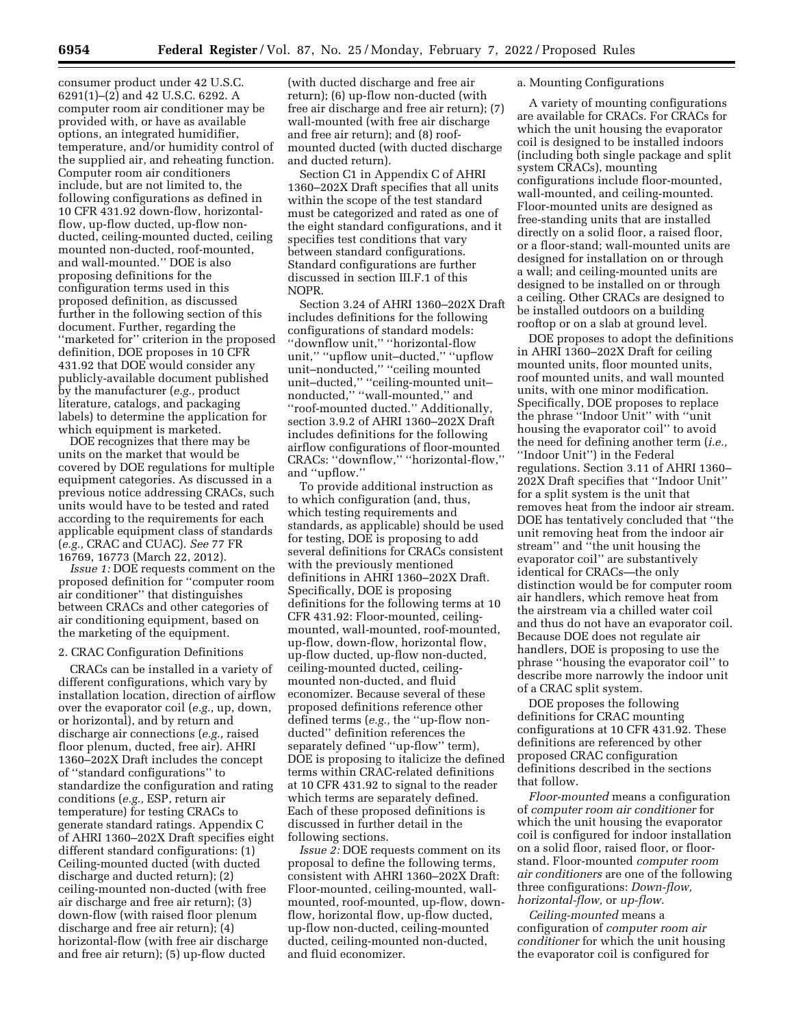consumer product under 42 U.S.C. 6291(1)–(2) and 42 U.S.C. 6292. A computer room air conditioner may be provided with, or have as available options, an integrated humidifier, temperature, and/or humidity control of the supplied air, and reheating function. Computer room air conditioners include, but are not limited to, the following configurations as defined in 10 CFR 431.92 down-flow, horizontalflow, up-flow ducted, up-flow nonducted, ceiling-mounted ducted, ceiling mounted non-ducted, roof-mounted, and wall-mounted.'' DOE is also proposing definitions for the configuration terms used in this proposed definition, as discussed further in the following section of this document. Further, regarding the ''marketed for'' criterion in the proposed definition, DOE proposes in 10 CFR 431.92 that DOE would consider any publicly-available document published by the manufacturer (*e.g.,* product literature, catalogs, and packaging labels) to determine the application for which equipment is marketed.

DOE recognizes that there may be units on the market that would be covered by DOE regulations for multiple equipment categories. As discussed in a previous notice addressing CRACs, such units would have to be tested and rated according to the requirements for each applicable equipment class of standards (*e.g.,* CRAC and CUAC). *See* 77 FR 16769, 16773 (March 22, 2012).

*Issue 1:* DOE requests comment on the proposed definition for ''computer room air conditioner'' that distinguishes between CRACs and other categories of air conditioning equipment, based on the marketing of the equipment.

#### 2. CRAC Configuration Definitions

CRACs can be installed in a variety of different configurations, which vary by installation location, direction of airflow over the evaporator coil (*e.g.,* up, down, or horizontal), and by return and discharge air connections (*e.g.,* raised floor plenum, ducted, free air). AHRI 1360–202X Draft includes the concept of ''standard configurations'' to standardize the configuration and rating conditions (*e.g.,* ESP, return air temperature) for testing CRACs to generate standard ratings. Appendix C of AHRI 1360–202X Draft specifies eight different standard configurations: (1) Ceiling-mounted ducted (with ducted discharge and ducted return); (2) ceiling-mounted non-ducted (with free air discharge and free air return); (3) down-flow (with raised floor plenum discharge and free air return); (4) horizontal-flow (with free air discharge and free air return); (5) up-flow ducted

(with ducted discharge and free air return); (6) up-flow non-ducted (with free air discharge and free air return); (7) wall-mounted (with free air discharge and free air return); and (8) roofmounted ducted (with ducted discharge and ducted return).

Section C1 in Appendix C of AHRI 1360–202X Draft specifies that all units within the scope of the test standard must be categorized and rated as one of the eight standard configurations, and it specifies test conditions that vary between standard configurations. Standard configurations are further discussed in section III.F.1 of this NOPR.

Section 3.24 of AHRI 1360–202X Draft includes definitions for the following configurations of standard models: ''downflow unit,'' ''horizontal-flow unit,'' ''upflow unit–ducted,'' ''upflow unit–nonducted,'' ''ceiling mounted unit–ducted,'' ''ceiling-mounted unit– nonducted,'' ''wall-mounted,'' and ''roof-mounted ducted.'' Additionally, section 3.9.2 of AHRI 1360–202X Draft includes definitions for the following airflow configurations of floor-mounted CRACs: ''downflow,'' ''horizontal-flow,'' and ''upflow.''

To provide additional instruction as to which configuration (and, thus, which testing requirements and standards, as applicable) should be used for testing, DOE is proposing to add several definitions for CRACs consistent with the previously mentioned definitions in AHRI 1360–202X Draft. Specifically, DOE is proposing definitions for the following terms at 10 CFR 431.92: Floor-mounted, ceilingmounted, wall-mounted, roof-mounted, up-flow, down-flow, horizontal flow, up-flow ducted, up-flow non-ducted, ceiling-mounted ducted, ceilingmounted non-ducted, and fluid economizer. Because several of these proposed definitions reference other defined terms (*e.g.,* the ''up-flow nonducted'' definition references the separately defined ''up-flow'' term), DOE is proposing to italicize the defined terms within CRAC-related definitions at 10 CFR 431.92 to signal to the reader which terms are separately defined. Each of these proposed definitions is discussed in further detail in the following sections.

*Issue 2:* DOE requests comment on its proposal to define the following terms, consistent with AHRI 1360–202X Draft: Floor-mounted, ceiling-mounted, wallmounted, roof-mounted, up-flow, downflow, horizontal flow, up-flow ducted, up-flow non-ducted, ceiling-mounted ducted, ceiling-mounted non-ducted, and fluid economizer.

### a. Mounting Configurations

A variety of mounting configurations are available for CRACs. For CRACs for which the unit housing the evaporator coil is designed to be installed indoors (including both single package and split system CRACs), mounting configurations include floor-mounted, wall-mounted, and ceiling-mounted. Floor-mounted units are designed as free-standing units that are installed directly on a solid floor, a raised floor, or a floor-stand; wall-mounted units are designed for installation on or through a wall; and ceiling-mounted units are designed to be installed on or through a ceiling. Other CRACs are designed to be installed outdoors on a building rooftop or on a slab at ground level.

DOE proposes to adopt the definitions in AHRI 1360–202X Draft for ceiling mounted units, floor mounted units, roof mounted units, and wall mounted units, with one minor modification. Specifically, DOE proposes to replace the phrase ''Indoor Unit'' with ''unit housing the evaporator coil'' to avoid the need for defining another term (*i.e.,*  ''Indoor Unit'') in the Federal regulations. Section 3.11 of AHRI 1360– 202X Draft specifies that ''Indoor Unit'' for a split system is the unit that removes heat from the indoor air stream. DOE has tentatively concluded that ''the unit removing heat from the indoor air stream'' and ''the unit housing the evaporator coil'' are substantively identical for CRACs—the only distinction would be for computer room air handlers, which remove heat from the airstream via a chilled water coil and thus do not have an evaporator coil. Because DOE does not regulate air handlers, DOE is proposing to use the phrase ''housing the evaporator coil'' to describe more narrowly the indoor unit of a CRAC split system.

DOE proposes the following definitions for CRAC mounting configurations at 10 CFR 431.92. These definitions are referenced by other proposed CRAC configuration definitions described in the sections that follow.

*Floor-mounted* means a configuration of *computer room air conditioner* for which the unit housing the evaporator coil is configured for indoor installation on a solid floor, raised floor, or floorstand. Floor-mounted *computer room air conditioners* are one of the following three configurations: *Down-flow, horizontal-flow,* or *up-flow.* 

*Ceiling-mounted* means a configuration of *computer room air conditioner* for which the unit housing the evaporator coil is configured for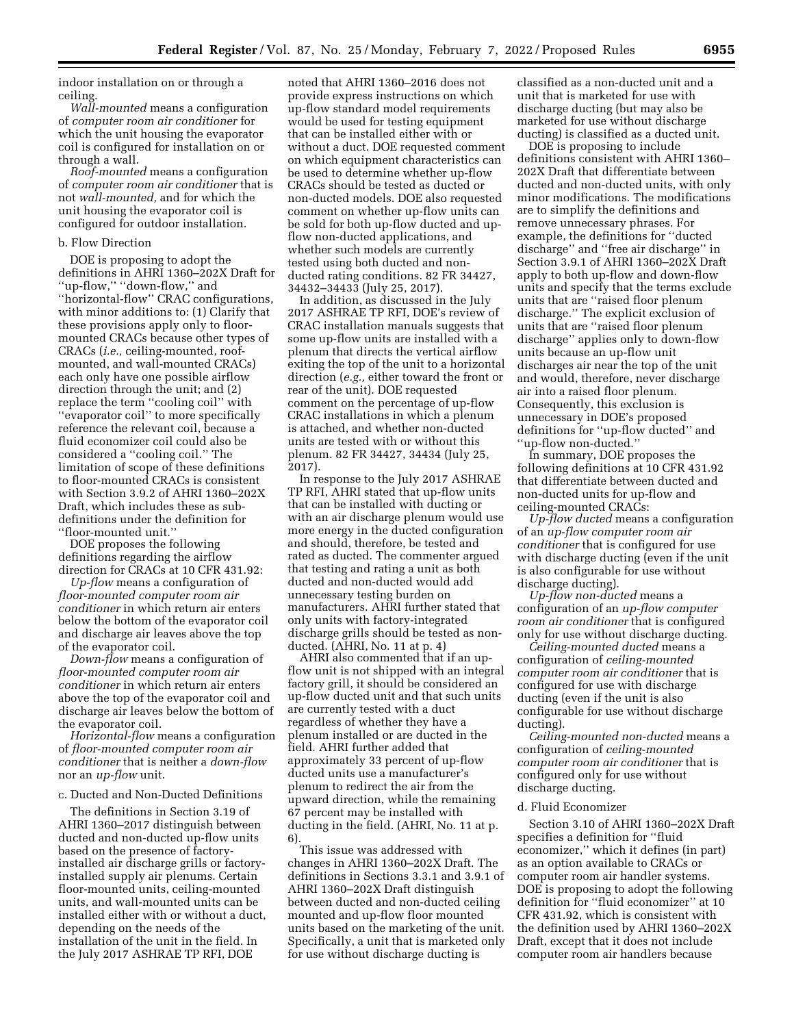indoor installation on or through a ceiling.

*Wall-mounted* means a configuration of *computer room air conditioner* for which the unit housing the evaporator coil is configured for installation on or through a wall.

*Roof-mounted* means a configuration of *computer room air conditioner* that is not *wall-mounted,* and for which the unit housing the evaporator coil is configured for outdoor installation.

### b. Flow Direction

DOE is proposing to adopt the definitions in AHRI 1360–202X Draft for ''up-flow,'' ''down-flow,'' and ''horizontal-flow'' CRAC configurations, with minor additions to: (1) Clarify that these provisions apply only to floormounted CRACs because other types of CRACs (*i.e.,* ceiling-mounted, roofmounted, and wall-mounted CRACs) each only have one possible airflow direction through the unit; and (2) replace the term ''cooling coil'' with ''evaporator coil'' to more specifically reference the relevant coil, because a fluid economizer coil could also be considered a ''cooling coil.'' The limitation of scope of these definitions to floor-mounted CRACs is consistent with Section 3.9.2 of AHRI 1360–202X Draft, which includes these as subdefinitions under the definition for ''floor-mounted unit.''

DOE proposes the following definitions regarding the airflow direction for CRACs at 10 CFR 431.92:

*Up-flow* means a configuration of *floor-mounted computer room air conditioner* in which return air enters below the bottom of the evaporator coil and discharge air leaves above the top of the evaporator coil.

*Down-flow* means a configuration of *floor-mounted computer room air conditioner* in which return air enters above the top of the evaporator coil and discharge air leaves below the bottom of the evaporator coil.

*Horizontal-flow* means a configuration of *floor-mounted computer room air conditioner* that is neither a *down-flow*  nor an *up-flow* unit.

c. Ducted and Non-Ducted Definitions

The definitions in Section 3.19 of AHRI 1360–2017 distinguish between ducted and non-ducted up-flow units based on the presence of factoryinstalled air discharge grills or factoryinstalled supply air plenums. Certain floor-mounted units, ceiling-mounted units, and wall-mounted units can be installed either with or without a duct, depending on the needs of the installation of the unit in the field. In the July 2017 ASHRAE TP RFI, DOE

noted that AHRI 1360–2016 does not provide express instructions on which up-flow standard model requirements would be used for testing equipment that can be installed either with or without a duct. DOE requested comment on which equipment characteristics can be used to determine whether up-flow CRACs should be tested as ducted or non-ducted models. DOE also requested comment on whether up-flow units can be sold for both up-flow ducted and upflow non-ducted applications, and whether such models are currently tested using both ducted and nonducted rating conditions. 82 FR 34427, 34432–34433 (July 25, 2017).

In addition, as discussed in the July 2017 ASHRAE TP RFI, DOE's review of CRAC installation manuals suggests that some up-flow units are installed with a plenum that directs the vertical airflow exiting the top of the unit to a horizontal direction (*e.g.,* either toward the front or rear of the unit). DOE requested comment on the percentage of up-flow CRAC installations in which a plenum is attached, and whether non-ducted units are tested with or without this plenum. 82 FR 34427, 34434 (July 25, 2017).

In response to the July 2017 ASHRAE TP RFI, AHRI stated that up-flow units that can be installed with ducting or with an air discharge plenum would use more energy in the ducted configuration and should, therefore, be tested and rated as ducted. The commenter argued that testing and rating a unit as both ducted and non-ducted would add unnecessary testing burden on manufacturers. AHRI further stated that only units with factory-integrated discharge grills should be tested as nonducted. (AHRI, No. 11 at p. 4)

AHRI also commented that if an upflow unit is not shipped with an integral factory grill, it should be considered an up-flow ducted unit and that such units are currently tested with a duct regardless of whether they have a plenum installed or are ducted in the field. AHRI further added that approximately 33 percent of up-flow ducted units use a manufacturer's plenum to redirect the air from the upward direction, while the remaining 67 percent may be installed with ducting in the field. (AHRI, No. 11 at p. 6).

This issue was addressed with changes in AHRI 1360–202X Draft. The definitions in Sections 3.3.1 and 3.9.1 of AHRI 1360–202X Draft distinguish between ducted and non-ducted ceiling mounted and up-flow floor mounted units based on the marketing of the unit. Specifically, a unit that is marketed only for use without discharge ducting is

classified as a non-ducted unit and a unit that is marketed for use with discharge ducting (but may also be marketed for use without discharge ducting) is classified as a ducted unit.

DOE is proposing to include definitions consistent with AHRI 1360– 202X Draft that differentiate between ducted and non-ducted units, with only minor modifications. The modifications are to simplify the definitions and remove unnecessary phrases. For example, the definitions for ''ducted discharge'' and ''free air discharge'' in Section 3.9.1 of AHRI 1360–202X Draft apply to both up-flow and down-flow units and specify that the terms exclude units that are ''raised floor plenum discharge.'' The explicit exclusion of units that are ''raised floor plenum discharge'' applies only to down-flow units because an up-flow unit discharges air near the top of the unit and would, therefore, never discharge air into a raised floor plenum. Consequently, this exclusion is unnecessary in DOE's proposed definitions for ''up-flow ducted'' and ''up-flow non-ducted.''

In summary, DOE proposes the following definitions at 10 CFR 431.92 that differentiate between ducted and non-ducted units for up-flow and ceiling-mounted CRACs:

*Up-flow ducted* means a configuration of an *up-flow computer room air conditioner* that is configured for use with discharge ducting (even if the unit is also configurable for use without discharge ducting).

*Up-flow non-ducted* means a configuration of an *up-flow computer room air conditioner* that is configured only for use without discharge ducting.

*Ceiling-mounted ducted* means a configuration of *ceiling-mounted computer room air conditioner* that is configured for use with discharge ducting (even if the unit is also configurable for use without discharge ducting).

*Ceiling-mounted non-ducted* means a configuration of *ceiling-mounted computer room air conditioner* that is configured only for use without discharge ducting.

#### d. Fluid Economizer

Section 3.10 of AHRI 1360–202X Draft specifies a definition for ''fluid economizer,'' which it defines (in part) as an option available to CRACs or computer room air handler systems. DOE is proposing to adopt the following definition for ''fluid economizer'' at 10 CFR 431.92, which is consistent with the definition used by AHRI 1360–202X Draft, except that it does not include computer room air handlers because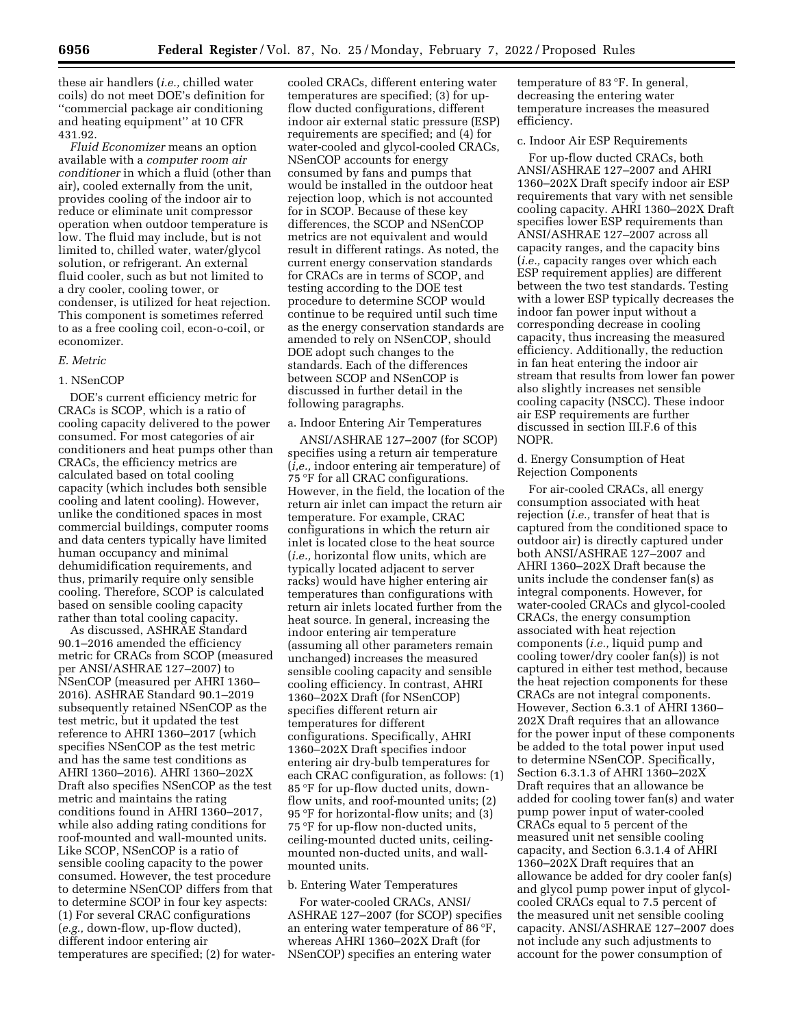these air handlers (*i.e.,* chilled water coils) do not meet DOE's definition for ''commercial package air conditioning and heating equipment'' at 10 CFR 431.92.

*Fluid Economizer* means an option available with a *computer room air conditioner* in which a fluid (other than air), cooled externally from the unit, provides cooling of the indoor air to reduce or eliminate unit compressor operation when outdoor temperature is low. The fluid may include, but is not limited to, chilled water, water/glycol solution, or refrigerant. An external fluid cooler, such as but not limited to a dry cooler, cooling tower, or condenser, is utilized for heat rejection. This component is sometimes referred to as a free cooling coil, econ-o-coil, or economizer.

#### *E. Metric*

#### 1. NSenCOP

DOE's current efficiency metric for CRACs is SCOP, which is a ratio of cooling capacity delivered to the power consumed. For most categories of air conditioners and heat pumps other than CRACs, the efficiency metrics are calculated based on total cooling capacity (which includes both sensible cooling and latent cooling). However, unlike the conditioned spaces in most commercial buildings, computer rooms and data centers typically have limited human occupancy and minimal dehumidification requirements, and thus, primarily require only sensible cooling. Therefore, SCOP is calculated based on sensible cooling capacity rather than total cooling capacity.

As discussed, ASHRAE Standard 90.1–2016 amended the efficiency metric for CRACs from SCOP (measured per ANSI/ASHRAE 127–2007) to NSenCOP (measured per AHRI 1360– 2016). ASHRAE Standard 90.1–2019 subsequently retained NSenCOP as the test metric, but it updated the test reference to AHRI 1360–2017 (which specifies NSenCOP as the test metric and has the same test conditions as AHRI 1360–2016). AHRI 1360–202X Draft also specifies NSenCOP as the test metric and maintains the rating conditions found in AHRI 1360–2017, while also adding rating conditions for roof-mounted and wall-mounted units. Like SCOP, NSenCOP is a ratio of sensible cooling capacity to the power consumed. However, the test procedure to determine NSenCOP differs from that to determine SCOP in four key aspects: (1) For several CRAC configurations (*e.g.,* down-flow, up-flow ducted), different indoor entering air temperatures are specified; (2) for water-

cooled CRACs, different entering water temperatures are specified; (3) for upflow ducted configurations, different indoor air external static pressure (ESP) requirements are specified; and (4) for water-cooled and glycol-cooled CRACs, NSenCOP accounts for energy consumed by fans and pumps that would be installed in the outdoor heat rejection loop, which is not accounted for in SCOP. Because of these key differences, the SCOP and NSenCOP metrics are not equivalent and would result in different ratings. As noted, the current energy conservation standards for CRACs are in terms of SCOP, and testing according to the DOE test procedure to determine SCOP would continue to be required until such time as the energy conservation standards are amended to rely on NSenCOP, should DOE adopt such changes to the standards. Each of the differences between SCOP and NSenCOP is discussed in further detail in the following paragraphs.

#### a. Indoor Entering Air Temperatures

ANSI/ASHRAE 127–2007 (for SCOP) specifies using a return air temperature (*i,e.,* indoor entering air temperature) of 75 °F for all CRAC configurations. However, in the field, the location of the return air inlet can impact the return air temperature. For example, CRAC configurations in which the return air inlet is located close to the heat source (*i.e.,* horizontal flow units, which are typically located adjacent to server racks) would have higher entering air temperatures than configurations with return air inlets located further from the heat source. In general, increasing the indoor entering air temperature (assuming all other parameters remain unchanged) increases the measured sensible cooling capacity and sensible cooling efficiency. In contrast, AHRI 1360–202X Draft (for NSenCOP) specifies different return air temperatures for different configurations. Specifically, AHRI 1360–202X Draft specifies indoor entering air dry-bulb temperatures for each CRAC configuration, as follows: (1) 85 °F for up-flow ducted units, downflow units, and roof-mounted units; (2) 95 °F for horizontal-flow units; and (3) 75 °F for up-flow non-ducted units, ceiling-mounted ducted units, ceilingmounted non-ducted units, and wallmounted units.

#### b. Entering Water Temperatures

For water-cooled CRACs, ANSI/ ASHRAE 127–2007 (for SCOP) specifies an entering water temperature of 86 °F, whereas AHRI 1360–202X Draft (for NSenCOP) specifies an entering water

temperature of 83 °F. In general, decreasing the entering water temperature increases the measured efficiency.

### c. Indoor Air ESP Requirements

For up-flow ducted CRACs, both ANSI/ASHRAE 127–2007 and AHRI 1360–202X Draft specify indoor air ESP requirements that vary with net sensible cooling capacity. AHRI 1360–202X Draft specifies lower ESP requirements than ANSI/ASHRAE 127–2007 across all capacity ranges, and the capacity bins (*i.e.,* capacity ranges over which each ESP requirement applies) are different between the two test standards. Testing with a lower ESP typically decreases the indoor fan power input without a corresponding decrease in cooling capacity, thus increasing the measured efficiency. Additionally, the reduction in fan heat entering the indoor air stream that results from lower fan power also slightly increases net sensible cooling capacity (NSCC). These indoor air ESP requirements are further discussed in section III.F.6 of this NOPR.

### d. Energy Consumption of Heat Rejection Components

For air-cooled CRACs, all energy consumption associated with heat rejection (*i.e.,* transfer of heat that is captured from the conditioned space to outdoor air) is directly captured under both ANSI/ASHRAE 127–2007 and AHRI 1360–202X Draft because the units include the condenser fan(s) as integral components. However, for water-cooled CRACs and glycol-cooled CRACs, the energy consumption associated with heat rejection components (*i.e.,* liquid pump and cooling tower/dry cooler fan(s)) is not captured in either test method, because the heat rejection components for these CRACs are not integral components. However, Section 6.3.1 of AHRI 1360– 202X Draft requires that an allowance for the power input of these components be added to the total power input used to determine NSenCOP. Specifically, Section 6.3.1.3 of AHRI 1360–202X Draft requires that an allowance be added for cooling tower fan(s) and water pump power input of water-cooled CRACs equal to 5 percent of the measured unit net sensible cooling capacity, and Section 6.3.1.4 of AHRI 1360–202X Draft requires that an allowance be added for dry cooler fan(s) and glycol pump power input of glycolcooled CRACs equal to 7.5 percent of the measured unit net sensible cooling capacity. ANSI/ASHRAE 127–2007 does not include any such adjustments to account for the power consumption of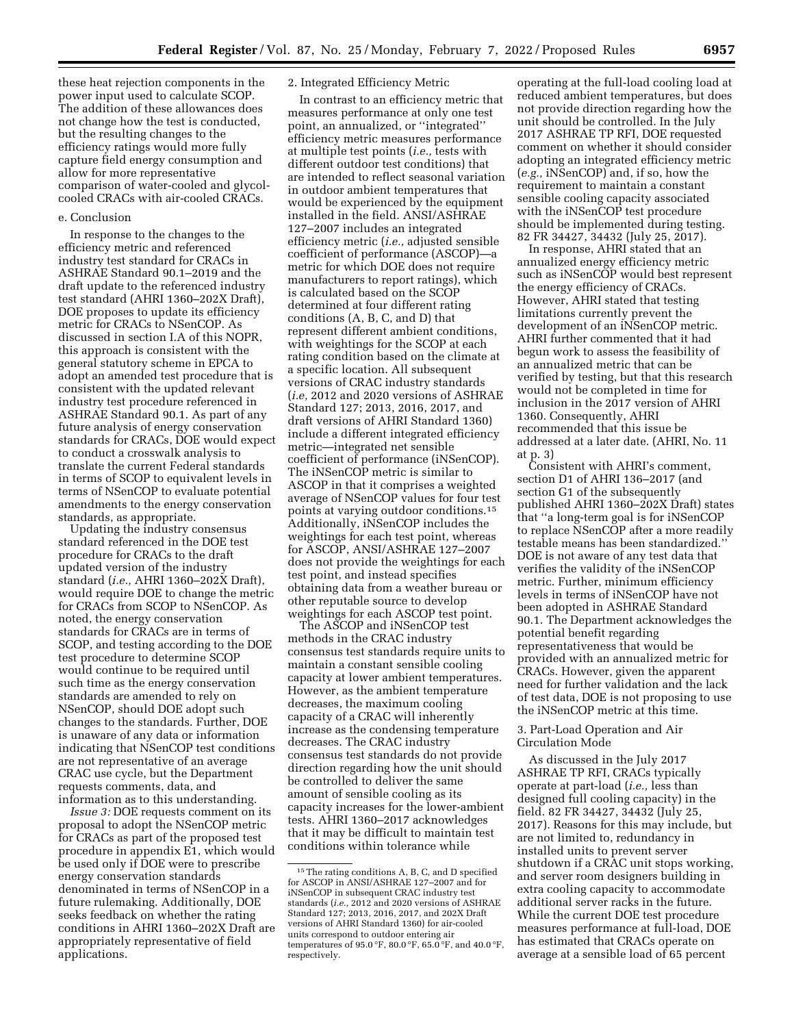these heat rejection components in the power input used to calculate SCOP. The addition of these allowances does not change how the test is conducted, but the resulting changes to the efficiency ratings would more fully capture field energy consumption and allow for more representative comparison of water-cooled and glycolcooled CRACs with air-cooled CRACs.

#### e. Conclusion

In response to the changes to the efficiency metric and referenced industry test standard for CRACs in ASHRAE Standard 90.1–2019 and the draft update to the referenced industry test standard (AHRI 1360–202X Draft), DOE proposes to update its efficiency metric for CRACs to NSenCOP. As discussed in section I.A of this NOPR, this approach is consistent with the general statutory scheme in EPCA to adopt an amended test procedure that is consistent with the updated relevant industry test procedure referenced in ASHRAE Standard 90.1. As part of any future analysis of energy conservation standards for CRACs, DOE would expect to conduct a crosswalk analysis to translate the current Federal standards in terms of SCOP to equivalent levels in terms of NSenCOP to evaluate potential amendments to the energy conservation standards, as appropriate.

Updating the industry consensus standard referenced in the DOE test procedure for CRACs to the draft updated version of the industry standard (*i.e.,* AHRI 1360–202X Draft), would require DOE to change the metric for CRACs from SCOP to NSenCOP. As noted, the energy conservation standards for CRACs are in terms of SCOP, and testing according to the DOE test procedure to determine SCOP would continue to be required until such time as the energy conservation standards are amended to rely on NSenCOP, should DOE adopt such changes to the standards. Further, DOE is unaware of any data or information indicating that NSenCOP test conditions are not representative of an average CRAC use cycle, but the Department requests comments, data, and information as to this understanding.

*Issue 3:* DOE requests comment on its proposal to adopt the NSenCOP metric for CRACs as part of the proposed test procedure in appendix E1, which would be used only if DOE were to prescribe energy conservation standards denominated in terms of NSenCOP in a future rulemaking. Additionally, DOE seeks feedback on whether the rating conditions in AHRI 1360–202X Draft are appropriately representative of field applications.

### 2. Integrated Efficiency Metric

In contrast to an efficiency metric that measures performance at only one test point, an annualized, or ''integrated'' efficiency metric measures performance at multiple test points (*i.e.,* tests with different outdoor test conditions) that are intended to reflect seasonal variation in outdoor ambient temperatures that would be experienced by the equipment installed in the field. ANSI/ASHRAE 127–2007 includes an integrated efficiency metric (*i.e.,* adjusted sensible coefficient of performance (ASCOP)—a metric for which DOE does not require manufacturers to report ratings), which is calculated based on the SCOP determined at four different rating conditions (A, B, C, and D) that represent different ambient conditions, with weightings for the SCOP at each rating condition based on the climate at a specific location. All subsequent versions of CRAC industry standards (*i.e,* 2012 and 2020 versions of ASHRAE Standard 127; 2013, 2016, 2017, and draft versions of AHRI Standard 1360) include a different integrated efficiency metric—integrated net sensible coefficient of performance (iNSenCOP). The iNSenCOP metric is similar to ASCOP in that it comprises a weighted average of NSenCOP values for four test points at varying outdoor conditions.15 Additionally, iNSenCOP includes the weightings for each test point, whereas for ASCOP, ANSI/ASHRAE 127–2007 does not provide the weightings for each test point, and instead specifies obtaining data from a weather bureau or other reputable source to develop weightings for each ASCOP test point.

The ASCOP and iNSenCOP test methods in the CRAC industry consensus test standards require units to maintain a constant sensible cooling capacity at lower ambient temperatures. However, as the ambient temperature decreases, the maximum cooling capacity of a CRAC will inherently increase as the condensing temperature decreases. The CRAC industry consensus test standards do not provide direction regarding how the unit should be controlled to deliver the same amount of sensible cooling as its capacity increases for the lower-ambient tests. AHRI 1360–2017 acknowledges that it may be difficult to maintain test conditions within tolerance while

operating at the full-load cooling load at reduced ambient temperatures, but does not provide direction regarding how the unit should be controlled. In the July 2017 ASHRAE TP RFI, DOE requested comment on whether it should consider adopting an integrated efficiency metric (*e.g.,* iNSenCOP) and, if so, how the requirement to maintain a constant sensible cooling capacity associated with the iNSenCOP test procedure should be implemented during testing. 82 FR 34427, 34432 (July 25, 2017).

In response, AHRI stated that an annualized energy efficiency metric such as iNSenCOP would best represent the energy efficiency of CRACs. However, AHRI stated that testing limitations currently prevent the development of an iNSenCOP metric. AHRI further commented that it had begun work to assess the feasibility of an annualized metric that can be verified by testing, but that this research would not be completed in time for inclusion in the 2017 version of AHRI 1360. Consequently, AHRI recommended that this issue be addressed at a later date. (AHRI, No. 11 at p. 3)

Consistent with AHRI's comment, section D1 of AHRI 136–2017 (and section G1 of the subsequently published AHRI 1360–202X Draft) states that ''a long-term goal is for iNSenCOP to replace NSenCOP after a more readily testable means has been standardized.'' DOE is not aware of any test data that verifies the validity of the iNSenCOP metric. Further, minimum efficiency levels in terms of iNSenCOP have not been adopted in ASHRAE Standard 90.1. The Department acknowledges the potential benefit regarding representativeness that would be provided with an annualized metric for CRACs. However, given the apparent need for further validation and the lack of test data, DOE is not proposing to use the iNSenCOP metric at this time.

### 3. Part-Load Operation and Air Circulation Mode

As discussed in the July 2017 ASHRAE TP RFI, CRACs typically operate at part-load (*i.e.,* less than designed full cooling capacity) in the field. 82 FR 34427, 34432 (July 25, 2017). Reasons for this may include, but are not limited to, redundancy in installed units to prevent server shutdown if a CRAC unit stops working, and server room designers building in extra cooling capacity to accommodate additional server racks in the future. While the current DOE test procedure measures performance at full-load, DOE has estimated that CRACs operate on average at a sensible load of 65 percent

<sup>15</sup>The rating conditions A, B, C, and D specified for ASCOP in ANSI/ASHRAE 127–2007 and for iNSenCOP in subsequent CRAC industry test standards (*i.e.,* 2012 and 2020 versions of ASHRAE Standard 127; 2013, 2016, 2017, and 202X Draft versions of AHRI Standard 1360) for air-cooled units correspond to outdoor entering air temperatures of 95.0 °F, 80.0 °F, 65.0 °F, and 40.0 °F, respectively.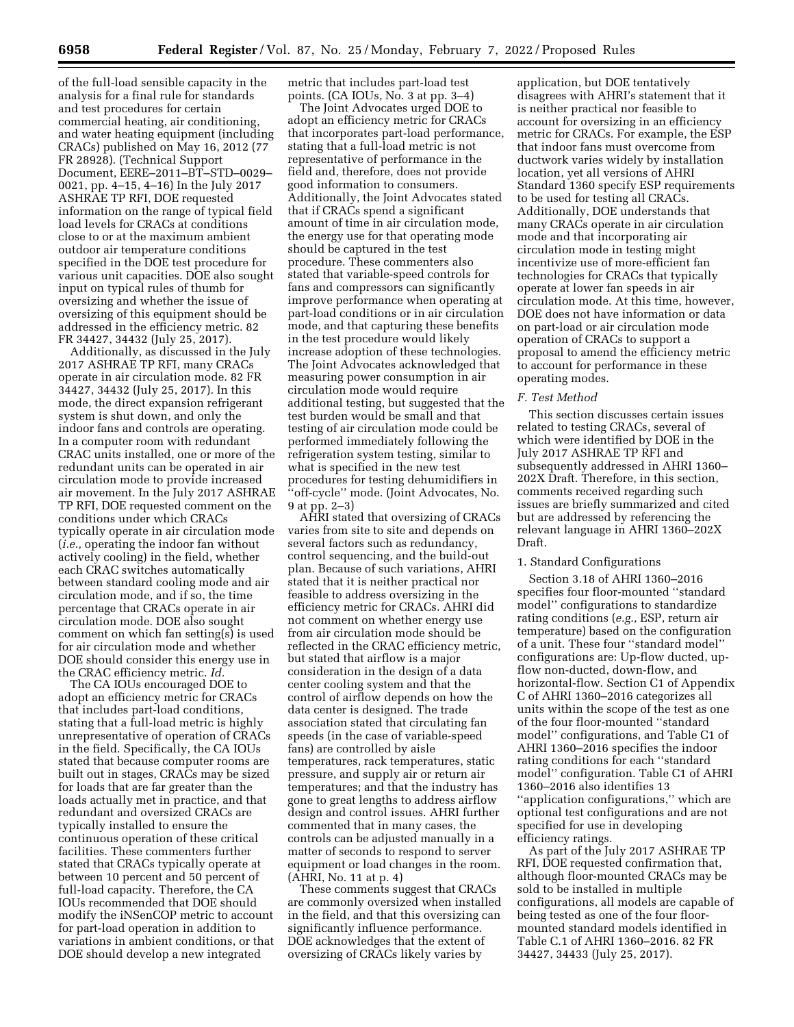of the full-load sensible capacity in the analysis for a final rule for standards and test procedures for certain commercial heating, air conditioning, and water heating equipment (including CRACs) published on May 16, 2012 (77 FR 28928). (Technical Support Document, EERE–2011–BT–STD–0029– 0021, pp. 4–15, 4–16) In the July 2017 ASHRAE TP RFI, DOE requested information on the range of typical field load levels for CRACs at conditions close to or at the maximum ambient outdoor air temperature conditions specified in the DOE test procedure for various unit capacities. DOE also sought input on typical rules of thumb for oversizing and whether the issue of oversizing of this equipment should be addressed in the efficiency metric. 82 FR 34427, 34432 (July 25, 2017).

Additionally, as discussed in the July 2017 ASHRAE TP RFI, many CRACs operate in air circulation mode. 82 FR 34427, 34432 (July 25, 2017). In this mode, the direct expansion refrigerant system is shut down, and only the indoor fans and controls are operating. In a computer room with redundant CRAC units installed, one or more of the redundant units can be operated in air circulation mode to provide increased air movement. In the July 2017 ASHRAE TP RFI, DOE requested comment on the conditions under which CRACs typically operate in air circulation mode (*i.e.,* operating the indoor fan without actively cooling) in the field, whether each CRAC switches automatically between standard cooling mode and air circulation mode, and if so, the time percentage that CRACs operate in air circulation mode. DOE also sought comment on which fan setting $(s)$  is used for air circulation mode and whether DOE should consider this energy use in the CRAC efficiency metric. *Id.* 

The CA IOUs encouraged DOE to adopt an efficiency metric for CRACs that includes part-load conditions, stating that a full-load metric is highly unrepresentative of operation of CRACs in the field. Specifically, the CA IOUs stated that because computer rooms are built out in stages, CRACs may be sized for loads that are far greater than the loads actually met in practice, and that redundant and oversized CRACs are typically installed to ensure the continuous operation of these critical facilities. These commenters further stated that CRACs typically operate at between 10 percent and 50 percent of full-load capacity. Therefore, the CA IOUs recommended that DOE should modify the iNSenCOP metric to account for part-load operation in addition to variations in ambient conditions, or that DOE should develop a new integrated

metric that includes part-load test points. (CA IOUs, No. 3 at pp. 3–4)

The Joint Advocates urged DOE to adopt an efficiency metric for CRACs that incorporates part-load performance, stating that a full-load metric is not representative of performance in the field and, therefore, does not provide good information to consumers. Additionally, the Joint Advocates stated that if CRACs spend a significant amount of time in air circulation mode, the energy use for that operating mode should be captured in the test procedure. These commenters also stated that variable-speed controls for fans and compressors can significantly improve performance when operating at part-load conditions or in air circulation mode, and that capturing these benefits in the test procedure would likely increase adoption of these technologies. The Joint Advocates acknowledged that measuring power consumption in air circulation mode would require additional testing, but suggested that the test burden would be small and that testing of air circulation mode could be performed immediately following the refrigeration system testing, similar to what is specified in the new test procedures for testing dehumidifiers in ''off-cycle'' mode. (Joint Advocates, No. 9 at pp. 2–3)

AHRI stated that oversizing of CRACs varies from site to site and depends on several factors such as redundancy, control sequencing, and the build-out plan. Because of such variations, AHRI stated that it is neither practical nor feasible to address oversizing in the efficiency metric for CRACs. AHRI did not comment on whether energy use from air circulation mode should be reflected in the CRAC efficiency metric, but stated that airflow is a major consideration in the design of a data center cooling system and that the control of airflow depends on how the data center is designed. The trade association stated that circulating fan speeds (in the case of variable-speed fans) are controlled by aisle temperatures, rack temperatures, static pressure, and supply air or return air temperatures; and that the industry has gone to great lengths to address airflow design and control issues. AHRI further commented that in many cases, the controls can be adjusted manually in a matter of seconds to respond to server equipment or load changes in the room. (AHRI, No. 11 at p. 4)

These comments suggest that CRACs are commonly oversized when installed in the field, and that this oversizing can significantly influence performance. DOE acknowledges that the extent of oversizing of CRACs likely varies by

application, but DOE tentatively disagrees with AHRI's statement that it is neither practical nor feasible to account for oversizing in an efficiency metric for CRACs. For example, the ESP that indoor fans must overcome from ductwork varies widely by installation location, yet all versions of AHRI Standard 1360 specify ESP requirements to be used for testing all CRACs. Additionally, DOE understands that many CRACs operate in air circulation mode and that incorporating air circulation mode in testing might incentivize use of more-efficient fan technologies for CRACs that typically operate at lower fan speeds in air circulation mode. At this time, however, DOE does not have information or data on part-load or air circulation mode operation of CRACs to support a proposal to amend the efficiency metric to account for performance in these operating modes.

### *F. Test Method*

This section discusses certain issues related to testing CRACs, several of which were identified by DOE in the July 2017 ASHRAE TP RFI and subsequently addressed in AHRI 1360– 202X Draft. Therefore, in this section, comments received regarding such issues are briefly summarized and cited but are addressed by referencing the relevant language in AHRI 1360–202X Draft.

#### 1. Standard Configurations

Section 3.18 of AHRI 1360–2016 specifies four floor-mounted ''standard model'' configurations to standardize rating conditions (*e.g.,* ESP, return air temperature) based on the configuration of a unit. These four ''standard model'' configurations are: Up-flow ducted, upflow non-ducted, down-flow, and horizontal-flow. Section C1 of Appendix C of AHRI 1360–2016 categorizes all units within the scope of the test as one of the four floor-mounted ''standard model'' configurations, and Table C1 of AHRI 1360–2016 specifies the indoor rating conditions for each ''standard model'' configuration. Table C1 of AHRI 1360–2016 also identifies 13 ''application configurations,'' which are optional test configurations and are not specified for use in developing efficiency ratings.

As part of the July 2017 ASHRAE TP RFI, DOE requested confirmation that, although floor-mounted CRACs may be sold to be installed in multiple configurations, all models are capable of being tested as one of the four floormounted standard models identified in Table C.1 of AHRI 1360–2016. 82 FR 34427, 34433 (July 25, 2017).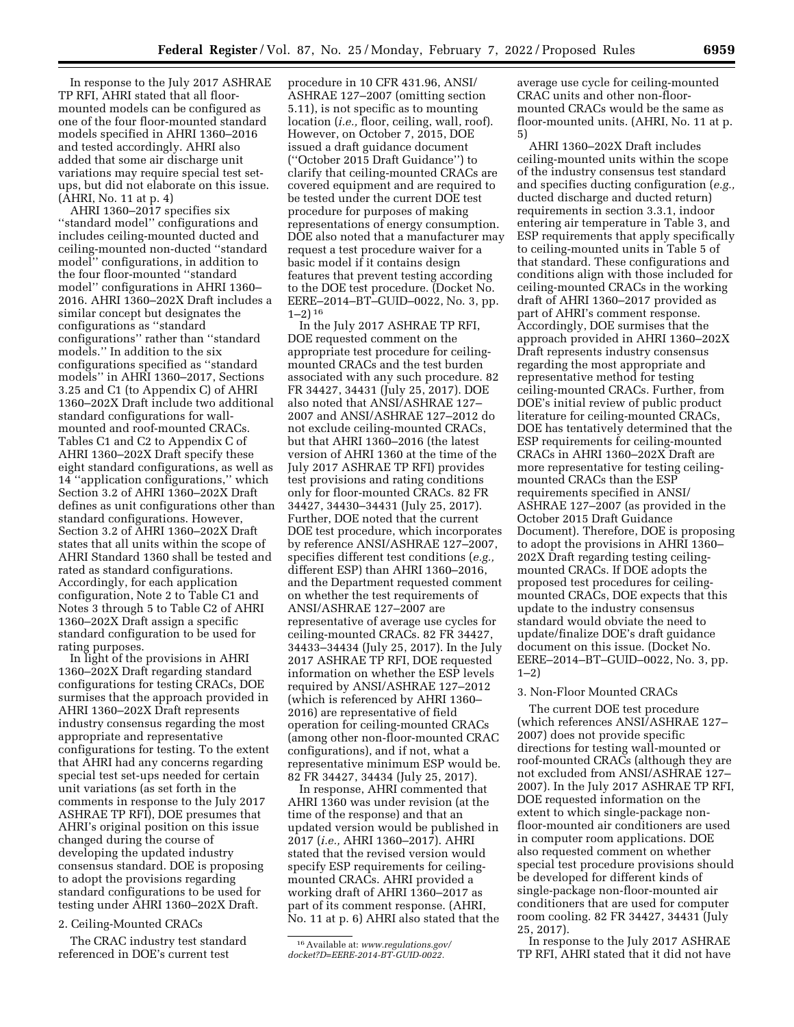In response to the July 2017 ASHRAE TP RFI, AHRI stated that all floormounted models can be configured as one of the four floor-mounted standard models specified in AHRI 1360–2016 and tested accordingly. AHRI also added that some air discharge unit variations may require special test setups, but did not elaborate on this issue. (AHRI, No. 11 at p. 4)

AHRI 1360–2017 specifies six ''standard model'' configurations and includes ceiling-mounted ducted and ceiling-mounted non-ducted ''standard model'' configurations, in addition to the four floor-mounted ''standard model'' configurations in AHRI 1360– 2016. AHRI 1360–202X Draft includes a similar concept but designates the configurations as ''standard configurations'' rather than ''standard models.'' In addition to the six configurations specified as ''standard models'' in AHRI 1360–2017, Sections 3.25 and C1 (to Appendix C) of AHRI 1360–202X Draft include two additional standard configurations for wallmounted and roof-mounted CRACs. Tables C1 and C2 to Appendix C of AHRI 1360–202X Draft specify these eight standard configurations, as well as 14 ''application configurations,'' which Section 3.2 of AHRI 1360–202X Draft defines as unit configurations other than standard configurations. However, Section 3.2 of AHRI 1360–202X Draft states that all units within the scope of AHRI Standard 1360 shall be tested and rated as standard configurations. Accordingly, for each application configuration, Note 2 to Table C1 and Notes 3 through 5 to Table C2 of AHRI 1360–202X Draft assign a specific standard configuration to be used for rating purposes.

In light of the provisions in AHRI 1360–202X Draft regarding standard configurations for testing CRACs, DOE surmises that the approach provided in AHRI 1360–202X Draft represents industry consensus regarding the most appropriate and representative configurations for testing. To the extent that AHRI had any concerns regarding special test set-ups needed for certain unit variations (as set forth in the comments in response to the July 2017 ASHRAE TP RFI), DOE presumes that AHRI's original position on this issue changed during the course of developing the updated industry consensus standard. DOE is proposing to adopt the provisions regarding standard configurations to be used for testing under AHRI 1360–202X Draft.

# 2. Ceiling-Mounted CRACs

The CRAC industry test standard referenced in DOE's current test

procedure in 10 CFR 431.96, ANSI/ ASHRAE 127–2007 (omitting section 5.11), is not specific as to mounting location (*i.e.,* floor, ceiling, wall, roof). However, on October 7, 2015, DOE issued a draft guidance document (''October 2015 Draft Guidance'') to clarify that ceiling-mounted CRACs are covered equipment and are required to be tested under the current DOE test procedure for purposes of making representations of energy consumption. DOE also noted that a manufacturer may request a test procedure waiver for a basic model if it contains design features that prevent testing according to the DOE test procedure. (Docket No. EERE–2014–BT–GUID–0022, No. 3, pp. 1–2) 16

In the July 2017 ASHRAE TP RFI, DOE requested comment on the appropriate test procedure for ceilingmounted CRACs and the test burden associated with any such procedure. 82 FR 34427, 34431 (July 25, 2017). DOE also noted that ANSI/ASHRAE 127– 2007 and ANSI/ASHRAE 127–2012 do not exclude ceiling-mounted CRACs, but that AHRI 1360–2016 (the latest version of AHRI 1360 at the time of the July 2017 ASHRAE TP RFI) provides test provisions and rating conditions only for floor-mounted CRACs. 82 FR 34427, 34430–34431 (July 25, 2017). Further, DOE noted that the current DOE test procedure, which incorporates by reference ANSI/ASHRAE 127–2007, specifies different test conditions (*e.g.,*  different ESP) than AHRI 1360–2016, and the Department requested comment on whether the test requirements of ANSI/ASHRAE 127–2007 are representative of average use cycles for ceiling-mounted CRACs. 82 FR 34427, 34433–34434 (July 25, 2017). In the July 2017 ASHRAE TP RFI, DOE requested information on whether the ESP levels required by ANSI/ASHRAE 127–2012 (which is referenced by AHRI 1360– 2016) are representative of field operation for ceiling-mounted CRACs (among other non-floor-mounted CRAC configurations), and if not, what a representative minimum ESP would be. 82 FR 34427, 34434 (July 25, 2017).

In response, AHRI commented that AHRI 1360 was under revision (at the time of the response) and that an updated version would be published in 2017 (*i.e.,* AHRI 1360–2017). AHRI stated that the revised version would specify ESP requirements for ceilingmounted CRACs. AHRI provided a working draft of AHRI 1360–2017 as part of its comment response. (AHRI, No. 11 at p. 6) AHRI also stated that the

average use cycle for ceiling-mounted CRAC units and other non-floormounted CRACs would be the same as floor-mounted units. (AHRI, No. 11 at p. 5)

AHRI 1360–202X Draft includes ceiling-mounted units within the scope of the industry consensus test standard and specifies ducting configuration (*e.g.,*  ducted discharge and ducted return) requirements in section 3.3.1, indoor entering air temperature in Table 3, and ESP requirements that apply specifically to ceiling-mounted units in Table 5 of that standard. These configurations and conditions align with those included for ceiling-mounted CRACs in the working draft of AHRI 1360–2017 provided as part of AHRI's comment response. Accordingly, DOE surmises that the approach provided in AHRI 1360–202X Draft represents industry consensus regarding the most appropriate and representative method for testing ceiling-mounted CRACs. Further, from DOE's initial review of public product literature for ceiling-mounted CRACs, DOE has tentatively determined that the ESP requirements for ceiling-mounted CRACs in AHRI 1360–202X Draft are more representative for testing ceilingmounted CRACs than the ESP requirements specified in ANSI/ ASHRAE 127–2007 (as provided in the October 2015 Draft Guidance Document). Therefore, DOE is proposing to adopt the provisions in AHRI 1360– 202X Draft regarding testing ceilingmounted CRACs. If DOE adopts the proposed test procedures for ceilingmounted CRACs, DOE expects that this update to the industry consensus standard would obviate the need to update/finalize DOE's draft guidance document on this issue. (Docket No. EERE–2014–BT–GUID–0022, No. 3, pp. 1–2)

#### 3. Non-Floor Mounted CRACs

The current DOE test procedure (which references ANSI/ASHRAE 127– 2007) does not provide specific directions for testing wall-mounted or roof-mounted CRACs (although they are not excluded from ANSI/ASHRAE 127– 2007). In the July 2017 ASHRAE TP RFI, DOE requested information on the extent to which single-package nonfloor-mounted air conditioners are used in computer room applications. DOE also requested comment on whether special test procedure provisions should be developed for different kinds of single-package non-floor-mounted air conditioners that are used for computer room cooling. 82 FR 34427, 34431 (July 25, 2017).

In response to the July 2017 ASHRAE TP RFI, AHRI stated that it did not have

<sup>16</sup>Available at: *[www.regulations.gov/](http://www.regulations.gov/docket?D=EERE-2014-BT-GUID-0022) [docket?D=EERE-2014-BT-GUID-0022.](http://www.regulations.gov/docket?D=EERE-2014-BT-GUID-0022)*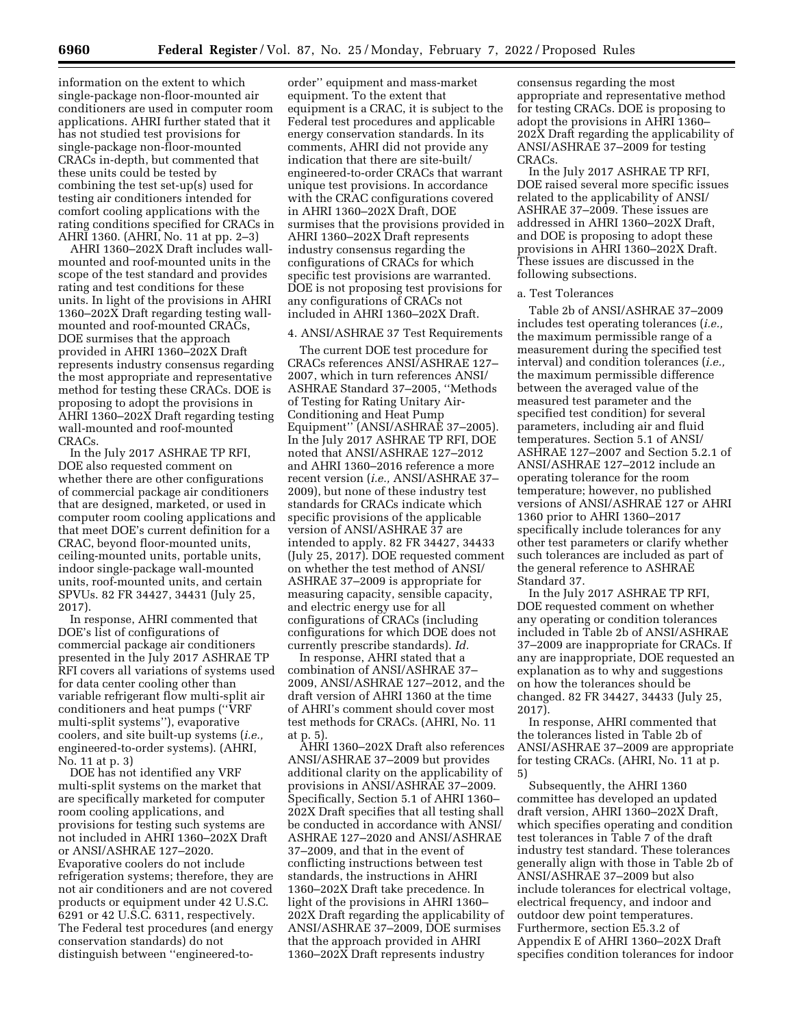information on the extent to which single-package non-floor-mounted air conditioners are used in computer room applications. AHRI further stated that it has not studied test provisions for single-package non-floor-mounted CRACs in-depth, but commented that these units could be tested by combining the test set-up(s) used for testing air conditioners intended for comfort cooling applications with the rating conditions specified for CRACs in AHRI 1360. (AHRI, No. 11 at pp. 2-3)

AHRI 1360–202X Draft includes wallmounted and roof-mounted units in the scope of the test standard and provides rating and test conditions for these units. In light of the provisions in AHRI 1360–202X Draft regarding testing wallmounted and roof-mounted CRACs, DOE surmises that the approach provided in AHRI 1360–202X Draft represents industry consensus regarding the most appropriate and representative method for testing these CRACs. DOE is proposing to adopt the provisions in AHRI 1360–202X Draft regarding testing wall-mounted and roof-mounted CRACs.

In the July 2017 ASHRAE TP RFI, DOE also requested comment on whether there are other configurations of commercial package air conditioners that are designed, marketed, or used in computer room cooling applications and that meet DOE's current definition for a CRAC, beyond floor-mounted units, ceiling-mounted units, portable units, indoor single-package wall-mounted units, roof-mounted units, and certain SPVUs. 82 FR 34427, 34431 (July 25, 2017).

In response, AHRI commented that DOE's list of configurations of commercial package air conditioners presented in the July 2017 ASHRAE TP RFI covers all variations of systems used for data center cooling other than variable refrigerant flow multi-split air conditioners and heat pumps (''VRF multi-split systems''), evaporative coolers, and site built-up systems (*i.e.,*  engineered-to-order systems). (AHRI, No. 11 at p. 3)

DOE has not identified any VRF multi-split systems on the market that are specifically marketed for computer room cooling applications, and provisions for testing such systems are not included in AHRI 1360–202X Draft or ANSI/ASHRAE 127–2020. Evaporative coolers do not include refrigeration systems; therefore, they are not air conditioners and are not covered products or equipment under 42 U.S.C. 6291 or 42 U.S.C. 6311, respectively. The Federal test procedures (and energy conservation standards) do not distinguish between ''engineered-to-

order'' equipment and mass-market equipment. To the extent that equipment is a CRAC, it is subject to the Federal test procedures and applicable energy conservation standards. In its comments, AHRI did not provide any indication that there are site-built/ engineered-to-order CRACs that warrant unique test provisions. In accordance with the CRAC configurations covered in AHRI 1360–202X Draft, DOE surmises that the provisions provided in AHRI 1360–202X Draft represents industry consensus regarding the configurations of CRACs for which specific test provisions are warranted. DOE is not proposing test provisions for any configurations of CRACs not included in AHRI 1360–202X Draft.

#### 4. ANSI/ASHRAE 37 Test Requirements

The current DOE test procedure for CRACs references ANSI/ASHRAE 127– 2007, which in turn references ANSI/ ASHRAE Standard 37–2005, ''Methods of Testing for Rating Unitary Air-Conditioning and Heat Pump Equipment'' (ANSI/ASHRAE 37–2005). In the July 2017 ASHRAE TP RFI, DOE noted that ANSI/ASHRAE 127–2012 and AHRI 1360–2016 reference a more recent version (*i.e.,* ANSI/ASHRAE 37– 2009), but none of these industry test standards for CRACs indicate which specific provisions of the applicable version of ANSI/ASHRAE 37 are intended to apply. 82 FR 34427, 34433 (July 25, 2017). DOE requested comment on whether the test method of ANSI/ ASHRAE 37–2009 is appropriate for measuring capacity, sensible capacity, and electric energy use for all configurations of CRACs (including configurations for which DOE does not currently prescribe standards). *Id.* 

In response, AHRI stated that a combination of ANSI/ASHRAE 37– 2009, ANSI/ASHRAE 127–2012, and the draft version of AHRI 1360 at the time of AHRI's comment should cover most test methods for CRACs. (AHRI, No. 11 at p. 5).

AHRI 1360–202X Draft also references ANSI/ASHRAE 37–2009 but provides additional clarity on the applicability of provisions in ANSI/ASHRAE 37–2009. Specifically, Section 5.1 of AHRI 1360– 202X Draft specifies that all testing shall be conducted in accordance with ANSI/ ASHRAE 127–2020 and ANSI/ASHRAE 37–2009, and that in the event of conflicting instructions between test standards, the instructions in AHRI 1360–202X Draft take precedence. In light of the provisions in AHRI 1360– 202X Draft regarding the applicability of ANSI/ASHRAE 37–2009, DOE surmises that the approach provided in AHRI 1360–202X Draft represents industry

consensus regarding the most appropriate and representative method for testing CRACs. DOE is proposing to adopt the provisions in AHRI 1360– 202X Draft regarding the applicability of ANSI/ASHRAE 37–2009 for testing CRACs.

In the July 2017 ASHRAE TP RFI, DOE raised several more specific issues related to the applicability of ANSI/ ASHRAE 37–2009. These issues are addressed in AHRI 1360–202X Draft, and DOE is proposing to adopt these provisions in AHRI 1360–202X Draft. These issues are discussed in the following subsections.

#### a. Test Tolerances

Table 2b of ANSI/ASHRAE 37–2009 includes test operating tolerances (*i.e.,*  the maximum permissible range of a measurement during the specified test interval) and condition tolerances (*i.e.,*  the maximum permissible difference between the averaged value of the measured test parameter and the specified test condition) for several parameters, including air and fluid temperatures. Section 5.1 of ANSI/ ASHRAE 127–2007 and Section 5.2.1 of ANSI/ASHRAE 127–2012 include an operating tolerance for the room temperature; however, no published versions of ANSI/ASHRAE 127 or AHRI 1360 prior to AHRI 1360–2017 specifically include tolerances for any other test parameters or clarify whether such tolerances are included as part of the general reference to ASHRAE Standard 37.

In the July 2017 ASHRAE TP RFI, DOE requested comment on whether any operating or condition tolerances included in Table 2b of ANSI/ASHRAE 37–2009 are inappropriate for CRACs. If any are inappropriate, DOE requested an explanation as to why and suggestions on how the tolerances should be changed. 82 FR 34427, 34433 (July 25, 2017).

In response, AHRI commented that the tolerances listed in Table 2b of ANSI/ASHRAE 37–2009 are appropriate for testing CRACs. (AHRI, No. 11 at p. 5)

Subsequently, the AHRI 1360 committee has developed an updated draft version, AHRI 1360–202X Draft, which specifies operating and condition test tolerances in Table 7 of the draft industry test standard. These tolerances generally align with those in Table 2b of ANSI/ASHRAE 37–2009 but also include tolerances for electrical voltage, electrical frequency, and indoor and outdoor dew point temperatures. Furthermore, section E5.3.2 of Appendix E of AHRI 1360–202X Draft specifies condition tolerances for indoor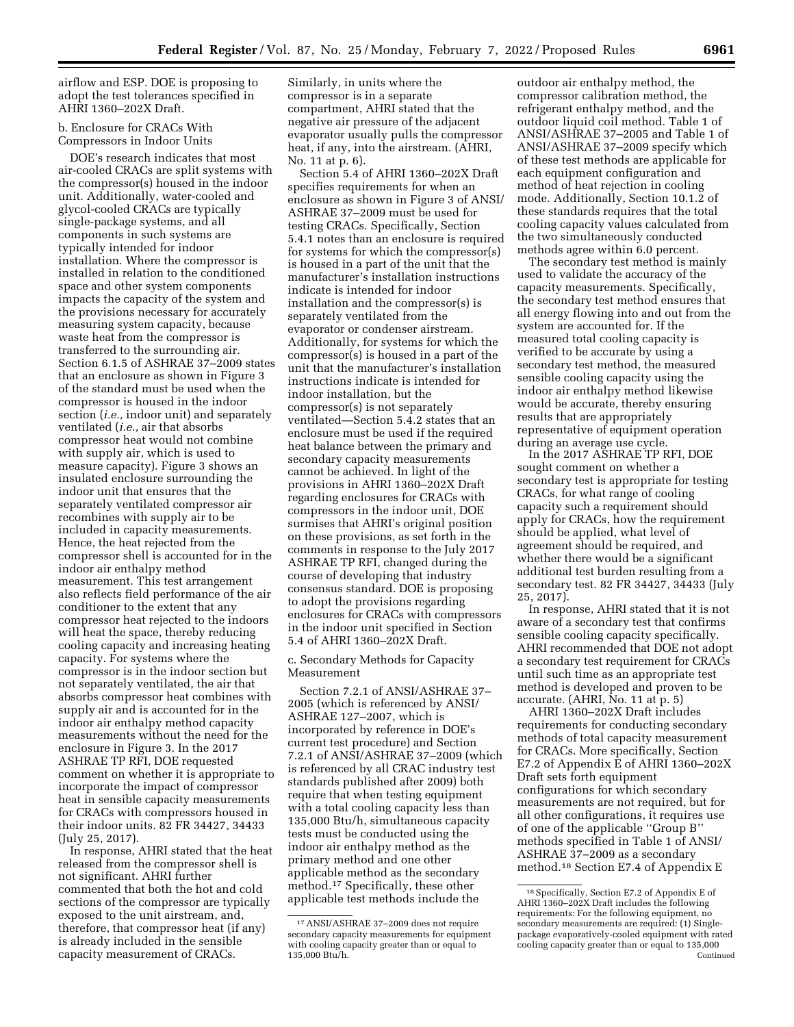airflow and ESP. DOE is proposing to adopt the test tolerances specified in AHRI 1360–202X Draft.

# b. Enclosure for CRACs With Compressors in Indoor Units

DOE's research indicates that most air-cooled CRACs are split systems with the compressor(s) housed in the indoor unit. Additionally, water-cooled and glycol-cooled CRACs are typically single-package systems, and all components in such systems are typically intended for indoor installation. Where the compressor is installed in relation to the conditioned space and other system components impacts the capacity of the system and the provisions necessary for accurately measuring system capacity, because waste heat from the compressor is transferred to the surrounding air. Section 6.1.5 of ASHRAE 37–2009 states that an enclosure as shown in Figure 3 of the standard must be used when the compressor is housed in the indoor section (*i.e.,* indoor unit) and separately ventilated (*i.e.,* air that absorbs compressor heat would not combine with supply air, which is used to measure capacity). Figure 3 shows an insulated enclosure surrounding the indoor unit that ensures that the separately ventilated compressor air recombines with supply air to be included in capacity measurements. Hence, the heat rejected from the compressor shell is accounted for in the indoor air enthalpy method measurement. This test arrangement also reflects field performance of the air conditioner to the extent that any compressor heat rejected to the indoors will heat the space, thereby reducing cooling capacity and increasing heating capacity. For systems where the compressor is in the indoor section but not separately ventilated, the air that absorbs compressor heat combines with supply air and is accounted for in the indoor air enthalpy method capacity measurements without the need for the enclosure in Figure 3. In the 2017 ASHRAE TP RFI, DOE requested comment on whether it is appropriate to incorporate the impact of compressor heat in sensible capacity measurements for CRACs with compressors housed in their indoor units. 82 FR 34427, 34433 (July 25, 2017).

In response, AHRI stated that the heat released from the compressor shell is not significant. AHRI further commented that both the hot and cold sections of the compressor are typically exposed to the unit airstream, and, therefore, that compressor heat (if any) is already included in the sensible capacity measurement of CRACs.

Similarly, in units where the compressor is in a separate compartment, AHRI stated that the negative air pressure of the adjacent evaporator usually pulls the compressor heat, if any, into the airstream. (AHRI, No. 11 at p. 6).

Section 5.4 of AHRI 1360–202X Draft specifies requirements for when an enclosure as shown in Figure 3 of ANSI/ ASHRAE 37–2009 must be used for testing CRACs. Specifically, Section 5.4.1 notes than an enclosure is required for systems for which the compressor(s) is housed in a part of the unit that the manufacturer's installation instructions indicate is intended for indoor installation and the compressor(s) is separately ventilated from the evaporator or condenser airstream. Additionally, for systems for which the compressor(s) is housed in a part of the unit that the manufacturer's installation instructions indicate is intended for indoor installation, but the compressor(s) is not separately ventilated—Section 5.4.2 states that an enclosure must be used if the required heat balance between the primary and secondary capacity measurements cannot be achieved. In light of the provisions in AHRI 1360–202X Draft regarding enclosures for CRACs with compressors in the indoor unit, DOE surmises that AHRI's original position on these provisions, as set forth in the comments in response to the July 2017 ASHRAE TP RFI, changed during the course of developing that industry consensus standard. DOE is proposing to adopt the provisions regarding enclosures for CRACs with compressors in the indoor unit specified in Section 5.4 of AHRI 1360–202X Draft.

c. Secondary Methods for Capacity Measurement

Section 7.2.1 of ANSI/ASHRAE 37– 2005 (which is referenced by ANSI/ ASHRAE 127–2007, which is incorporated by reference in DOE's current test procedure) and Section 7.2.1 of ANSI/ASHRAE 37–2009 (which is referenced by all CRAC industry test standards published after 2009) both require that when testing equipment with a total cooling capacity less than 135,000 Btu/h, simultaneous capacity tests must be conducted using the indoor air enthalpy method as the primary method and one other applicable method as the secondary method.17 Specifically, these other applicable test methods include the

outdoor air enthalpy method, the compressor calibration method, the refrigerant enthalpy method, and the outdoor liquid coil method. Table 1 of ANSI/ASHRAE 37–2005 and Table 1 of ANSI/ASHRAE 37–2009 specify which of these test methods are applicable for each equipment configuration and method of heat rejection in cooling mode. Additionally, Section 10.1.2 of these standards requires that the total cooling capacity values calculated from the two simultaneously conducted methods agree within 6.0 percent.

The secondary test method is mainly used to validate the accuracy of the capacity measurements. Specifically, the secondary test method ensures that all energy flowing into and out from the system are accounted for. If the measured total cooling capacity is verified to be accurate by using a secondary test method, the measured sensible cooling capacity using the indoor air enthalpy method likewise would be accurate, thereby ensuring results that are appropriately representative of equipment operation during an average use cycle.

In the 2017 ASHRAE TP RFI, DOE sought comment on whether a secondary test is appropriate for testing CRACs, for what range of cooling capacity such a requirement should apply for CRACs, how the requirement should be applied, what level of agreement should be required, and whether there would be a significant additional test burden resulting from a secondary test. 82 FR 34427, 34433 (July 25, 2017).

In response, AHRI stated that it is not aware of a secondary test that confirms sensible cooling capacity specifically. AHRI recommended that DOE not adopt a secondary test requirement for CRACs until such time as an appropriate test method is developed and proven to be accurate. (AHRI, No. 11 at p. 5)

AHRI 1360–202X Draft includes requirements for conducting secondary methods of total capacity measurement for CRACs. More specifically, Section E7.2 of Appendix E of AHRI 1360–202X Draft sets forth equipment configurations for which secondary measurements are not required, but for all other configurations, it requires use of one of the applicable ''Group B'' methods specified in Table 1 of ANSI/ ASHRAE 37–2009 as a secondary method.18 Section E7.4 of Appendix E

<sup>17</sup>ANSI/ASHRAE 37–2009 does not require secondary capacity measurements for equipment with cooling capacity greater than or equal to 135,000 Btu/h.

<sup>18</sup>Specifically, Section E7.2 of Appendix E of AHRI 1360–202X Draft includes the following requirements: For the following equipment, no secondary measurements are required: (1) Singlepackage evaporatively-cooled equipment with rated cooling capacity greater than or equal to 135,000 Continued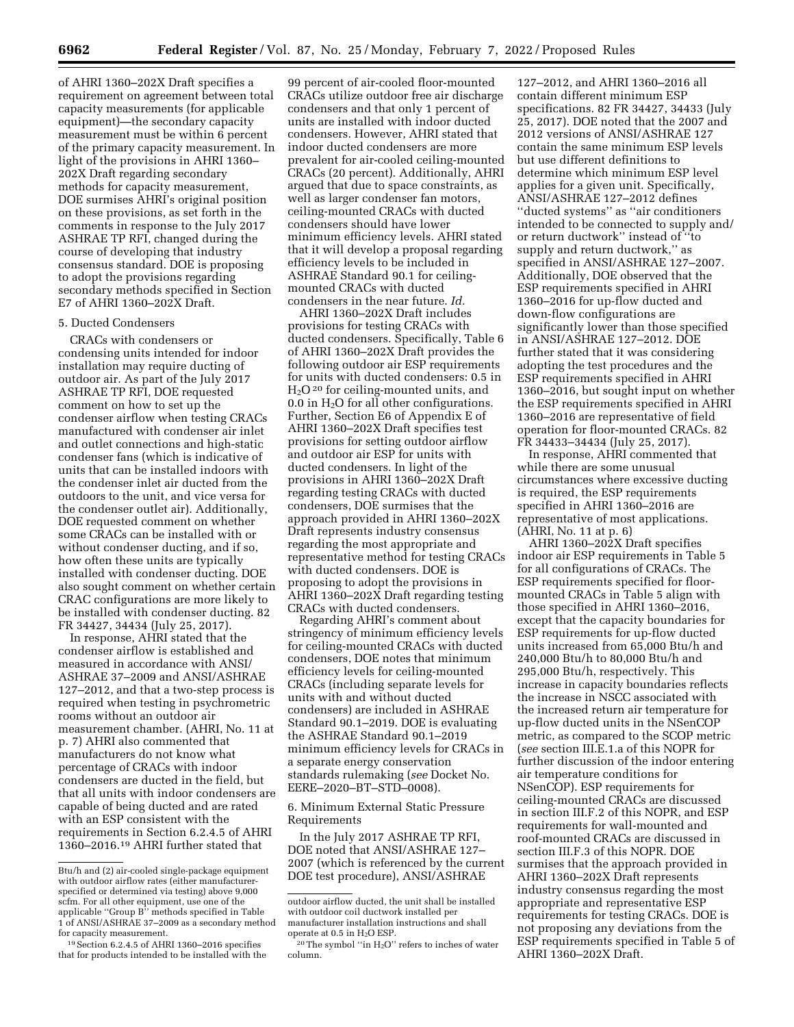of AHRI 1360–202X Draft specifies a requirement on agreement between total capacity measurements (for applicable equipment)—the secondary capacity measurement must be within 6 percent of the primary capacity measurement. In light of the provisions in AHRI 1360– 202X Draft regarding secondary methods for capacity measurement, DOE surmises AHRI's original position on these provisions, as set forth in the comments in response to the July 2017 ASHRAE TP RFI, changed during the course of developing that industry consensus standard. DOE is proposing to adopt the provisions regarding secondary methods specified in Section E7 of AHRI 1360–202X Draft.

#### 5. Ducted Condensers

CRACs with condensers or condensing units intended for indoor installation may require ducting of outdoor air. As part of the July 2017 ASHRAE TP RFI, DOE requested comment on how to set up the condenser airflow when testing CRACs manufactured with condenser air inlet and outlet connections and high-static condenser fans (which is indicative of units that can be installed indoors with the condenser inlet air ducted from the outdoors to the unit, and vice versa for the condenser outlet air). Additionally, DOE requested comment on whether some CRACs can be installed with or without condenser ducting, and if so, how often these units are typically installed with condenser ducting. DOE also sought comment on whether certain CRAC configurations are more likely to be installed with condenser ducting. 82 FR 34427, 34434 (July 25, 2017).

In response, AHRI stated that the condenser airflow is established and measured in accordance with ANSI/ ASHRAE 37–2009 and ANSI/ASHRAE 127–2012, and that a two-step process is required when testing in psychrometric rooms without an outdoor air measurement chamber. (AHRI, No. 11 at p. 7) AHRI also commented that manufacturers do not know what percentage of CRACs with indoor condensers are ducted in the field, but that all units with indoor condensers are capable of being ducted and are rated with an ESP consistent with the requirements in Section 6.2.4.5 of AHRI 1360–2016.19 AHRI further stated that

99 percent of air-cooled floor-mounted CRACs utilize outdoor free air discharge condensers and that only 1 percent of units are installed with indoor ducted condensers. However, AHRI stated that indoor ducted condensers are more prevalent for air-cooled ceiling-mounted CRACs (20 percent). Additionally, AHRI argued that due to space constraints, as well as larger condenser fan motors, ceiling-mounted CRACs with ducted condensers should have lower minimum efficiency levels. AHRI stated that it will develop a proposal regarding efficiency levels to be included in ASHRAE Standard 90.1 for ceilingmounted CRACs with ducted condensers in the near future. *Id.* 

AHRI 1360–202X Draft includes provisions for testing CRACs with ducted condensers. Specifically, Table 6 of AHRI 1360–202X Draft provides the following outdoor air ESP requirements for units with ducted condensers: 0.5 in  $H<sub>2</sub>O<sup>20</sup>$  for ceiling-mounted units, and 0.0 in  $H_2O$  for all other configurations. Further, Section E6 of Appendix E of AHRI 1360–202X Draft specifies test provisions for setting outdoor airflow and outdoor air ESP for units with ducted condensers. In light of the provisions in AHRI 1360–202X Draft regarding testing CRACs with ducted condensers, DOE surmises that the approach provided in AHRI 1360–202X Draft represents industry consensus regarding the most appropriate and representative method for testing CRACs with ducted condensers. DOE is proposing to adopt the provisions in AHRI 1360–202X Draft regarding testing CRACs with ducted condensers.

Regarding AHRI's comment about stringency of minimum efficiency levels for ceiling-mounted CRACs with ducted condensers, DOE notes that minimum efficiency levels for ceiling-mounted CRACs (including separate levels for units with and without ducted condensers) are included in ASHRAE Standard 90.1–2019. DOE is evaluating the ASHRAE Standard 90.1–2019 minimum efficiency levels for CRACs in a separate energy conservation standards rulemaking (*see* Docket No. EERE–2020–BT–STD–0008).

6. Minimum External Static Pressure Requirements

In the July 2017 ASHRAE TP RFI, DOE noted that ANSI/ASHRAE 127– 2007 (which is referenced by the current DOE test procedure), ANSI/ASHRAE

127–2012, and AHRI 1360–2016 all contain different minimum ESP specifications. 82 FR 34427, 34433 (July 25, 2017). DOE noted that the 2007 and 2012 versions of ANSI/ASHRAE 127 contain the same minimum ESP levels but use different definitions to determine which minimum ESP level applies for a given unit. Specifically, ANSI/ASHRAE 127–2012 defines ''ducted systems'' as ''air conditioners intended to be connected to supply and/ or return ductwork'' instead of ''to supply and return ductwork,'' as specified in ANSI/ASHRAE 127–2007. Additionally, DOE observed that the ESP requirements specified in AHRI 1360–2016 for up-flow ducted and down-flow configurations are significantly lower than those specified in ANSI/ASHRAE 127–2012. DOE further stated that it was considering adopting the test procedures and the ESP requirements specified in AHRI 1360–2016, but sought input on whether the ESP requirements specified in AHRI 1360–2016 are representative of field operation for floor-mounted CRACs. 82 FR 34433–34434 (July 25, 2017).

In response, AHRI commented that while there are some unusual circumstances where excessive ducting is required, the ESP requirements specified in AHRI 1360–2016 are representative of most applications. (AHRI, No. 11 at p. 6)

AHRI 1360–202X Draft specifies indoor air ESP requirements in Table 5 for all configurations of CRACs. The ESP requirements specified for floormounted CRACs in Table 5 align with those specified in AHRI 1360–2016, except that the capacity boundaries for ESP requirements for up-flow ducted units increased from 65,000 Btu/h and 240,000 Btu/h to 80,000 Btu/h and 295,000 Btu/h, respectively. This increase in capacity boundaries reflects the increase in NSCC associated with the increased return air temperature for up-flow ducted units in the NSenCOP metric, as compared to the SCOP metric (*see* section III.E.1.a of this NOPR for further discussion of the indoor entering air temperature conditions for NSenCOP). ESP requirements for ceiling-mounted CRACs are discussed in section III.F.2 of this NOPR, and ESP requirements for wall-mounted and roof-mounted CRACs are discussed in section III.F.3 of this NOPR. DOE surmises that the approach provided in AHRI 1360–202X Draft represents industry consensus regarding the most appropriate and representative ESP requirements for testing CRACs. DOE is not proposing any deviations from the ESP requirements specified in Table 5 of AHRI 1360–202X Draft.

Btu/h and (2) air-cooled single-package equipment with outdoor airflow rates (either manufacturerspecified or determined via testing) above 9,000 scfm. For all other equipment, use one of the applicable ''Group B'' methods specified in Table 1 of ANSI/ASHRAE 37–2009 as a secondary method for capacity measurement.

<sup>19</sup>Section 6.2.4.5 of AHRI 1360–2016 specifies that for products intended to be installed with the

outdoor airflow ducted, the unit shall be installed with outdoor coil ductwork installed per manufacturer installation instructions and shall operate at 0.5 in H2O ESP.

 $20$  The symbol "in  $H<sub>2</sub>O$ " refers to inches of water column.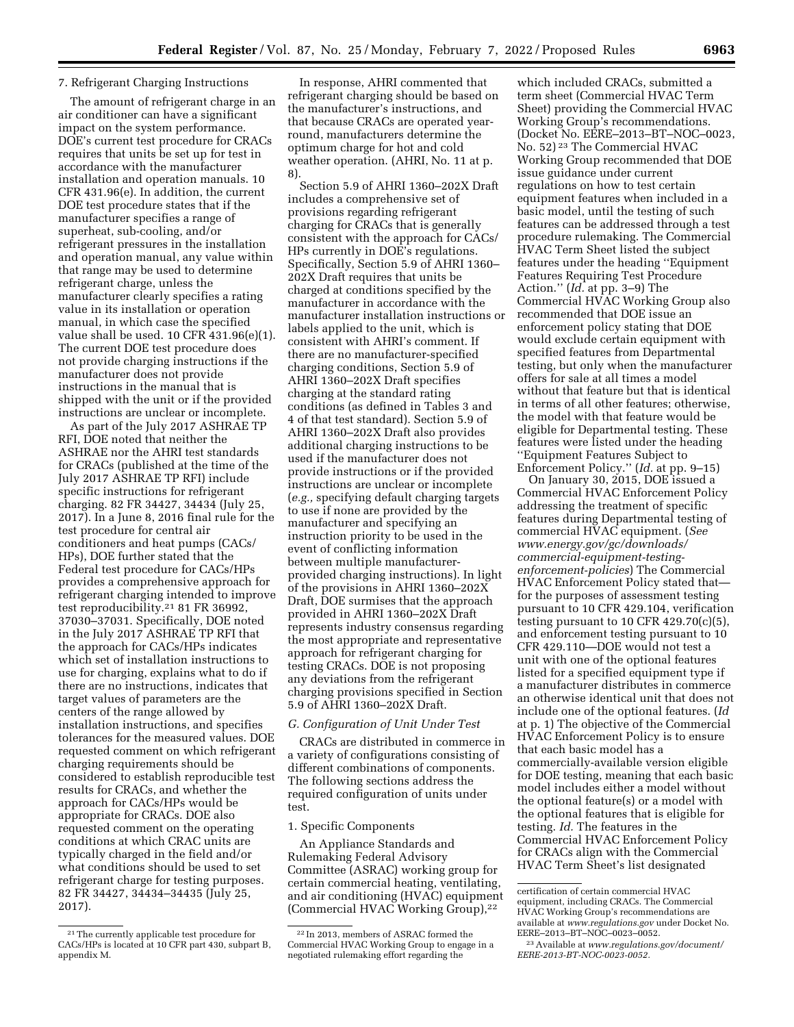#### 7. Refrigerant Charging Instructions

The amount of refrigerant charge in an air conditioner can have a significant impact on the system performance. DOE's current test procedure for CRACs requires that units be set up for test in accordance with the manufacturer installation and operation manuals. 10 CFR 431.96(e). In addition, the current DOE test procedure states that if the manufacturer specifies a range of superheat, sub-cooling, and/or refrigerant pressures in the installation and operation manual, any value within that range may be used to determine refrigerant charge, unless the manufacturer clearly specifies a rating value in its installation or operation manual, in which case the specified value shall be used. 10 CFR 431.96(e)(1). The current DOE test procedure does not provide charging instructions if the manufacturer does not provide instructions in the manual that is shipped with the unit or if the provided instructions are unclear or incomplete.

As part of the July 2017 ASHRAE TP RFI, DOE noted that neither the ASHRAE nor the AHRI test standards for CRACs (published at the time of the July 2017 ASHRAE TP RFI) include specific instructions for refrigerant charging. 82 FR 34427, 34434 (July 25, 2017). In a June 8, 2016 final rule for the test procedure for central air conditioners and heat pumps (CACs/ HPs), DOE further stated that the Federal test procedure for CACs/HPs provides a comprehensive approach for refrigerant charging intended to improve test reproducibility.21 81 FR 36992, 37030–37031. Specifically, DOE noted in the July 2017 ASHRAE TP RFI that the approach for CACs/HPs indicates which set of installation instructions to use for charging, explains what to do if there are no instructions, indicates that target values of parameters are the centers of the range allowed by installation instructions, and specifies tolerances for the measured values. DOE requested comment on which refrigerant charging requirements should be considered to establish reproducible test results for CRACs, and whether the approach for CACs/HPs would be appropriate for CRACs. DOE also requested comment on the operating conditions at which CRAC units are typically charged in the field and/or what conditions should be used to set refrigerant charge for testing purposes. 82 FR 34427, 34434–34435 (July 25, 2017).

In response, AHRI commented that refrigerant charging should be based on the manufacturer's instructions, and that because CRACs are operated yearround, manufacturers determine the optimum charge for hot and cold weather operation. (AHRI, No. 11 at p. 8).

Section 5.9 of AHRI 1360–202X Draft includes a comprehensive set of provisions regarding refrigerant charging for CRACs that is generally consistent with the approach for CACs/ HPs currently in DOE's regulations. Specifically, Section 5.9 of AHRI 1360– 202X Draft requires that units be charged at conditions specified by the manufacturer in accordance with the manufacturer installation instructions or labels applied to the unit, which is consistent with AHRI's comment. If there are no manufacturer-specified charging conditions, Section 5.9 of AHRI 1360–202X Draft specifies charging at the standard rating conditions (as defined in Tables 3 and 4 of that test standard). Section 5.9 of AHRI 1360–202X Draft also provides additional charging instructions to be used if the manufacturer does not provide instructions or if the provided instructions are unclear or incomplete (*e.g.,* specifying default charging targets to use if none are provided by the manufacturer and specifying an instruction priority to be used in the event of conflicting information between multiple manufacturerprovided charging instructions). In light of the provisions in AHRI 1360–202X Draft, DOE surmises that the approach provided in AHRI 1360–202X Draft represents industry consensus regarding the most appropriate and representative approach for refrigerant charging for testing CRACs. DOE is not proposing any deviations from the refrigerant charging provisions specified in Section 5.9 of AHRI 1360–202X Draft.

#### *G. Configuration of Unit Under Test*

CRACs are distributed in commerce in a variety of configurations consisting of different combinations of components. The following sections address the required configuration of units under test.

#### 1. Specific Components

An Appliance Standards and Rulemaking Federal Advisory Committee (ASRAC) working group for certain commercial heating, ventilating, and air conditioning (HVAC) equipment (Commercial HVAC Working Group),22

which included CRACs, submitted a term sheet (Commercial HVAC Term Sheet) providing the Commercial HVAC Working Group's recommendations. (Docket No. EERE–2013–BT–NOC–0023, No. 52) 23 The Commercial HVAC Working Group recommended that DOE issue guidance under current regulations on how to test certain equipment features when included in a basic model, until the testing of such features can be addressed through a test procedure rulemaking. The Commercial HVAC Term Sheet listed the subject features under the heading ''Equipment Features Requiring Test Procedure Action.'' (*Id.* at pp. 3–9) The Commercial HVAC Working Group also recommended that DOE issue an enforcement policy stating that DOE would exclude certain equipment with specified features from Departmental testing, but only when the manufacturer offers for sale at all times a model without that feature but that is identical in terms of all other features; otherwise, the model with that feature would be eligible for Departmental testing. These features were listed under the heading ''Equipment Features Subject to Enforcement Policy.'' (*Id.* at pp. 9–15)

On January 30, 2015, DOE issued a Commercial HVAC Enforcement Policy addressing the treatment of specific features during Departmental testing of commercial HVAC equipment. (*See [www.energy.gov/gc/downloads/](http://www.energy.gov/gc/downloads/commercial-equipment-testing-enforcement-policies)  [commercial-equipment-testing](http://www.energy.gov/gc/downloads/commercial-equipment-testing-enforcement-policies)[enforcement-policies](http://www.energy.gov/gc/downloads/commercial-equipment-testing-enforcement-policies)*) The Commercial HVAC Enforcement Policy stated that for the purposes of assessment testing pursuant to 10 CFR 429.104, verification testing pursuant to 10 CFR  $429.70(c)(5)$ , and enforcement testing pursuant to 10 CFR 429.110—DOE would not test a unit with one of the optional features listed for a specified equipment type if a manufacturer distributes in commerce an otherwise identical unit that does not include one of the optional features. (*Id*  at p. 1) The objective of the Commercial HVAC Enforcement Policy is to ensure that each basic model has a commercially-available version eligible for DOE testing, meaning that each basic model includes either a model without the optional feature(s) or a model with the optional features that is eligible for testing. *Id.* The features in the Commercial HVAC Enforcement Policy for CRACs align with the Commercial HVAC Term Sheet's list designated

<sup>21</sup>The currently applicable test procedure for CACs/HPs is located at 10 CFR part 430, subpart B, appendix M.

<sup>22</sup> In 2013, members of ASRAC formed the Commercial HVAC Working Group to engage in a negotiated rulemaking effort regarding the

certification of certain commercial HVAC equipment, including CRACs. The Commercial HVAC Working Group's recommendations are available at *[www.regulations.gov](http://www.regulations.gov)* under Docket No. EERE–2013–BT–NOC–0023–0052.

<sup>23</sup>Available at *[www.regulations.gov/document/](http://www.regulations.gov/document/EERE-2013-BT-NOC-0023-0052) [EERE-2013-BT-NOC-0023-0052.](http://www.regulations.gov/document/EERE-2013-BT-NOC-0023-0052)*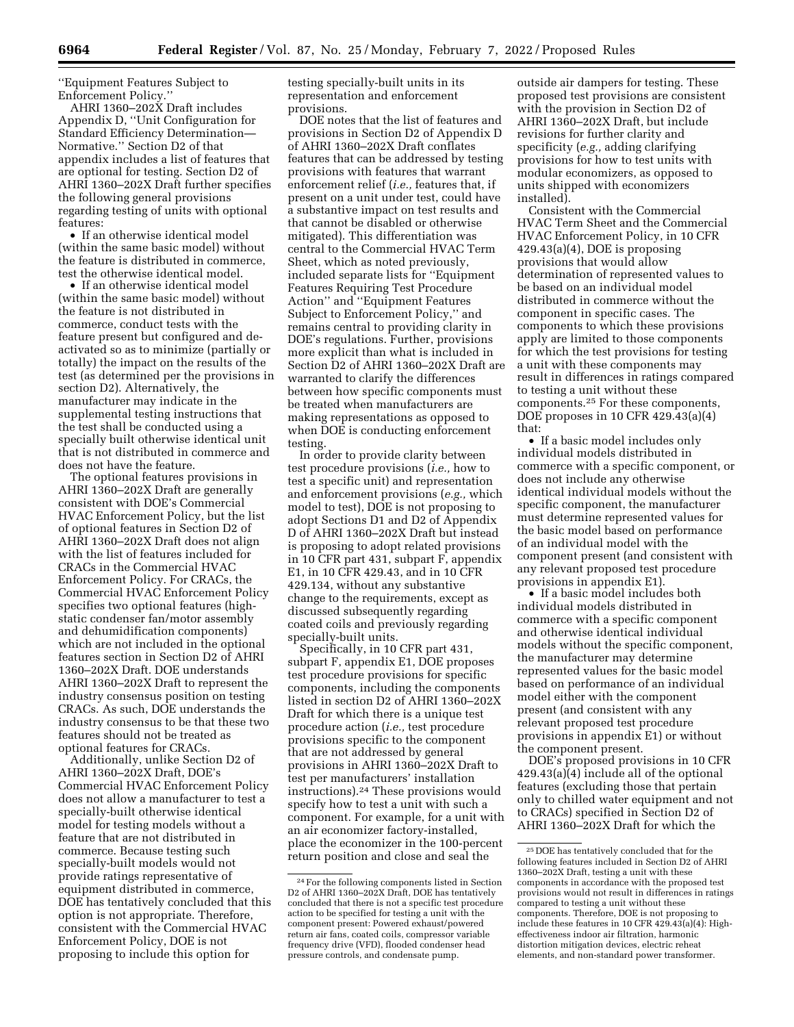''Equipment Features Subject to Enforcement Policy.''

AHRI 1360–202X Draft includes Appendix D, ''Unit Configuration for Standard Efficiency Determination— Normative.'' Section D2 of that appendix includes a list of features that are optional for testing. Section D2 of AHRI 1360–202X Draft further specifies the following general provisions regarding testing of units with optional features:

• If an otherwise identical model (within the same basic model) without the feature is distributed in commerce, test the otherwise identical model.

• If an otherwise identical model (within the same basic model) without the feature is not distributed in commerce, conduct tests with the feature present but configured and deactivated so as to minimize (partially or totally) the impact on the results of the test (as determined per the provisions in section D2). Alternatively, the manufacturer may indicate in the supplemental testing instructions that the test shall be conducted using a specially built otherwise identical unit that is not distributed in commerce and does not have the feature.

The optional features provisions in AHRI 1360–202X Draft are generally consistent with DOE's Commercial HVAC Enforcement Policy, but the list of optional features in Section D2 of AHRI 1360–202X Draft does not align with the list of features included for CRACs in the Commercial HVAC Enforcement Policy. For CRACs, the Commercial HVAC Enforcement Policy specifies two optional features (highstatic condenser fan/motor assembly and dehumidification components) which are not included in the optional features section in Section D2 of AHRI 1360–202X Draft. DOE understands AHRI 1360–202X Draft to represent the industry consensus position on testing CRACs. As such, DOE understands the industry consensus to be that these two features should not be treated as optional features for CRACs.

Additionally, unlike Section D2 of AHRI 1360–202X Draft, DOE's Commercial HVAC Enforcement Policy does not allow a manufacturer to test a specially-built otherwise identical model for testing models without a feature that are not distributed in commerce. Because testing such specially-built models would not provide ratings representative of equipment distributed in commerce, DOE has tentatively concluded that this option is not appropriate. Therefore, consistent with the Commercial HVAC Enforcement Policy, DOE is not proposing to include this option for

testing specially-built units in its representation and enforcement provisions.

DOE notes that the list of features and provisions in Section D2 of Appendix D of AHRI 1360–202X Draft conflates features that can be addressed by testing provisions with features that warrant enforcement relief (*i.e.,* features that, if present on a unit under test, could have a substantive impact on test results and that cannot be disabled or otherwise mitigated). This differentiation was central to the Commercial HVAC Term Sheet, which as noted previously, included separate lists for ''Equipment Features Requiring Test Procedure Action'' and ''Equipment Features Subject to Enforcement Policy,'' and remains central to providing clarity in DOE's regulations. Further, provisions more explicit than what is included in Section D2 of AHRI 1360–202X Draft are warranted to clarify the differences between how specific components must be treated when manufacturers are making representations as opposed to when DOE is conducting enforcement testing.

In order to provide clarity between test procedure provisions (*i.e.,* how to test a specific unit) and representation and enforcement provisions (*e.g.,* which model to test), DOE is not proposing to adopt Sections D1 and D2 of Appendix D of AHRI 1360–202X Draft but instead is proposing to adopt related provisions in 10 CFR part 431, subpart F, appendix E1, in 10 CFR 429.43, and in 10 CFR 429.134, without any substantive change to the requirements, except as discussed subsequently regarding coated coils and previously regarding specially-built units.

Specifically, in 10 CFR part 431, subpart F, appendix E1, DOE proposes test procedure provisions for specific components, including the components listed in section D2 of AHRI 1360–202X Draft for which there is a unique test procedure action (*i.e.,* test procedure provisions specific to the component that are not addressed by general provisions in AHRI 1360–202X Draft to test per manufacturers' installation instructions).24 These provisions would specify how to test a unit with such a component. For example, for a unit with an air economizer factory-installed, place the economizer in the 100-percent return position and close and seal the

outside air dampers for testing. These proposed test provisions are consistent with the provision in Section D2 of AHRI 1360–202X Draft, but include revisions for further clarity and specificity (*e.g.,* adding clarifying provisions for how to test units with modular economizers, as opposed to units shipped with economizers installed).

Consistent with the Commercial HVAC Term Sheet and the Commercial HVAC Enforcement Policy, in 10 CFR  $429.43(a)(4)$ , DOE is proposing provisions that would allow determination of represented values to be based on an individual model distributed in commerce without the component in specific cases. The components to which these provisions apply are limited to those components for which the test provisions for testing a unit with these components may result in differences in ratings compared to testing a unit without these components.25 For these components, DOE proposes in 10 CFR 429.43(a)(4) that:

• If a basic model includes only individual models distributed in commerce with a specific component, or does not include any otherwise identical individual models without the specific component, the manufacturer must determine represented values for the basic model based on performance of an individual model with the component present (and consistent with any relevant proposed test procedure provisions in appendix E1).

• If a basic model includes both individual models distributed in commerce with a specific component and otherwise identical individual models without the specific component, the manufacturer may determine represented values for the basic model based on performance of an individual model either with the component present (and consistent with any relevant proposed test procedure provisions in appendix E1) or without the component present.

DOE's proposed provisions in 10 CFR 429.43(a)(4) include all of the optional features (excluding those that pertain only to chilled water equipment and not to CRACs) specified in Section D2 of AHRI 1360–202X Draft for which the

<sup>24</sup>For the following components listed in Section D2 of AHRI 1360–202X Draft, DOE has tentatively concluded that there is not a specific test procedure action to be specified for testing a unit with the component present: Powered exhaust/powered return air fans, coated coils, compressor variable frequency drive (VFD), flooded condenser head pressure controls, and condensate pump.

<sup>25</sup> DOE has tentatively concluded that for the following features included in Section D2 of AHRI 1360–202X Draft, testing a unit with these components in accordance with the proposed test provisions would not result in differences in ratings compared to testing a unit without these components. Therefore, DOE is not proposing to include these features in 10 CFR  $429.43(a)(4)$ : Higheffectiveness indoor air filtration, harmonic distortion mitigation devices, electric reheat elements, and non-standard power transformer.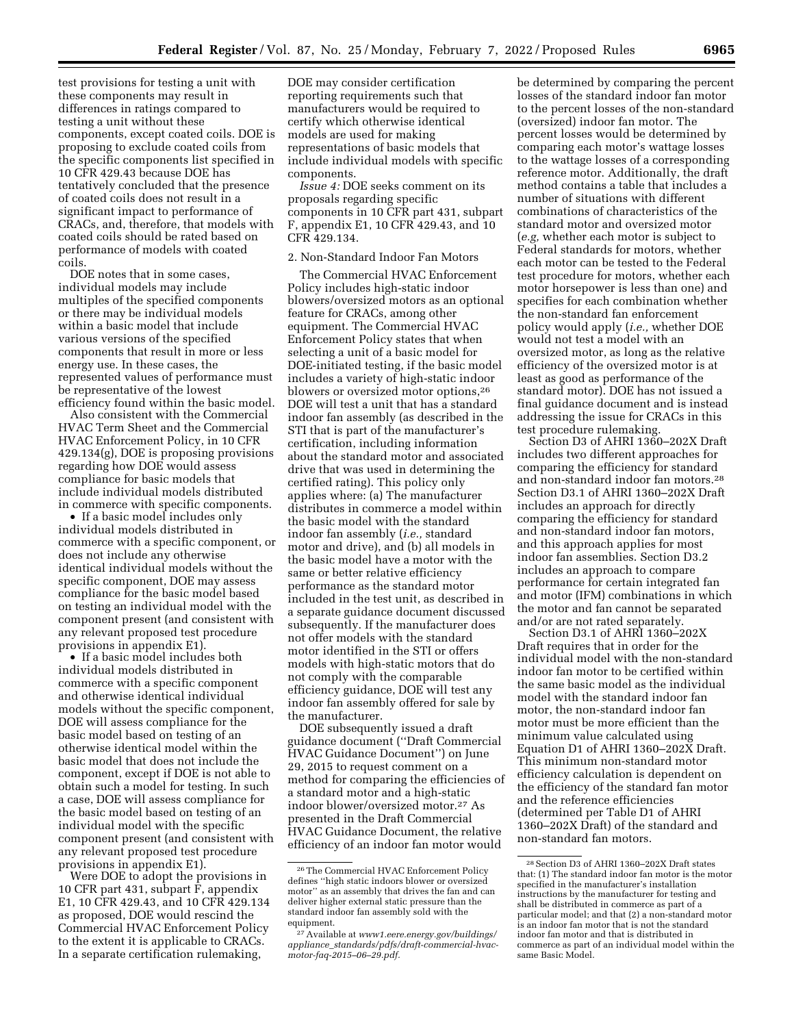test provisions for testing a unit with these components may result in differences in ratings compared to testing a unit without these components, except coated coils. DOE is proposing to exclude coated coils from the specific components list specified in 10 CFR 429.43 because DOE has tentatively concluded that the presence of coated coils does not result in a significant impact to performance of CRACs, and, therefore, that models with coated coils should be rated based on

coils. DOE notes that in some cases, individual models may include multiples of the specified components or there may be individual models within a basic model that include various versions of the specified components that result in more or less energy use. In these cases, the represented values of performance must be representative of the lowest efficiency found within the basic model.

performance of models with coated

Also consistent with the Commercial HVAC Term Sheet and the Commercial HVAC Enforcement Policy, in 10 CFR 429.134(g), DOE is proposing provisions regarding how DOE would assess compliance for basic models that include individual models distributed in commerce with specific components.

• If a basic model includes only individual models distributed in commerce with a specific component, or does not include any otherwise identical individual models without the specific component, DOE may assess compliance for the basic model based on testing an individual model with the component present (and consistent with any relevant proposed test procedure provisions in appendix E1).

• If a basic model includes both individual models distributed in commerce with a specific component and otherwise identical individual models without the specific component, DOE will assess compliance for the basic model based on testing of an otherwise identical model within the basic model that does not include the component, except if DOE is not able to obtain such a model for testing. In such a case, DOE will assess compliance for the basic model based on testing of an individual model with the specific component present (and consistent with any relevant proposed test procedure provisions in appendix E1).

Were DOE to adopt the provisions in 10 CFR part 431, subpart F, appendix E1, 10 CFR 429.43, and 10 CFR 429.134 as proposed, DOE would rescind the Commercial HVAC Enforcement Policy to the extent it is applicable to CRACs. In a separate certification rulemaking,

DOE may consider certification reporting requirements such that manufacturers would be required to certify which otherwise identical models are used for making representations of basic models that include individual models with specific components.

*Issue 4:* DOE seeks comment on its proposals regarding specific components in 10 CFR part 431, subpart F, appendix E1, 10 CFR 429.43, and 10 CFR 429.134.

### 2. Non-Standard Indoor Fan Motors

The Commercial HVAC Enforcement Policy includes high-static indoor blowers/oversized motors as an optional feature for CRACs, among other equipment. The Commercial HVAC Enforcement Policy states that when selecting a unit of a basic model for DOE-initiated testing, if the basic model includes a variety of high-static indoor blowers or oversized motor options,26 DOE will test a unit that has a standard indoor fan assembly (as described in the STI that is part of the manufacturer's certification, including information about the standard motor and associated drive that was used in determining the certified rating). This policy only applies where: (a) The manufacturer distributes in commerce a model within the basic model with the standard indoor fan assembly (*i.e.,* standard motor and drive), and (b) all models in the basic model have a motor with the same or better relative efficiency performance as the standard motor included in the test unit, as described in a separate guidance document discussed subsequently. If the manufacturer does not offer models with the standard motor identified in the STI or offers models with high-static motors that do not comply with the comparable efficiency guidance, DOE will test any indoor fan assembly offered for sale by the manufacturer.

DOE subsequently issued a draft guidance document (''Draft Commercial HVAC Guidance Document'') on June 29, 2015 to request comment on a method for comparing the efficiencies of a standard motor and a high-static indoor blower/oversized motor.27 As presented in the Draft Commercial HVAC Guidance Document, the relative efficiency of an indoor fan motor would

be determined by comparing the percent losses of the standard indoor fan motor to the percent losses of the non-standard (oversized) indoor fan motor. The percent losses would be determined by comparing each motor's wattage losses to the wattage losses of a corresponding reference motor. Additionally, the draft method contains a table that includes a number of situations with different combinations of characteristics of the standard motor and oversized motor (*e.g,* whether each motor is subject to Federal standards for motors, whether each motor can be tested to the Federal test procedure for motors, whether each motor horsepower is less than one) and specifies for each combination whether the non-standard fan enforcement policy would apply (*i.e.,* whether DOE would not test a model with an oversized motor, as long as the relative efficiency of the oversized motor is at least as good as performance of the standard motor). DOE has not issued a final guidance document and is instead addressing the issue for CRACs in this test procedure rulemaking.

Section D3 of AHRI 1360–202X Draft includes two different approaches for comparing the efficiency for standard and non-standard indoor fan motors.28 Section D3.1 of AHRI 1360–202X Draft includes an approach for directly comparing the efficiency for standard and non-standard indoor fan motors, and this approach applies for most indoor fan assemblies. Section D3.2 includes an approach to compare performance for certain integrated fan and motor (IFM) combinations in which the motor and fan cannot be separated and/or are not rated separately.

Section D3.1 of AHRI 1360–202X Draft requires that in order for the individual model with the non-standard indoor fan motor to be certified within the same basic model as the individual model with the standard indoor fan motor, the non-standard indoor fan motor must be more efficient than the minimum value calculated using Equation D1 of AHRI 1360–202X Draft. This minimum non-standard motor efficiency calculation is dependent on the efficiency of the standard fan motor and the reference efficiencies (determined per Table D1 of AHRI 1360–202X Draft) of the standard and non-standard fan motors.

<sup>26</sup>The Commercial HVAC Enforcement Policy defines ''high static indoors blower or oversized motor'' as an assembly that drives the fan and can deliver higher external static pressure than the standard indoor fan assembly sold with the equipment.

<sup>27</sup>Available at *[www1.eere.energy.gov/buildings/](http://www1.eere.energy.gov/buildings/appliance_standards/pdfs/draft-commercial-hvac-motor-faq-2015-06-29.pdf) appliance*\_*[standards/pdfs/draft-commercial-hvac](http://www1.eere.energy.gov/buildings/appliance_standards/pdfs/draft-commercial-hvac-motor-faq-2015-06-29.pdf)[motor-faq-2015–06–29.pdf.](http://www1.eere.energy.gov/buildings/appliance_standards/pdfs/draft-commercial-hvac-motor-faq-2015-06-29.pdf)* 

<sup>28</sup>Section D3 of AHRI 1360–202X Draft states that: (1) The standard indoor fan motor is the motor specified in the manufacturer's installation instructions by the manufacturer for testing and shall be distributed in commerce as part of a particular model; and that (2) a non-standard motor is an indoor fan motor that is not the standard indoor fan motor and that is distributed in commerce as part of an individual model within the same Basic Model.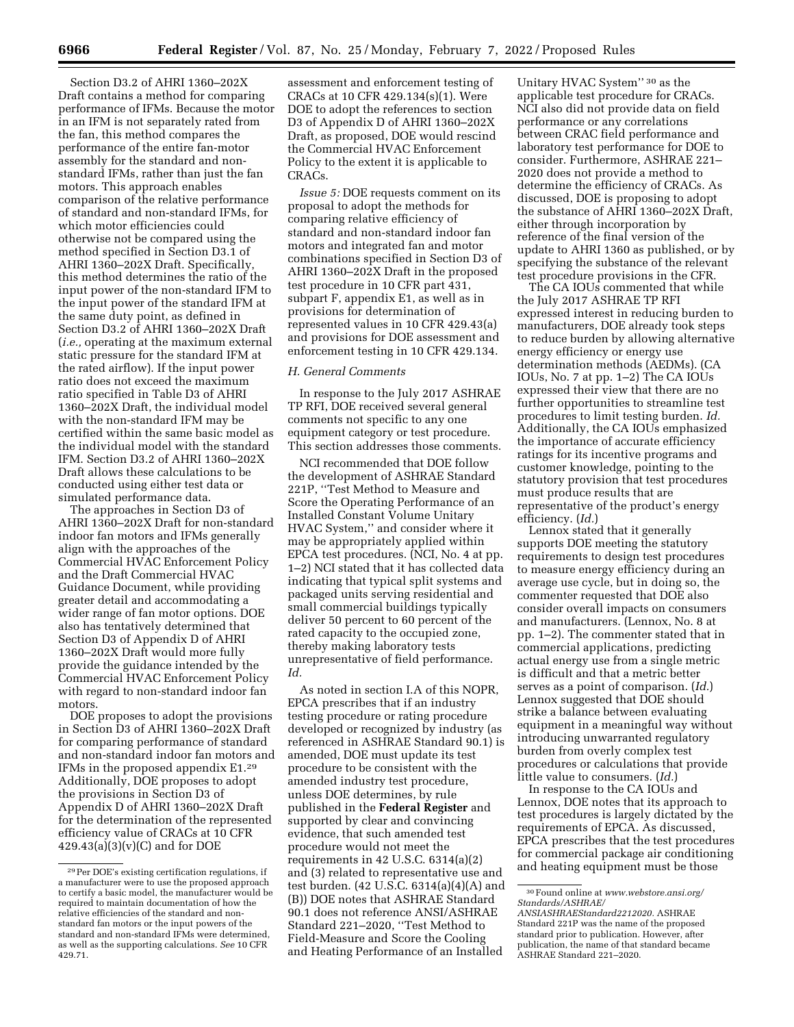Section D3.2 of AHRI 1360–202X Draft contains a method for comparing performance of IFMs. Because the motor in an IFM is not separately rated from the fan, this method compares the performance of the entire fan-motor assembly for the standard and nonstandard IFMs, rather than just the fan motors. This approach enables comparison of the relative performance of standard and non-standard IFMs, for which motor efficiencies could otherwise not be compared using the method specified in Section D3.1 of AHRI 1360–202X Draft. Specifically, this method determines the ratio of the input power of the non-standard IFM to the input power of the standard IFM at the same duty point, as defined in Section D3.2 of AHRI 1360–202X Draft (*i.e.,* operating at the maximum external static pressure for the standard IFM at the rated airflow). If the input power ratio does not exceed the maximum ratio specified in Table D3 of AHRI 1360–202X Draft, the individual model with the non-standard IFM may be certified within the same basic model as the individual model with the standard IFM. Section D3.2 of AHRI 1360–202X Draft allows these calculations to be conducted using either test data or simulated performance data.

The approaches in Section D3 of AHRI 1360–202X Draft for non-standard indoor fan motors and IFMs generally align with the approaches of the Commercial HVAC Enforcement Policy and the Draft Commercial HVAC Guidance Document, while providing greater detail and accommodating a wider range of fan motor options. DOE also has tentatively determined that Section D3 of Appendix D of AHRI 1360–202X Draft would more fully provide the guidance intended by the Commercial HVAC Enforcement Policy with regard to non-standard indoor fan motors.

DOE proposes to adopt the provisions in Section D3 of AHRI 1360–202X Draft for comparing performance of standard and non-standard indoor fan motors and IFMs in the proposed appendix E1.29 Additionally, DOE proposes to adopt the provisions in Section D3 of Appendix D of AHRI 1360–202X Draft for the determination of the represented efficiency value of CRACs at 10 CFR 429.43(a)(3)(v)(C) and for DOE

assessment and enforcement testing of CRACs at 10 CFR 429.134(s)(1). Were DOE to adopt the references to section D3 of Appendix D of AHRI 1360–202X Draft, as proposed, DOE would rescind the Commercial HVAC Enforcement Policy to the extent it is applicable to CRACs.

*Issue 5:* DOE requests comment on its proposal to adopt the methods for comparing relative efficiency of standard and non-standard indoor fan motors and integrated fan and motor combinations specified in Section D3 of AHRI 1360–202X Draft in the proposed test procedure in 10 CFR part 431, subpart F, appendix E1, as well as in provisions for determination of represented values in 10 CFR 429.43(a) and provisions for DOE assessment and enforcement testing in 10 CFR 429.134.

#### *H. General Comments*

In response to the July 2017 ASHRAE TP RFI, DOE received several general comments not specific to any one equipment category or test procedure. This section addresses those comments.

NCI recommended that DOE follow the development of ASHRAE Standard 221P, ''Test Method to Measure and Score the Operating Performance of an Installed Constant Volume Unitary HVAC System,'' and consider where it may be appropriately applied within EPCA test procedures. (NCI, No. 4 at pp. 1–2) NCI stated that it has collected data indicating that typical split systems and packaged units serving residential and small commercial buildings typically deliver 50 percent to 60 percent of the rated capacity to the occupied zone, thereby making laboratory tests unrepresentative of field performance. *Id.* 

As noted in section I.A of this NOPR, EPCA prescribes that if an industry testing procedure or rating procedure developed or recognized by industry (as referenced in ASHRAE Standard 90.1) is amended, DOE must update its test procedure to be consistent with the amended industry test procedure, unless DOE determines, by rule published in the **Federal Register** and supported by clear and convincing evidence, that such amended test procedure would not meet the requirements in  $42$  U.S.C.  $6314(a)(2)$ and (3) related to representative use and test burden. (42 U.S.C. 6314(a)(4)(A) and (B)) DOE notes that ASHRAE Standard 90.1 does not reference ANSI/ASHRAE Standard 221–2020, ''Test Method to Field-Measure and Score the Cooling and Heating Performance of an Installed

Unitary HVAC System'' 30 as the applicable test procedure for CRACs. NCI also did not provide data on field performance or any correlations between CRAC field performance and laboratory test performance for DOE to consider. Furthermore, ASHRAE 221– 2020 does not provide a method to determine the efficiency of CRACs. As discussed, DOE is proposing to adopt the substance of AHRI 1360–202X Draft, either through incorporation by reference of the final version of the update to AHRI 1360 as published, or by specifying the substance of the relevant test procedure provisions in the CFR.

The CA IOUs commented that while the July 2017 ASHRAE TP RFI expressed interest in reducing burden to manufacturers, DOE already took steps to reduce burden by allowing alternative energy efficiency or energy use determination methods (AEDMs). (CA IOUs, No. 7 at pp. 1–2) The CA IOUs expressed their view that there are no further opportunities to streamline test procedures to limit testing burden. *Id.*  Additionally, the CA IOUs emphasized the importance of accurate efficiency ratings for its incentive programs and customer knowledge, pointing to the statutory provision that test procedures must produce results that are representative of the product's energy efficiency. (*Id.*)

Lennox stated that it generally supports DOE meeting the statutory requirements to design test procedures to measure energy efficiency during an average use cycle, but in doing so, the commenter requested that DOE also consider overall impacts on consumers and manufacturers. (Lennox, No. 8 at pp. 1–2). The commenter stated that in commercial applications, predicting actual energy use from a single metric is difficult and that a metric better serves as a point of comparison. (*Id.*) Lennox suggested that DOE should strike a balance between evaluating equipment in a meaningful way without introducing unwarranted regulatory burden from overly complex test procedures or calculations that provide little value to consumers. (*Id.*)

In response to the CA IOUs and Lennox, DOE notes that its approach to test procedures is largely dictated by the requirements of EPCA. As discussed, EPCA prescribes that the test procedures for commercial package air conditioning and heating equipment must be those

<sup>29</sup>Per DOE's existing certification regulations, if a manufacturer were to use the proposed approach to certify a basic model, the manufacturer would be required to maintain documentation of how the relative efficiencies of the standard and nonstandard fan motors or the input powers of the standard and non-standard IFMs were determined, as well as the supporting calculations. *See* 10 CFR 429.71.

<sup>30</sup>Found online at *[www.webstore.ansi.org/](http://www.webstore.ansi.org/Standards/ASHRAE/ANSIASHRAEStandard2212020)  [Standards/ASHRAE/](http://www.webstore.ansi.org/Standards/ASHRAE/ANSIASHRAEStandard2212020)* 

*[ANSIASHRAEStandard2212020.](http://www.webstore.ansi.org/Standards/ASHRAE/ANSIASHRAEStandard2212020)* ASHRAE Standard 221P was the name of the proposed standard prior to publication. However, after publication, the name of that standard became ASHRAE Standard 221–2020.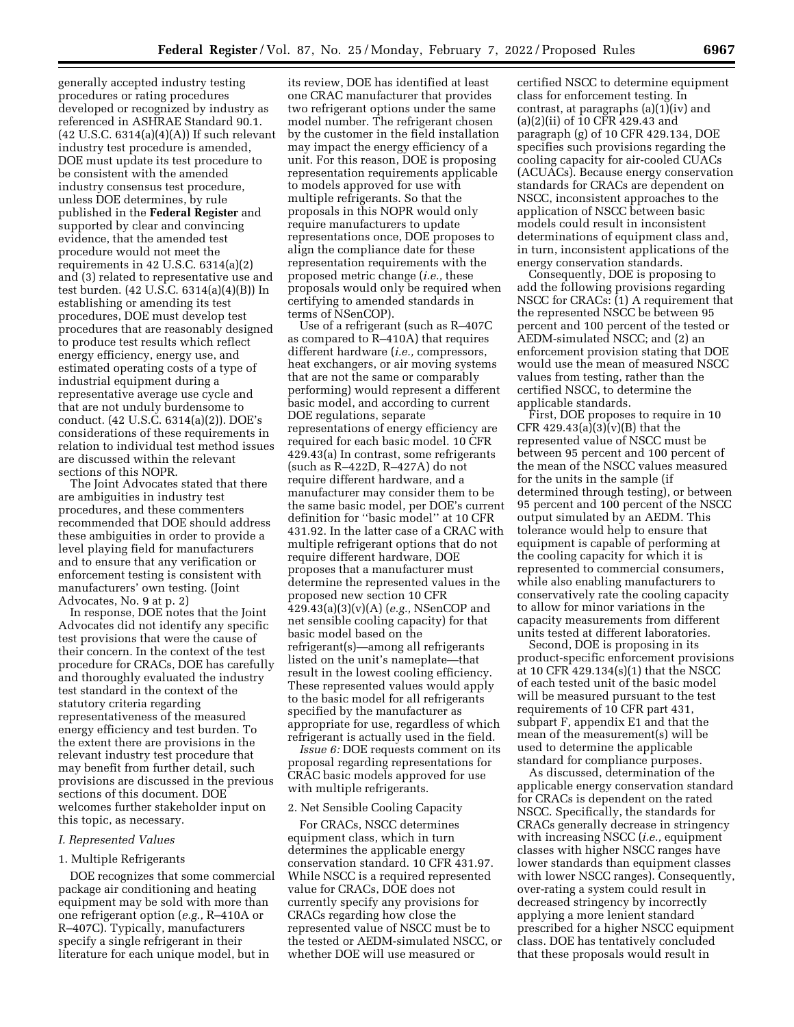generally accepted industry testing procedures or rating procedures developed or recognized by industry as referenced in ASHRAE Standard 90.1. (42 U.S.C. 6314(a)(4)(A)) If such relevant industry test procedure is amended, DOE must update its test procedure to be consistent with the amended industry consensus test procedure, unless DOE determines, by rule published in the **Federal Register** and supported by clear and convincing evidence, that the amended test procedure would not meet the requirements in 42 U.S.C. 6314(a)(2) and (3) related to representative use and test burden. (42 U.S.C. 6314(a)(4)(B)) In establishing or amending its test procedures, DOE must develop test procedures that are reasonably designed to produce test results which reflect energy efficiency, energy use, and estimated operating costs of a type of industrial equipment during a representative average use cycle and that are not unduly burdensome to conduct. (42 U.S.C. 6314(a)(2)). DOE's considerations of these requirements in relation to individual test method issues are discussed within the relevant sections of this NOPR.

The Joint Advocates stated that there are ambiguities in industry test procedures, and these commenters recommended that DOE should address these ambiguities in order to provide a level playing field for manufacturers and to ensure that any verification or enforcement testing is consistent with manufacturers' own testing. (Joint Advocates, No. 9 at p. 2)

In response, DOE notes that the Joint Advocates did not identify any specific test provisions that were the cause of their concern. In the context of the test procedure for CRACs, DOE has carefully and thoroughly evaluated the industry test standard in the context of the statutory criteria regarding representativeness of the measured energy efficiency and test burden. To the extent there are provisions in the relevant industry test procedure that may benefit from further detail, such provisions are discussed in the previous sections of this document. DOE welcomes further stakeholder input on this topic, as necessary.

#### *I. Represented Values*

### 1. Multiple Refrigerants

DOE recognizes that some commercial package air conditioning and heating equipment may be sold with more than one refrigerant option (*e.g.,* R–410A or R–407C). Typically, manufacturers specify a single refrigerant in their literature for each unique model, but in

its review, DOE has identified at least one CRAC manufacturer that provides two refrigerant options under the same model number. The refrigerant chosen by the customer in the field installation may impact the energy efficiency of a unit. For this reason, DOE is proposing representation requirements applicable to models approved for use with multiple refrigerants. So that the proposals in this NOPR would only require manufacturers to update representations once, DOE proposes to align the compliance date for these representation requirements with the proposed metric change (*i.e.,* these proposals would only be required when certifying to amended standards in terms of NSenCOP).

Use of a refrigerant (such as R–407C as compared to R–410A) that requires different hardware (*i.e.,* compressors, heat exchangers, or air moving systems that are not the same or comparably performing) would represent a different basic model, and according to current DOE regulations, separate representations of energy efficiency are required for each basic model. 10 CFR 429.43(a) In contrast, some refrigerants (such as R–422D, R–427A) do not require different hardware, and a manufacturer may consider them to be the same basic model, per DOE's current definition for ''basic model'' at 10 CFR 431.92. In the latter case of a CRAC with multiple refrigerant options that do not require different hardware, DOE proposes that a manufacturer must determine the represented values in the proposed new section 10 CFR 429.43(a)(3)(v)(A) (*e.g.,* NSenCOP and net sensible cooling capacity) for that basic model based on the refrigerant(s)—among all refrigerants listed on the unit's nameplate—that result in the lowest cooling efficiency. These represented values would apply to the basic model for all refrigerants specified by the manufacturer as appropriate for use, regardless of which refrigerant is actually used in the field.

*Issue 6:* DOE requests comment on its proposal regarding representations for CRAC basic models approved for use with multiple refrigerants.

#### 2. Net Sensible Cooling Capacity

For CRACs, NSCC determines equipment class, which in turn determines the applicable energy conservation standard. 10 CFR 431.97. While NSCC is a required represented value for CRACs, DOE does not currently specify any provisions for CRACs regarding how close the represented value of NSCC must be to the tested or AEDM-simulated NSCC, or whether DOE will use measured or

certified NSCC to determine equipment class for enforcement testing. In contrast, at paragraphs (a)(1)(iv) and (a)(2)(ii) of 10 CFR 429.43 and paragraph (g) of 10 CFR 429.134, DOE specifies such provisions regarding the cooling capacity for air-cooled CUACs (ACUACs). Because energy conservation standards for CRACs are dependent on NSCC, inconsistent approaches to the application of NSCC between basic models could result in inconsistent determinations of equipment class and, in turn, inconsistent applications of the energy conservation standards.

Consequently, DOE is proposing to add the following provisions regarding NSCC for CRACs: (1) A requirement that the represented NSCC be between 95 percent and 100 percent of the tested or AEDM-simulated NSCC; and (2) an enforcement provision stating that DOE would use the mean of measured NSCC values from testing, rather than the certified NSCC, to determine the applicable standards.

First, DOE proposes to require in 10 CFR 429.43(a)(3)(v)(B) that the represented value of NSCC must be between 95 percent and 100 percent of the mean of the NSCC values measured for the units in the sample (if determined through testing), or between 95 percent and 100 percent of the NSCC output simulated by an AEDM. This tolerance would help to ensure that equipment is capable of performing at the cooling capacity for which it is represented to commercial consumers, while also enabling manufacturers to conservatively rate the cooling capacity to allow for minor variations in the capacity measurements from different units tested at different laboratories.

Second, DOE is proposing in its product-specific enforcement provisions at 10 CFR 429.134(s)(1) that the NSCC of each tested unit of the basic model will be measured pursuant to the test requirements of 10 CFR part 431, subpart F, appendix E1 and that the mean of the measurement(s) will be used to determine the applicable standard for compliance purposes.

As discussed, determination of the applicable energy conservation standard for CRACs is dependent on the rated NSCC. Specifically, the standards for CRACs generally decrease in stringency with increasing NSCC (*i.e.,* equipment classes with higher NSCC ranges have lower standards than equipment classes with lower NSCC ranges). Consequently, over-rating a system could result in decreased stringency by incorrectly applying a more lenient standard prescribed for a higher NSCC equipment class. DOE has tentatively concluded that these proposals would result in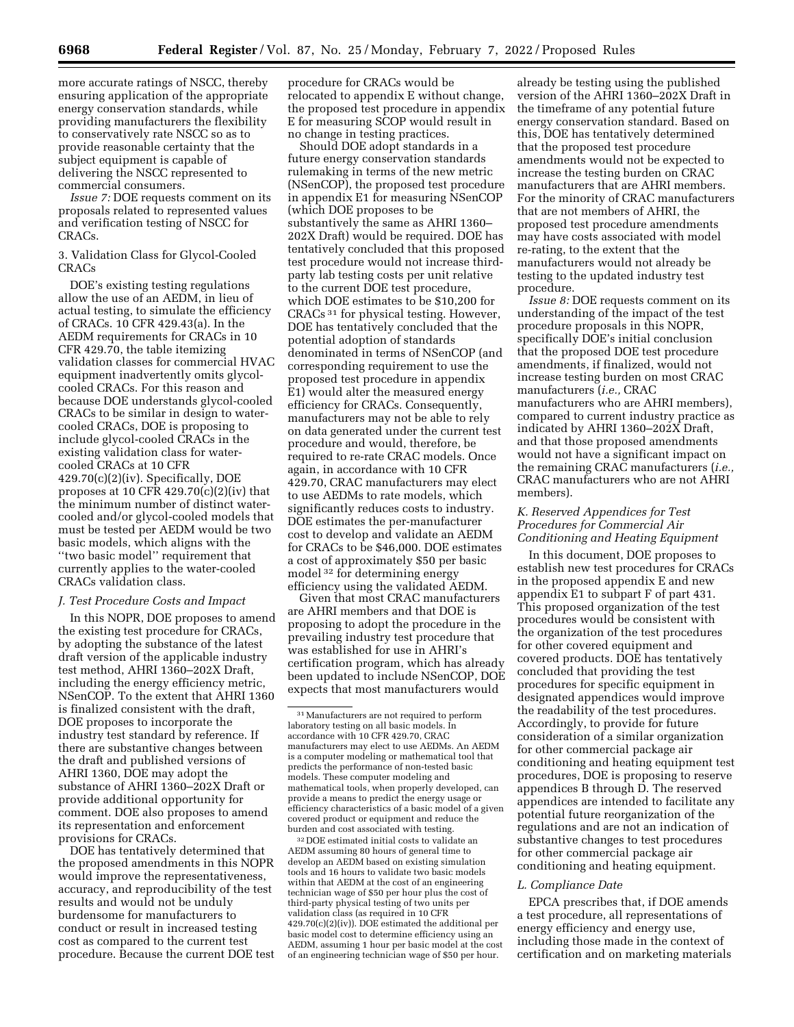more accurate ratings of NSCC, thereby ensuring application of the appropriate energy conservation standards, while providing manufacturers the flexibility to conservatively rate NSCC so as to provide reasonable certainty that the subject equipment is capable of delivering the NSCC represented to commercial consumers.

*Issue 7:* DOE requests comment on its proposals related to represented values and verification testing of NSCC for CRACs.

### 3. Validation Class for Glycol-Cooled CRACs

DOE's existing testing regulations allow the use of an AEDM, in lieu of actual testing, to simulate the efficiency of CRACs. 10 CFR 429.43(a). In the AEDM requirements for CRACs in 10 CFR 429.70, the table itemizing validation classes for commercial HVAC equipment inadvertently omits glycolcooled CRACs. For this reason and because DOE understands glycol-cooled CRACs to be similar in design to watercooled CRACs, DOE is proposing to include glycol-cooled CRACs in the existing validation class for watercooled CRACs at 10 CFR 429.70(c)(2)(iv). Specifically, DOE proposes at 10 CFR  $429.70(c)(2)(iv)$  that the minimum number of distinct watercooled and/or glycol-cooled models that must be tested per AEDM would be two basic models, which aligns with the ''two basic model'' requirement that currently applies to the water-cooled CRACs validation class.

### *J. Test Procedure Costs and Impact*

In this NOPR, DOE proposes to amend the existing test procedure for CRACs, by adopting the substance of the latest draft version of the applicable industry test method, AHRI 1360–202X Draft, including the energy efficiency metric, NSenCOP. To the extent that AHRI 1360 is finalized consistent with the draft, DOE proposes to incorporate the industry test standard by reference. If there are substantive changes between the draft and published versions of AHRI 1360, DOE may adopt the substance of AHRI 1360–202X Draft or provide additional opportunity for comment. DOE also proposes to amend its representation and enforcement provisions for CRACs.

DOE has tentatively determined that the proposed amendments in this NOPR would improve the representativeness, accuracy, and reproducibility of the test results and would not be unduly burdensome for manufacturers to conduct or result in increased testing cost as compared to the current test procedure. Because the current DOE test procedure for CRACs would be relocated to appendix E without change, the proposed test procedure in appendix E for measuring SCOP would result in no change in testing practices.

Should DOE adopt standards in a future energy conservation standards rulemaking in terms of the new metric (NSenCOP), the proposed test procedure in appendix E1 for measuring NSenCOP (which DOE proposes to be substantively the same as AHRI 1360– 202X Draft) would be required. DOE has tentatively concluded that this proposed test procedure would not increase thirdparty lab testing costs per unit relative to the current DOE test procedure, which DOE estimates to be \$10,200 for CRACs 31 for physical testing. However, DOE has tentatively concluded that the potential adoption of standards denominated in terms of NSenCOP (and corresponding requirement to use the proposed test procedure in appendix E1) would alter the measured energy efficiency for CRACs. Consequently, manufacturers may not be able to rely on data generated under the current test procedure and would, therefore, be required to re-rate CRAC models. Once again, in accordance with 10 CFR 429.70, CRAC manufacturers may elect to use AEDMs to rate models, which significantly reduces costs to industry. DOE estimates the per-manufacturer cost to develop and validate an AEDM for CRACs to be \$46,000. DOE estimates a cost of approximately \$50 per basic model 32 for determining energy efficiency using the validated AEDM.

Given that most CRAC manufacturers are AHRI members and that DOE is proposing to adopt the procedure in the prevailing industry test procedure that was established for use in AHRI's certification program, which has already been updated to include NSenCOP, DOE expects that most manufacturers would

32 DOE estimated initial costs to validate an AEDM assuming 80 hours of general time to develop an AEDM based on existing simulation tools and 16 hours to validate two basic models within that AEDM at the cost of an engineering technician wage of \$50 per hour plus the cost of third-party physical testing of two units per validation class (as required in 10 CFR 429.70(c)(2)(iv)). DOE estimated the additional per basic model cost to determine efficiency using an AEDM, assuming 1 hour per basic model at the cost of an engineering technician wage of \$50 per hour.

already be testing using the published version of the AHRI 1360–202X Draft in the timeframe of any potential future energy conservation standard. Based on this, DOE has tentatively determined that the proposed test procedure amendments would not be expected to increase the testing burden on CRAC manufacturers that are AHRI members. For the minority of CRAC manufacturers that are not members of AHRI, the proposed test procedure amendments may have costs associated with model re-rating, to the extent that the manufacturers would not already be testing to the updated industry test procedure.

*Issue 8:* DOE requests comment on its understanding of the impact of the test procedure proposals in this NOPR, specifically DOE's initial conclusion that the proposed DOE test procedure amendments, if finalized, would not increase testing burden on most CRAC manufacturers (*i.e.,* CRAC manufacturers who are AHRI members), compared to current industry practice as indicated by AHRI 1360–202X Draft, and that those proposed amendments would not have a significant impact on the remaining CRAC manufacturers (*i.e.,*  CRAC manufacturers who are not AHRI members).

### *K. Reserved Appendices for Test Procedures for Commercial Air Conditioning and Heating Equipment*

In this document, DOE proposes to establish new test procedures for CRACs in the proposed appendix E and new appendix E1 to subpart F of part 431. This proposed organization of the test procedures would be consistent with the organization of the test procedures for other covered equipment and covered products. DOE has tentatively concluded that providing the test procedures for specific equipment in designated appendices would improve the readability of the test procedures. Accordingly, to provide for future consideration of a similar organization for other commercial package air conditioning and heating equipment test procedures, DOE is proposing to reserve appendices B through D. The reserved appendices are intended to facilitate any potential future reorganization of the regulations and are not an indication of substantive changes to test procedures for other commercial package air conditioning and heating equipment.

#### *L. Compliance Date*

EPCA prescribes that, if DOE amends a test procedure, all representations of energy efficiency and energy use, including those made in the context of certification and on marketing materials

<sup>31</sup>Manufacturers are not required to perform laboratory testing on all basic models. In accordance with 10 CFR 429.70, CRAC manufacturers may elect to use AEDMs. An AEDM is a computer modeling or mathematical tool that predicts the performance of non-tested basic models. These computer modeling and mathematical tools, when properly developed, can provide a means to predict the energy usage or efficiency characteristics of a basic model of a given covered product or equipment and reduce the burden and cost associated with testing.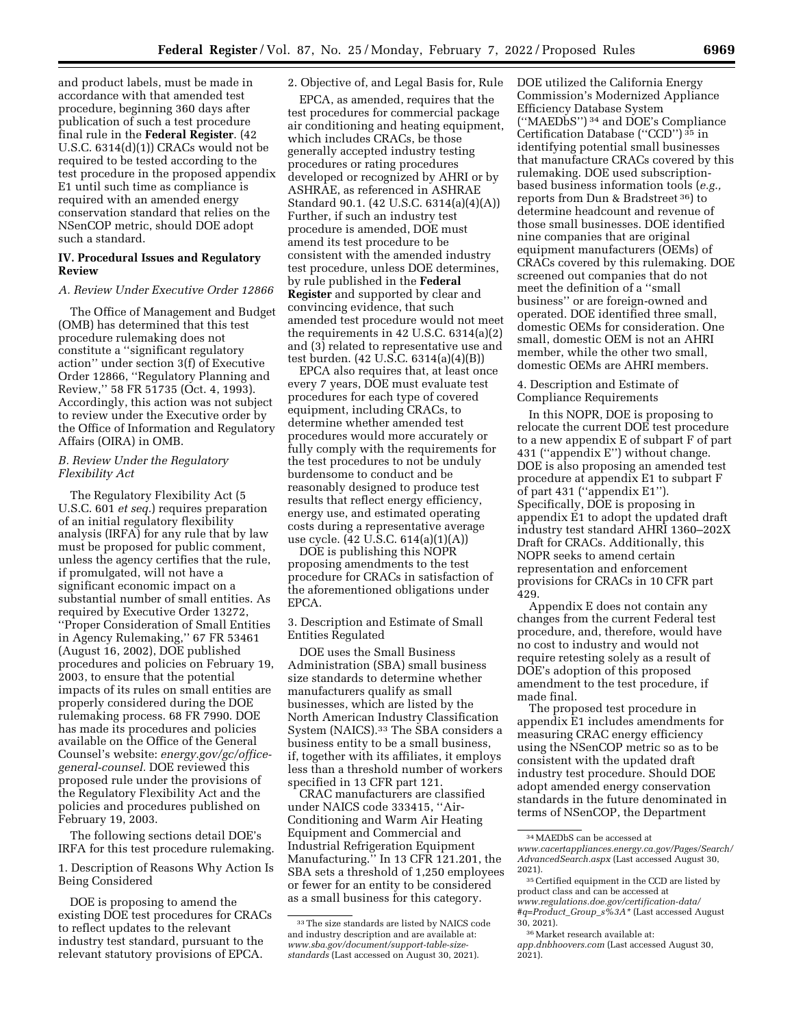and product labels, must be made in accordance with that amended test procedure, beginning 360 days after publication of such a test procedure final rule in the **Federal Register**. (42 U.S.C. 6314(d)(1)) CRACs would not be required to be tested according to the test procedure in the proposed appendix E1 until such time as compliance is required with an amended energy conservation standard that relies on the NSenCOP metric, should DOE adopt such a standard.

### **IV. Procedural Issues and Regulatory Review**

### *A. Review Under Executive Order 12866*

The Office of Management and Budget (OMB) has determined that this test procedure rulemaking does not constitute a ''significant regulatory action'' under section 3(f) of Executive Order 12866, ''Regulatory Planning and Review,'' 58 FR 51735 (Oct. 4, 1993). Accordingly, this action was not subject to review under the Executive order by the Office of Information and Regulatory Affairs (OIRA) in OMB.

### *B. Review Under the Regulatory Flexibility Act*

The Regulatory Flexibility Act (5 U.S.C. 601 *et seq.*) requires preparation of an initial regulatory flexibility analysis (IRFA) for any rule that by law must be proposed for public comment, unless the agency certifies that the rule, if promulgated, will not have a significant economic impact on a substantial number of small entities. As required by Executive Order 13272, ''Proper Consideration of Small Entities in Agency Rulemaking,'' 67 FR 53461 (August 16, 2002), DOE published procedures and policies on February 19, 2003, to ensure that the potential impacts of its rules on small entities are properly considered during the DOE rulemaking process. 68 FR 7990. DOE has made its procedures and policies available on the Office of the General Counsel's website: *energy.gov/gc/officegeneral-counsel.* DOE reviewed this proposed rule under the provisions of the Regulatory Flexibility Act and the policies and procedures published on February 19, 2003.

The following sections detail DOE's IRFA for this test procedure rulemaking.

1. Description of Reasons Why Action Is Being Considered

DOE is proposing to amend the existing DOE test procedures for CRACs to reflect updates to the relevant industry test standard, pursuant to the relevant statutory provisions of EPCA.

### 2. Objective of, and Legal Basis for, Rule

EPCA, as amended, requires that the test procedures for commercial package air conditioning and heating equipment, which includes CRACs, be those generally accepted industry testing procedures or rating procedures developed or recognized by AHRI or by ASHRAE, as referenced in ASHRAE Standard 90.1. (42 U.S.C. 6314(a)(4)(A)) Further, if such an industry test procedure is amended, DOE must amend its test procedure to be consistent with the amended industry test procedure, unless DOE determines, by rule published in the **Federal Register** and supported by clear and convincing evidence, that such amended test procedure would not meet the requirements in 42 U.S.C. 6314(a)(2) and (3) related to representative use and test burden. (42 U.S.C. 6314(a)(4)(B))

EPCA also requires that, at least once every 7 years, DOE must evaluate test procedures for each type of covered equipment, including CRACs, to determine whether amended test procedures would more accurately or fully comply with the requirements for the test procedures to not be unduly burdensome to conduct and be reasonably designed to produce test results that reflect energy efficiency, energy use, and estimated operating costs during a representative average use cycle. (42 U.S.C. 614(a)(1)(A))

DOE is publishing this NOPR proposing amendments to the test procedure for CRACs in satisfaction of the aforementioned obligations under EPCA.

3. Description and Estimate of Small Entities Regulated

DOE uses the Small Business Administration (SBA) small business size standards to determine whether manufacturers qualify as small businesses, which are listed by the North American Industry Classification System (NAICS).33 The SBA considers a business entity to be a small business, if, together with its affiliates, it employs less than a threshold number of workers specified in 13 CFR part 121.

CRAC manufacturers are classified under NAICS code 333415, ''Air-Conditioning and Warm Air Heating Equipment and Commercial and Industrial Refrigeration Equipment Manufacturing.'' In 13 CFR 121.201, the SBA sets a threshold of 1,250 employees or fewer for an entity to be considered as a small business for this category.

DOE utilized the California Energy Commission's Modernized Appliance Efficiency Database System (''MAEDbS'') 34 and DOE's Compliance Certification Database (''CCD'') 35 in identifying potential small businesses that manufacture CRACs covered by this rulemaking. DOE used subscriptionbased business information tools (*e.g.,*  reports from Dun & Bradstreet 36) to determine headcount and revenue of those small businesses. DOE identified nine companies that are original equipment manufacturers (OEMs) of CRACs covered by this rulemaking. DOE screened out companies that do not meet the definition of a ''small business'' or are foreign-owned and operated. DOE identified three small, domestic OEMs for consideration. One small, domestic OEM is not an AHRI member, while the other two small, domestic OEMs are AHRI members.

4. Description and Estimate of Compliance Requirements

In this NOPR, DOE is proposing to relocate the current DOE test procedure to a new appendix E of subpart F of part 431 (''appendix E'') without change. DOE is also proposing an amended test procedure at appendix E1 to subpart F of part 431 (''appendix E1''). Specifically, DOE is proposing in appendix E1 to adopt the updated draft industry test standard AHRI 1360–202X Draft for CRACs. Additionally, this NOPR seeks to amend certain representation and enforcement provisions for CRACs in 10 CFR part 429.

Appendix E does not contain any changes from the current Federal test procedure, and, therefore, would have no cost to industry and would not require retesting solely as a result of DOE's adoption of this proposed amendment to the test procedure, if made final.

The proposed test procedure in appendix E1 includes amendments for measuring CRAC energy efficiency using the NSenCOP metric so as to be consistent with the updated draft industry test procedure. Should DOE adopt amended energy conservation standards in the future denominated in terms of NSenCOP, the Department

<sup>33</sup>The size standards are listed by NAICS code and industry description and are available at: *[www.sba.gov/document/support-table-size](http://www.sba.gov/document/support--table-size-standards)[standards](http://www.sba.gov/document/support--table-size-standards)* (Last accessed on August 30, 2021).

<sup>34</sup>MAEDbS can be accessed at

*[www.cacertappliances.energy.ca.gov/Pages/Search/](http://www.cacertappliances.energy.ca.gov/Pages/Search/AdvancedSearch.aspx) [AdvancedSearch.aspx](http://www.cacertappliances.energy.ca.gov/Pages/Search/AdvancedSearch.aspx)* (Last accessed August 30, 2021).

<sup>35</sup>Certified equipment in the CCD are listed by product class and can be accessed at *[www.regulations.doe.gov/certification-data/](http://www.regulations.doe.gov/certification-data/#q=Product_Group_s%3A*) [#q=Product](http://www.regulations.doe.gov/certification-data/#q=Product_Group_s%3A*)*\_*Group*\_*s%3A\** (Last accessed August 30, 2021).

<sup>36</sup>Market research available at:

*app.dnbhoovers.com* (Last accessed August 30,  $2021$ ).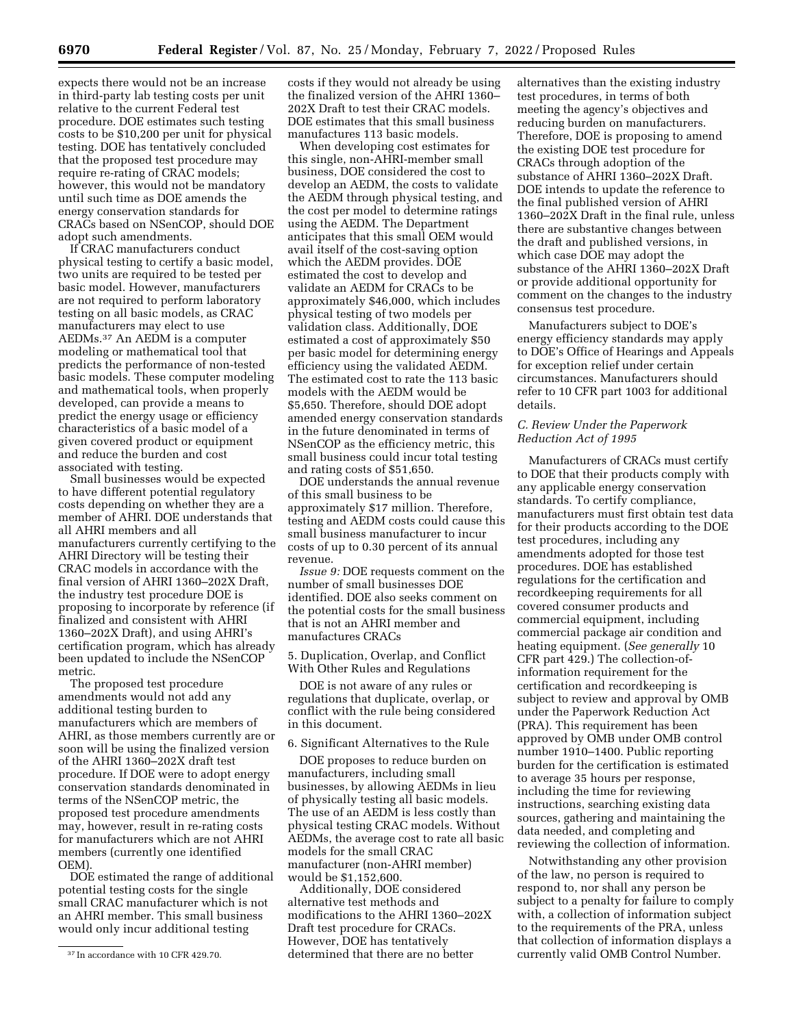expects there would not be an increase in third-party lab testing costs per unit relative to the current Federal test procedure. DOE estimates such testing costs to be \$10,200 per unit for physical testing. DOE has tentatively concluded that the proposed test procedure may require re-rating of CRAC models; however, this would not be mandatory until such time as DOE amends the energy conservation standards for CRACs based on NSenCOP, should DOE adopt such amendments.

If CRAC manufacturers conduct physical testing to certify a basic model, two units are required to be tested per basic model. However, manufacturers are not required to perform laboratory testing on all basic models, as CRAC manufacturers may elect to use AEDMs.37 An AEDM is a computer modeling or mathematical tool that predicts the performance of non-tested basic models. These computer modeling and mathematical tools, when properly developed, can provide a means to predict the energy usage or efficiency characteristics of a basic model of a given covered product or equipment and reduce the burden and cost associated with testing.

Small businesses would be expected to have different potential regulatory costs depending on whether they are a member of AHRI. DOE understands that all AHRI members and all manufacturers currently certifying to the AHRI Directory will be testing their CRAC models in accordance with the final version of AHRI 1360–202X Draft, the industry test procedure DOE is proposing to incorporate by reference (if finalized and consistent with AHRI 1360–202X Draft), and using AHRI's certification program, which has already been updated to include the NSenCOP metric.

The proposed test procedure amendments would not add any additional testing burden to manufacturers which are members of AHRI, as those members currently are or soon will be using the finalized version of the AHRI 1360–202X draft test procedure. If DOE were to adopt energy conservation standards denominated in terms of the NSenCOP metric, the proposed test procedure amendments may, however, result in re-rating costs for manufacturers which are not AHRI members (currently one identified OEM).

DOE estimated the range of additional potential testing costs for the single small CRAC manufacturer which is not an AHRI member. This small business would only incur additional testing

costs if they would not already be using the finalized version of the AHRI 1360– 202X Draft to test their CRAC models. DOE estimates that this small business manufactures 113 basic models.

When developing cost estimates for this single, non-AHRI-member small business, DOE considered the cost to develop an AEDM, the costs to validate the AEDM through physical testing, and the cost per model to determine ratings using the AEDM. The Department anticipates that this small OEM would avail itself of the cost-saving option which the AEDM provides. DOE estimated the cost to develop and validate an AEDM for CRACs to be approximately \$46,000, which includes physical testing of two models per validation class. Additionally, DOE estimated a cost of approximately \$50 per basic model for determining energy efficiency using the validated AEDM. The estimated cost to rate the 113 basic models with the AEDM would be \$5,650. Therefore, should DOE adopt amended energy conservation standards in the future denominated in terms of NSenCOP as the efficiency metric, this small business could incur total testing and rating costs of \$51,650.

DOE understands the annual revenue of this small business to be approximately \$17 million. Therefore, testing and AEDM costs could cause this small business manufacturer to incur costs of up to 0.30 percent of its annual revenue.

*Issue 9:* DOE requests comment on the number of small businesses DOE identified. DOE also seeks comment on the potential costs for the small business that is not an AHRI member and manufactures CRACs

5. Duplication, Overlap, and Conflict With Other Rules and Regulations

DOE is not aware of any rules or regulations that duplicate, overlap, or conflict with the rule being considered in this document.

6. Significant Alternatives to the Rule

DOE proposes to reduce burden on manufacturers, including small businesses, by allowing AEDMs in lieu of physically testing all basic models. The use of an AEDM is less costly than physical testing CRAC models. Without AEDMs, the average cost to rate all basic models for the small CRAC manufacturer (non-AHRI member) would be \$1,152,600.

Additionally, DOE considered alternative test methods and modifications to the AHRI 1360–202X Draft test procedure for CRACs. However, DOE has tentatively determined that there are no better

alternatives than the existing industry test procedures, in terms of both meeting the agency's objectives and reducing burden on manufacturers. Therefore, DOE is proposing to amend the existing DOE test procedure for CRACs through adoption of the substance of AHRI 1360–202X Draft. DOE intends to update the reference to the final published version of AHRI 1360–202X Draft in the final rule, unless there are substantive changes between the draft and published versions, in which case DOE may adopt the substance of the AHRI 1360–202X Draft or provide additional opportunity for comment on the changes to the industry consensus test procedure.

Manufacturers subject to DOE's energy efficiency standards may apply to DOE's Office of Hearings and Appeals for exception relief under certain circumstances. Manufacturers should refer to 10 CFR part 1003 for additional details.

# *C. Review Under the Paperwork Reduction Act of 1995*

Manufacturers of CRACs must certify to DOE that their products comply with any applicable energy conservation standards. To certify compliance, manufacturers must first obtain test data for their products according to the DOE test procedures, including any amendments adopted for those test procedures. DOE has established regulations for the certification and recordkeeping requirements for all covered consumer products and commercial equipment, including commercial package air condition and heating equipment. (*See generally* 10 CFR part 429.) The collection-ofinformation requirement for the certification and recordkeeping is subject to review and approval by OMB under the Paperwork Reduction Act (PRA). This requirement has been approved by OMB under OMB control number 1910–1400. Public reporting burden for the certification is estimated to average 35 hours per response, including the time for reviewing instructions, searching existing data sources, gathering and maintaining the data needed, and completing and reviewing the collection of information.

Notwithstanding any other provision of the law, no person is required to respond to, nor shall any person be subject to a penalty for failure to comply with, a collection of information subject to the requirements of the PRA, unless that collection of information displays a currently valid OMB Control Number.

<sup>37</sup> In accordance with 10 CFR 429.70.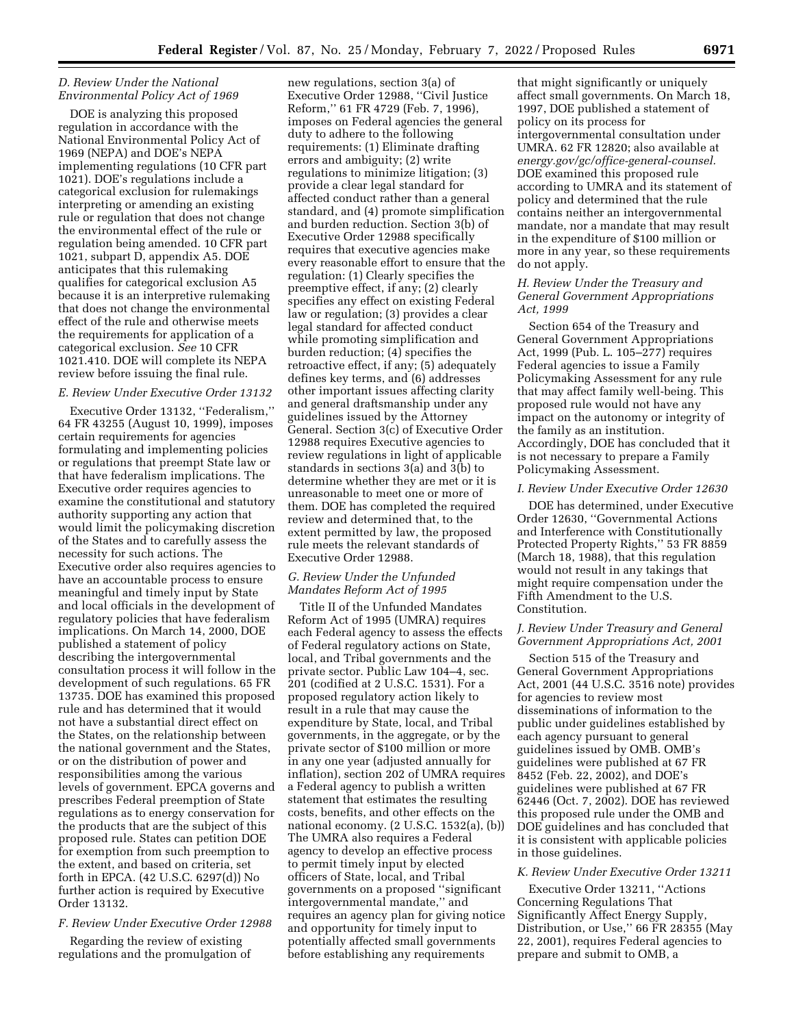### *D. Review Under the National Environmental Policy Act of 1969*

DOE is analyzing this proposed regulation in accordance with the National Environmental Policy Act of 1969 (NEPA) and DOE's NEPA implementing regulations (10 CFR part 1021). DOE's regulations include a categorical exclusion for rulemakings interpreting or amending an existing rule or regulation that does not change the environmental effect of the rule or regulation being amended. 10 CFR part 1021, subpart D, appendix A5. DOE anticipates that this rulemaking qualifies for categorical exclusion A5 because it is an interpretive rulemaking that does not change the environmental effect of the rule and otherwise meets the requirements for application of a categorical exclusion. *See* 10 CFR 1021.410. DOE will complete its NEPA review before issuing the final rule.

#### *E. Review Under Executive Order 13132*

Executive Order 13132, ''Federalism,'' 64 FR 43255 (August 10, 1999), imposes certain requirements for agencies formulating and implementing policies or regulations that preempt State law or that have federalism implications. The Executive order requires agencies to examine the constitutional and statutory authority supporting any action that would limit the policymaking discretion of the States and to carefully assess the necessity for such actions. The Executive order also requires agencies to have an accountable process to ensure meaningful and timely input by State and local officials in the development of regulatory policies that have federalism implications. On March 14, 2000, DOE published a statement of policy describing the intergovernmental consultation process it will follow in the development of such regulations. 65 FR 13735. DOE has examined this proposed rule and has determined that it would not have a substantial direct effect on the States, on the relationship between the national government and the States, or on the distribution of power and responsibilities among the various levels of government. EPCA governs and prescribes Federal preemption of State regulations as to energy conservation for the products that are the subject of this proposed rule. States can petition DOE for exemption from such preemption to the extent, and based on criteria, set forth in EPCA. (42 U.S.C. 6297(d)) No further action is required by Executive Order 13132.

#### *F. Review Under Executive Order 12988*

Regarding the review of existing regulations and the promulgation of

new regulations, section 3(a) of Executive Order 12988, ''Civil Justice Reform,'' 61 FR 4729 (Feb. 7, 1996), imposes on Federal agencies the general duty to adhere to the following requirements: (1) Eliminate drafting errors and ambiguity; (2) write regulations to minimize litigation; (3) provide a clear legal standard for affected conduct rather than a general standard, and (4) promote simplification and burden reduction. Section 3(b) of Executive Order 12988 specifically requires that executive agencies make every reasonable effort to ensure that the regulation: (1) Clearly specifies the preemptive effect, if any; (2) clearly specifies any effect on existing Federal law or regulation; (3) provides a clear legal standard for affected conduct while promoting simplification and burden reduction; (4) specifies the retroactive effect, if any; (5) adequately defines key terms, and (6) addresses other important issues affecting clarity and general draftsmanship under any guidelines issued by the Attorney General. Section 3(c) of Executive Order 12988 requires Executive agencies to review regulations in light of applicable standards in sections 3(a) and 3(b) to determine whether they are met or it is unreasonable to meet one or more of them. DOE has completed the required review and determined that, to the extent permitted by law, the proposed rule meets the relevant standards of Executive Order 12988.

## *G. Review Under the Unfunded Mandates Reform Act of 1995*

Title II of the Unfunded Mandates Reform Act of 1995 (UMRA) requires each Federal agency to assess the effects of Federal regulatory actions on State, local, and Tribal governments and the private sector. Public Law 104–4, sec. 201 (codified at 2 U.S.C. 1531). For a proposed regulatory action likely to result in a rule that may cause the expenditure by State, local, and Tribal governments, in the aggregate, or by the private sector of \$100 million or more in any one year (adjusted annually for inflation), section 202 of UMRA requires a Federal agency to publish a written statement that estimates the resulting costs, benefits, and other effects on the national economy. (2 U.S.C. 1532(a), (b)) The UMRA also requires a Federal agency to develop an effective process to permit timely input by elected officers of State, local, and Tribal governments on a proposed ''significant intergovernmental mandate,'' and requires an agency plan for giving notice and opportunity for timely input to potentially affected small governments before establishing any requirements

that might significantly or uniquely affect small governments. On March 18, 1997, DOE published a statement of policy on its process for intergovernmental consultation under UMRA. 62 FR 12820; also available at *energy.gov/gc/office-general-counsel.*  DOE examined this proposed rule according to UMRA and its statement of policy and determined that the rule contains neither an intergovernmental mandate, nor a mandate that may result in the expenditure of \$100 million or more in any year, so these requirements do not apply.

### *H. Review Under the Treasury and General Government Appropriations Act, 1999*

Section 654 of the Treasury and General Government Appropriations Act, 1999 (Pub. L. 105–277) requires Federal agencies to issue a Family Policymaking Assessment for any rule that may affect family well-being. This proposed rule would not have any impact on the autonomy or integrity of the family as an institution. Accordingly, DOE has concluded that it is not necessary to prepare a Family Policymaking Assessment.

#### *I. Review Under Executive Order 12630*

DOE has determined, under Executive Order 12630, ''Governmental Actions and Interference with Constitutionally Protected Property Rights,'' 53 FR 8859 (March 18, 1988), that this regulation would not result in any takings that might require compensation under the Fifth Amendment to the U.S. Constitution.

# *J. Review Under Treasury and General Government Appropriations Act, 2001*

Section 515 of the Treasury and General Government Appropriations Act, 2001 (44 U.S.C. 3516 note) provides for agencies to review most disseminations of information to the public under guidelines established by each agency pursuant to general guidelines issued by OMB. OMB's guidelines were published at 67 FR 8452 (Feb. 22, 2002), and DOE's guidelines were published at 67 FR 62446 (Oct. 7, 2002). DOE has reviewed this proposed rule under the OMB and DOE guidelines and has concluded that it is consistent with applicable policies in those guidelines.

### *K. Review Under Executive Order 13211*

Executive Order 13211, ''Actions Concerning Regulations That Significantly Affect Energy Supply, Distribution, or Use,'' 66 FR 28355 (May 22, 2001), requires Federal agencies to prepare and submit to OMB, a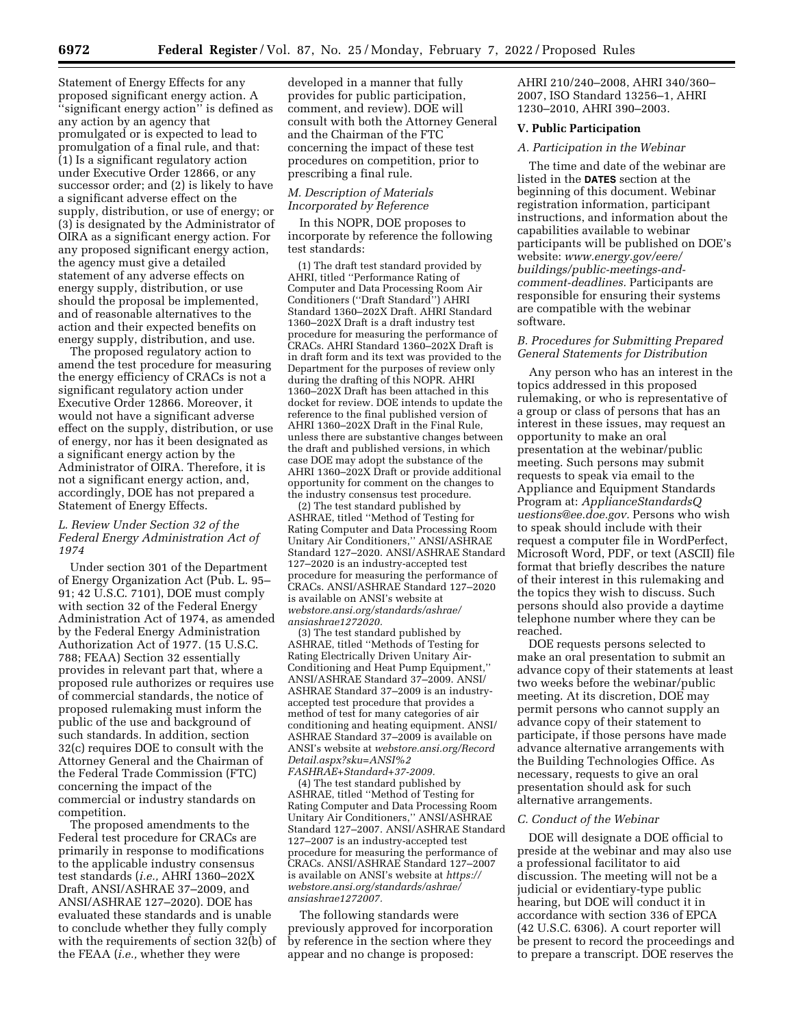Statement of Energy Effects for any proposed significant energy action. A ''significant energy action'' is defined as any action by an agency that promulgated or is expected to lead to promulgation of a final rule, and that: (1) Is a significant regulatory action under Executive Order 12866, or any successor order; and (2) is likely to have a significant adverse effect on the supply, distribution, or use of energy; or (3) is designated by the Administrator of OIRA as a significant energy action. For any proposed significant energy action, the agency must give a detailed statement of any adverse effects on energy supply, distribution, or use should the proposal be implemented, and of reasonable alternatives to the action and their expected benefits on energy supply, distribution, and use.

The proposed regulatory action to amend the test procedure for measuring the energy efficiency of CRACs is not a significant regulatory action under Executive Order 12866. Moreover, it would not have a significant adverse effect on the supply, distribution, or use of energy, nor has it been designated as a significant energy action by the Administrator of OIRA. Therefore, it is not a significant energy action, and, accordingly, DOE has not prepared a Statement of Energy Effects.

### *L. Review Under Section 32 of the Federal Energy Administration Act of 1974*

Under section 301 of the Department of Energy Organization Act (Pub. L. 95– 91; 42 U.S.C. 7101), DOE must comply with section 32 of the Federal Energy Administration Act of 1974, as amended by the Federal Energy Administration Authorization Act of 1977. (15 U.S.C. 788; FEAA) Section 32 essentially provides in relevant part that, where a proposed rule authorizes or requires use of commercial standards, the notice of proposed rulemaking must inform the public of the use and background of such standards. In addition, section 32(c) requires DOE to consult with the Attorney General and the Chairman of the Federal Trade Commission (FTC) concerning the impact of the commercial or industry standards on competition.

The proposed amendments to the Federal test procedure for CRACs are primarily in response to modifications to the applicable industry consensus test standards (*i.e.,* AHRI 1360–202X Draft, ANSI/ASHRAE 37–2009, and ANSI/ASHRAE 127–2020). DOE has evaluated these standards and is unable to conclude whether they fully comply with the requirements of section 32(b) of the FEAA (*i.e.,* whether they were

developed in a manner that fully provides for public participation, comment, and review). DOE will consult with both the Attorney General and the Chairman of the FTC concerning the impact of these test procedures on competition, prior to prescribing a final rule.

# *M. Description of Materials Incorporated by Reference*

In this NOPR, DOE proposes to incorporate by reference the following test standards:

(1) The draft test standard provided by AHRI, titled ''Performance Rating of Computer and Data Processing Room Air Conditioners (''Draft Standard'') AHRI Standard 1360–202X Draft. AHRI Standard 1360–202X Draft is a draft industry test procedure for measuring the performance of CRACs. AHRI Standard 1360–202X Draft is in draft form and its text was provided to the Department for the purposes of review only during the drafting of this NOPR. AHRI 1360–202X Draft has been attached in this docket for review. DOE intends to update the reference to the final published version of AHRI 1360–202X Draft in the Final Rule, unless there are substantive changes between the draft and published versions, in which case DOE may adopt the substance of the AHRI 1360–202X Draft or provide additional opportunity for comment on the changes to the industry consensus test procedure.

(2) The test standard published by ASHRAE, titled ''Method of Testing for Rating Computer and Data Processing Room Unitary Air Conditioners,'' ANSI/ASHRAE Standard 127–2020. ANSI/ASHRAE Standard 127–2020 is an industry-accepted test procedure for measuring the performance of CRACs. ANSI/ASHRAE Standard 127–2020 is available on ANSI's website at *webstore.ansi.org/standards/ashrae/ ansiashrae1272020.* 

(3) The test standard published by ASHRAE, titled ''Methods of Testing for Rating Electrically Driven Unitary Air-Conditioning and Heat Pump Equipment,'' ANSI/ASHRAE Standard 37–2009. ANSI/ ASHRAE Standard 37–2009 is an industryaccepted test procedure that provides a method of test for many categories of air conditioning and heating equipment. ANSI/ ASHRAE Standard 37–2009 is available on ANSI's website at *webstore.ansi.org/Record Detail.aspx?sku=ANSI%2 FASHRAE+Standard+37-2009.* 

(4) The test standard published by ASHRAE, titled ''Method of Testing for Rating Computer and Data Processing Room Unitary Air Conditioners,'' ANSI/ASHRAE Standard 127–2007. ANSI/ASHRAE Standard 127–2007 is an industry-accepted test procedure for measuring the performance of CRACs. ANSI/ASHRAE Standard 127–2007 is available on ANSI's website at *[https://](https://webstore.ansi.org/standards/ashrae/ansiashrae1272007) [webstore.ansi.org/standards/ashrae/](https://webstore.ansi.org/standards/ashrae/ansiashrae1272007)  [ansiashrae1272007.](https://webstore.ansi.org/standards/ashrae/ansiashrae1272007)* 

The following standards were previously approved for incorporation by reference in the section where they appear and no change is proposed:

AHRI 210/240–2008, AHRI 340/360– 2007, ISO Standard 13256–1, AHRI 1230–2010, AHRI 390–2003.

### **V. Public Participation**

# *A. Participation in the Webinar*

The time and date of the webinar are listed in the **DATES** section at the beginning of this document. Webinar registration information, participant instructions, and information about the capabilities available to webinar participants will be published on DOE's website: *[www.energy.gov/eere/](http://www.energy.gov/eere/buildings/public-meetings-and-comment-deadlines) [buildings/public-meetings-and](http://www.energy.gov/eere/buildings/public-meetings-and-comment-deadlines)[comment-deadlines.](http://www.energy.gov/eere/buildings/public-meetings-and-comment-deadlines)* Participants are responsible for ensuring their systems are compatible with the webinar software.

### *B. Procedures for Submitting Prepared General Statements for Distribution*

Any person who has an interest in the topics addressed in this proposed rulemaking, or who is representative of a group or class of persons that has an interest in these issues, may request an opportunity to make an oral presentation at the webinar/public meeting. Such persons may submit requests to speak via email to the Appliance and Equipment Standards Program at: *[ApplianceStandardsQ](mailto:ApplianceStandardsQuestions@ee.doe.gov) [uestions@ee.doe.gov.](mailto:ApplianceStandardsQuestions@ee.doe.gov)* Persons who wish to speak should include with their request a computer file in WordPerfect, Microsoft Word, PDF, or text (ASCII) file format that briefly describes the nature of their interest in this rulemaking and the topics they wish to discuss. Such persons should also provide a daytime telephone number where they can be reached.

DOE requests persons selected to make an oral presentation to submit an advance copy of their statements at least two weeks before the webinar/public meeting. At its discretion, DOE may permit persons who cannot supply an advance copy of their statement to participate, if those persons have made advance alternative arrangements with the Building Technologies Office. As necessary, requests to give an oral presentation should ask for such alternative arrangements.

#### *C. Conduct of the Webinar*

DOE will designate a DOE official to preside at the webinar and may also use a professional facilitator to aid discussion. The meeting will not be a judicial or evidentiary-type public hearing, but DOE will conduct it in accordance with section 336 of EPCA (42 U.S.C. 6306). A court reporter will be present to record the proceedings and to prepare a transcript. DOE reserves the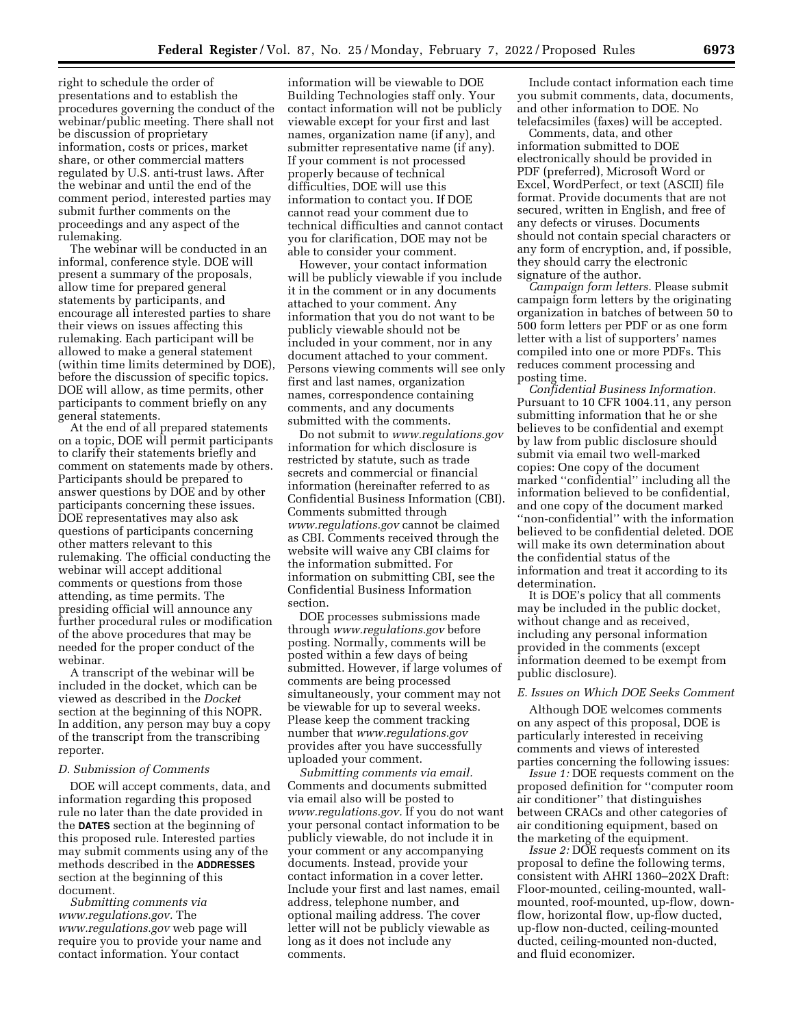right to schedule the order of presentations and to establish the procedures governing the conduct of the webinar/public meeting. There shall not be discussion of proprietary information, costs or prices, market share, or other commercial matters regulated by U.S. anti-trust laws. After the webinar and until the end of the comment period, interested parties may submit further comments on the proceedings and any aspect of the rulemaking.

The webinar will be conducted in an informal, conference style. DOE will present a summary of the proposals, allow time for prepared general statements by participants, and encourage all interested parties to share their views on issues affecting this rulemaking. Each participant will be allowed to make a general statement (within time limits determined by DOE), before the discussion of specific topics. DOE will allow, as time permits, other participants to comment briefly on any general statements.

At the end of all prepared statements on a topic, DOE will permit participants to clarify their statements briefly and comment on statements made by others. Participants should be prepared to answer questions by DOE and by other participants concerning these issues. DOE representatives may also ask questions of participants concerning other matters relevant to this rulemaking. The official conducting the webinar will accept additional comments or questions from those attending, as time permits. The presiding official will announce any further procedural rules or modification of the above procedures that may be needed for the proper conduct of the webinar.

A transcript of the webinar will be included in the docket, which can be viewed as described in the *Docket*  section at the beginning of this NOPR. In addition, any person may buy a copy of the transcript from the transcribing reporter.

#### *D. Submission of Comments*

DOE will accept comments, data, and information regarding this proposed rule no later than the date provided in the **DATES** section at the beginning of this proposed rule. Interested parties may submit comments using any of the methods described in the **ADDRESSES** section at the beginning of this document.

*Submitting comments via [www.regulations.gov.](http://www.regulations.gov)* The *[www.regulations.gov](http://www.regulations.gov)* web page will require you to provide your name and contact information. Your contact

information will be viewable to DOE Building Technologies staff only. Your contact information will not be publicly viewable except for your first and last names, organization name (if any), and submitter representative name (if any). If your comment is not processed properly because of technical difficulties, DOE will use this information to contact you. If DOE cannot read your comment due to technical difficulties and cannot contact you for clarification, DOE may not be able to consider your comment.

However, your contact information will be publicly viewable if you include it in the comment or in any documents attached to your comment. Any information that you do not want to be publicly viewable should not be included in your comment, nor in any document attached to your comment. Persons viewing comments will see only first and last names, organization names, correspondence containing comments, and any documents submitted with the comments.

Do not submit to *[www.regulations.gov](http://www.regulations.gov)*  information for which disclosure is restricted by statute, such as trade secrets and commercial or financial information (hereinafter referred to as Confidential Business Information (CBI). Comments submitted through *[www.regulations.gov](http://www.regulations.gov)* cannot be claimed as CBI. Comments received through the website will waive any CBI claims for the information submitted. For information on submitting CBI, see the Confidential Business Information section.

DOE processes submissions made through *[www.regulations.gov](http://www.regulations.gov)* before posting. Normally, comments will be posted within a few days of being submitted. However, if large volumes of comments are being processed simultaneously, your comment may not be viewable for up to several weeks. Please keep the comment tracking number that *[www.regulations.gov](http://www.regulations.gov)*  provides after you have successfully uploaded your comment.

*Submitting comments via email.*  Comments and documents submitted via email also will be posted to *[www.regulations.gov.](http://www.regulations.gov)* If you do not want your personal contact information to be publicly viewable, do not include it in your comment or any accompanying documents. Instead, provide your contact information in a cover letter. Include your first and last names, email address, telephone number, and optional mailing address. The cover letter will not be publicly viewable as long as it does not include any comments.

Include contact information each time you submit comments, data, documents, and other information to DOE. No telefacsimiles (faxes) will be accepted.

Comments, data, and other information submitted to DOE electronically should be provided in PDF (preferred), Microsoft Word or Excel, WordPerfect, or text (ASCII) file format. Provide documents that are not secured, written in English, and free of any defects or viruses. Documents should not contain special characters or any form of encryption, and, if possible, they should carry the electronic signature of the author.

*Campaign form letters.* Please submit campaign form letters by the originating organization in batches of between 50 to 500 form letters per PDF or as one form letter with a list of supporters' names compiled into one or more PDFs. This reduces comment processing and posting time.

*Confidential Business Information.*  Pursuant to 10 CFR 1004.11, any person submitting information that he or she believes to be confidential and exempt by law from public disclosure should submit via email two well-marked copies: One copy of the document marked ''confidential'' including all the information believed to be confidential, and one copy of the document marked ''non-confidential'' with the information believed to be confidential deleted. DOE will make its own determination about the confidential status of the information and treat it according to its determination.

It is DOE's policy that all comments may be included in the public docket, without change and as received, including any personal information provided in the comments (except information deemed to be exempt from public disclosure).

#### *E. Issues on Which DOE Seeks Comment*

Although DOE welcomes comments on any aspect of this proposal, DOE is particularly interested in receiving comments and views of interested parties concerning the following issues:

*Issue 1:* DOE requests comment on the proposed definition for ''computer room air conditioner'' that distinguishes between CRACs and other categories of air conditioning equipment, based on the marketing of the equipment.

*Issue 2:* DOE requests comment on its proposal to define the following terms, consistent with AHRI 1360–202X Draft: Floor-mounted, ceiling-mounted, wallmounted, roof-mounted, up-flow, downflow, horizontal flow, up-flow ducted, up-flow non-ducted, ceiling-mounted ducted, ceiling-mounted non-ducted, and fluid economizer.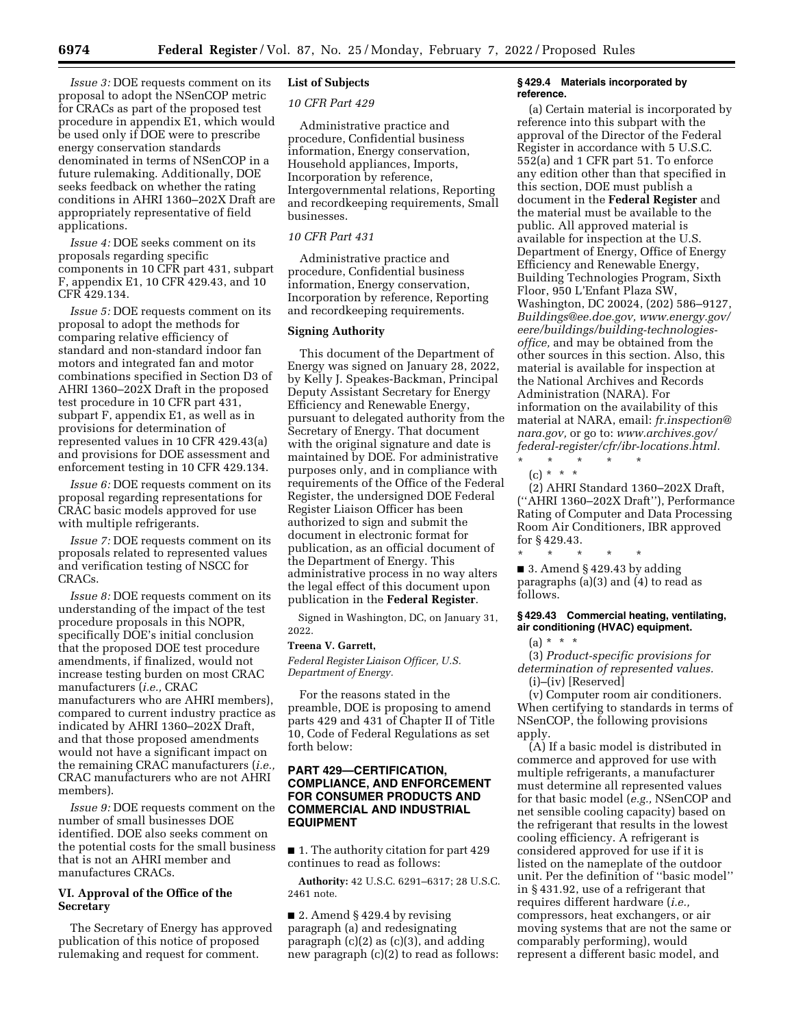*Issue 3:* DOE requests comment on its proposal to adopt the NSenCOP metric for CRACs as part of the proposed test procedure in appendix E1, which would be used only if DOE were to prescribe energy conservation standards denominated in terms of NSenCOP in a future rulemaking. Additionally, DOE seeks feedback on whether the rating conditions in AHRI 1360–202X Draft are appropriately representative of field applications.

*Issue 4:* DOE seeks comment on its proposals regarding specific components in 10 CFR part 431, subpart F, appendix E1, 10 CFR 429.43, and 10 CFR 429.134.

*Issue 5:* DOE requests comment on its proposal to adopt the methods for comparing relative efficiency of standard and non-standard indoor fan motors and integrated fan and motor combinations specified in Section D3 of AHRI 1360–202X Draft in the proposed test procedure in 10 CFR part 431, subpart F, appendix E1, as well as in provisions for determination of represented values in 10 CFR 429.43(a) and provisions for DOE assessment and enforcement testing in 10 CFR 429.134.

*Issue 6:* DOE requests comment on its proposal regarding representations for CRAC basic models approved for use with multiple refrigerants.

*Issue 7:* DOE requests comment on its proposals related to represented values and verification testing of NSCC for CRACs.

*Issue 8:* DOE requests comment on its understanding of the impact of the test procedure proposals in this NOPR, specifically DOE's initial conclusion that the proposed DOE test procedure amendments, if finalized, would not increase testing burden on most CRAC manufacturers (*i.e.,* CRAC manufacturers who are AHRI members), compared to current industry practice as indicated by AHRI 1360–202X Draft, and that those proposed amendments would not have a significant impact on the remaining CRAC manufacturers (*i.e.,*  CRAC manufacturers who are not AHRI members).

*Issue 9:* DOE requests comment on the number of small businesses DOE identified. DOE also seeks comment on the potential costs for the small business that is not an AHRI member and manufactures CRACs.

# **VI. Approval of the Office of the Secretary**

The Secretary of Energy has approved publication of this notice of proposed rulemaking and request for comment.

# **List of Subjects**

*10 CFR Part 429* 

Administrative practice and procedure, Confidential business information, Energy conservation, Household appliances, Imports, Incorporation by reference, Intergovernmental relations, Reporting and recordkeeping requirements, Small businesses.

### *10 CFR Part 431*

Administrative practice and procedure, Confidential business information, Energy conservation, Incorporation by reference, Reporting and recordkeeping requirements.

### **Signing Authority**

This document of the Department of Energy was signed on January 28, 2022, by Kelly J. Speakes-Backman, Principal Deputy Assistant Secretary for Energy Efficiency and Renewable Energy, pursuant to delegated authority from the Secretary of Energy. That document with the original signature and date is maintained by DOE. For administrative purposes only, and in compliance with requirements of the Office of the Federal Register, the undersigned DOE Federal Register Liaison Officer has been authorized to sign and submit the document in electronic format for publication, as an official document of the Department of Energy. This administrative process in no way alters the legal effect of this document upon publication in the **Federal Register**.

Signed in Washington, DC, on January 31, 2022.

#### **Treena V. Garrett,**

*Federal Register Liaison Officer, U.S. Department of Energy.* 

For the reasons stated in the preamble, DOE is proposing to amend parts 429 and 431 of Chapter II of Title 10, Code of Federal Regulations as set forth below:

### **PART 429—CERTIFICATION, COMPLIANCE, AND ENFORCEMENT FOR CONSUMER PRODUCTS AND COMMERCIAL AND INDUSTRIAL EQUIPMENT**

■ 1. The authority citation for part 429 continues to read as follows:

**Authority:** 42 U.S.C. 6291–6317; 28 U.S.C. 2461 note.

■ 2. Amend § 429.4 by revising paragraph (a) and redesignating paragraph  $(c)(2)$  as  $(c)(3)$ , and adding new paragraph (c)(2) to read as follows:

#### **§ 429.4 Materials incorporated by reference.**

(a) Certain material is incorporated by reference into this subpart with the approval of the Director of the Federal Register in accordance with 5 U.S.C. 552(a) and 1 CFR part 51. To enforce any edition other than that specified in this section, DOE must publish a document in the **Federal Register** and the material must be available to the public. All approved material is available for inspection at the U.S. Department of Energy, Office of Energy Efficiency and Renewable Energy, Building Technologies Program, Sixth Floor, 950 L'Enfant Plaza SW, Washington, DC 20024, (202) 586–9127, *[Buildings@ee.doe.gov,](mailto:Buildings@ee.doe.gov) [www.energy.gov/](http://www.energy.gov/eere/buildings/building-technologies-office)  [eere/buildings/building-technologies](http://www.energy.gov/eere/buildings/building-technologies-office)[office,](http://www.energy.gov/eere/buildings/building-technologies-office)* and may be obtained from the other sources in this section. Also, this material is available for inspection at the National Archives and Records Administration (NARA). For information on the availability of this material at NARA, email: *[fr.inspection@](mailto:fr.inspection@nara.gov) [nara.gov,](mailto:fr.inspection@nara.gov)* or go to: *[www.archives.gov/](http://www.archives.gov/federal-register/cfr/ibr-locations.html) [federal-register/cfr/ibr-locations.html.](http://www.archives.gov/federal-register/cfr/ibr-locations.html)* 

\* \* \* \* \* (c) \* \* \*

(2) AHRI Standard 1360–202X Draft, (''AHRI 1360–202X Draft''), Performance Rating of Computer and Data Processing Room Air Conditioners, IBR approved for § 429.43.

\* \* \* \* \*  $\blacksquare$  3. Amend § 429.43 by adding paragraphs (a)(3) and (4) to read as follows.

### **§ 429.43 Commercial heating, ventilating, air conditioning (HVAC) equipment.**

 $(a) * * * *$ 

(3) *Product-specific provisions for determination of represented values.*  (i)–(iv) [Reserved]

(v) Computer room air conditioners. When certifying to standards in terms of NSenCOP, the following provisions apply.

(A) If a basic model is distributed in commerce and approved for use with multiple refrigerants, a manufacturer must determine all represented values for that basic model (*e.g.,* NSenCOP and net sensible cooling capacity) based on the refrigerant that results in the lowest cooling efficiency. A refrigerant is considered approved for use if it is listed on the nameplate of the outdoor unit. Per the definition of ''basic model'' in § 431.92, use of a refrigerant that requires different hardware (*i.e.,*  compressors, heat exchangers, or air moving systems that are not the same or comparably performing), would represent a different basic model, and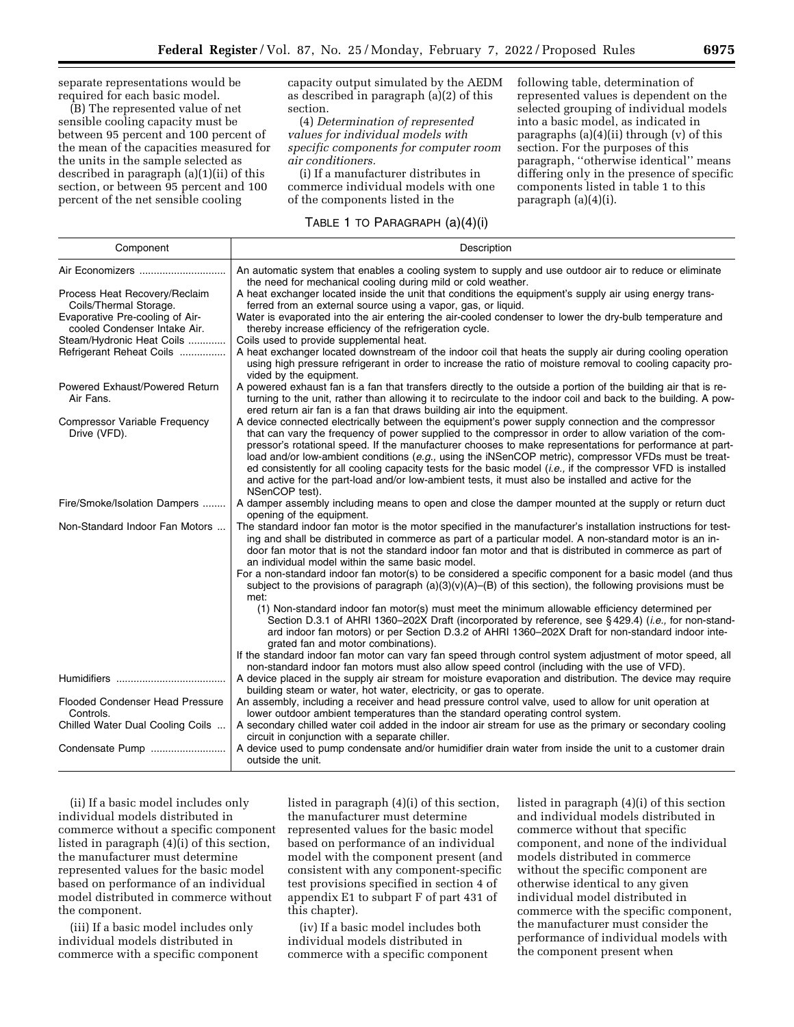separate representations would be required for each basic model.

(B) The represented value of net sensible cooling capacity must be between 95 percent and 100 percent of the mean of the capacities measured for the units in the sample selected as described in paragraph (a)(1)(ii) of this section, or between 95 percent and 100 percent of the net sensible cooling

capacity output simulated by the AEDM as described in paragraph (a)(2) of this section.

(4) *Determination of represented values for individual models with specific components for computer room air conditioners.* 

(i) If a manufacturer distributes in commerce individual models with one of the components listed in the

# TABLE 1 TO PARAGRAPH (a)(4)(i)

following table, determination of represented values is dependent on the selected grouping of individual models into a basic model, as indicated in paragraphs (a)(4)(ii) through (v) of this section. For the purposes of this paragraph, ''otherwise identical'' means differing only in the presence of specific components listed in table 1 to this paragraph (a)(4)(i).

| Component                                                       | Description                                                                                                                                                                                                                                                                                                                                                                                                                                                                                                                                                                                                                                                                         |
|-----------------------------------------------------------------|-------------------------------------------------------------------------------------------------------------------------------------------------------------------------------------------------------------------------------------------------------------------------------------------------------------------------------------------------------------------------------------------------------------------------------------------------------------------------------------------------------------------------------------------------------------------------------------------------------------------------------------------------------------------------------------|
| Air Economizers                                                 | An automatic system that enables a cooling system to supply and use outdoor air to reduce or eliminate<br>the need for mechanical cooling during mild or cold weather.                                                                                                                                                                                                                                                                                                                                                                                                                                                                                                              |
| Process Heat Recovery/Reclaim<br>Coils/Thermal Storage.         | A heat exchanger located inside the unit that conditions the equipment's supply air using energy trans-<br>ferred from an external source using a vapor, gas, or liquid.                                                                                                                                                                                                                                                                                                                                                                                                                                                                                                            |
| Evaporative Pre-cooling of Air-<br>cooled Condenser Intake Air. | Water is evaporated into the air entering the air-cooled condenser to lower the dry-bulb temperature and<br>thereby increase efficiency of the refrigeration cycle.                                                                                                                                                                                                                                                                                                                                                                                                                                                                                                                 |
| Steam/Hydronic Heat Coils                                       | Coils used to provide supplemental heat.                                                                                                                                                                                                                                                                                                                                                                                                                                                                                                                                                                                                                                            |
| Refrigerant Reheat Coils                                        | A heat exchanger located downstream of the indoor coil that heats the supply air during cooling operation<br>using high pressure refrigerant in order to increase the ratio of moisture removal to cooling capacity pro-<br>vided by the equipment.                                                                                                                                                                                                                                                                                                                                                                                                                                 |
| Powered Exhaust/Powered Return<br>Air Fans.                     | A powered exhaust fan is a fan that transfers directly to the outside a portion of the building air that is re-<br>turning to the unit, rather than allowing it to recirculate to the indoor coil and back to the building. A pow-<br>ered return air fan is a fan that draws building air into the equipment.                                                                                                                                                                                                                                                                                                                                                                      |
| Compressor Variable Frequency<br>Drive (VFD).                   | A device connected electrically between the equipment's power supply connection and the compressor<br>that can vary the frequency of power supplied to the compressor in order to allow variation of the com-<br>pressor's rotational speed. If the manufacturer chooses to make representations for performance at part-<br>load and/or low-ambient conditions (e.g., using the iNSenCOP metric), compressor VFDs must be treat-<br>ed consistently for all cooling capacity tests for the basic model ( <i>i.e.</i> , if the compressor VFD is installed<br>and active for the part-load and/or low-ambient tests, it must also be installed and active for the<br>NSenCOP test). |
| Fire/Smoke/Isolation Dampers                                    | A damper assembly including means to open and close the damper mounted at the supply or return duct<br>opening of the equipment.                                                                                                                                                                                                                                                                                                                                                                                                                                                                                                                                                    |
| Non-Standard Indoor Fan Motors                                  | The standard indoor fan motor is the motor specified in the manufacturer's installation instructions for test-<br>ing and shall be distributed in commerce as part of a particular model. A non-standard motor is an in-<br>door fan motor that is not the standard indoor fan motor and that is distributed in commerce as part of<br>an individual model within the same basic model.                                                                                                                                                                                                                                                                                             |
|                                                                 | For a non-standard indoor fan motor(s) to be considered a specific component for a basic model (and thus<br>subject to the provisions of paragraph $(a)(3)(v)(A)$ –(B) of this section), the following provisions must be<br>met:                                                                                                                                                                                                                                                                                                                                                                                                                                                   |
|                                                                 | (1) Non-standard indoor fan motor(s) must meet the minimum allowable efficiency determined per<br>Section D.3.1 of AHRI 1360–202X Draft (incorporated by reference, see §429.4) ( <i>i.e.</i> , for non-stand-<br>ard indoor fan motors) or per Section D.3.2 of AHRI 1360-202X Draft for non-standard indoor inte-<br>grated fan and motor combinations).                                                                                                                                                                                                                                                                                                                          |
|                                                                 | If the standard indoor fan motor can vary fan speed through control system adjustment of motor speed, all<br>non-standard indoor fan motors must also allow speed control (including with the use of VFD).                                                                                                                                                                                                                                                                                                                                                                                                                                                                          |
|                                                                 | A device placed in the supply air stream for moisture evaporation and distribution. The device may require<br>building steam or water, hot water, electricity, or gas to operate.                                                                                                                                                                                                                                                                                                                                                                                                                                                                                                   |
| Flooded Condenser Head Pressure<br>Controls.                    | An assembly, including a receiver and head pressure control valve, used to allow for unit operation at<br>lower outdoor ambient temperatures than the standard operating control system.                                                                                                                                                                                                                                                                                                                                                                                                                                                                                            |
| Chilled Water Dual Cooling Coils                                | A secondary chilled water coil added in the indoor air stream for use as the primary or secondary cooling<br>circuit in conjunction with a separate chiller.                                                                                                                                                                                                                                                                                                                                                                                                                                                                                                                        |
| Condensate Pump                                                 | A device used to pump condensate and/or humidifier drain water from inside the unit to a customer drain<br>outside the unit.                                                                                                                                                                                                                                                                                                                                                                                                                                                                                                                                                        |

(ii) If a basic model includes only individual models distributed in commerce without a specific component listed in paragraph  $(4)(i)$  of this section, the manufacturer must determine represented values for the basic model based on performance of an individual model distributed in commerce without the component.

(iii) If a basic model includes only individual models distributed in commerce with a specific component

listed in paragraph (4)(i) of this section, the manufacturer must determine represented values for the basic model based on performance of an individual model with the component present (and consistent with any component-specific test provisions specified in section 4 of appendix E1 to subpart F of part 431 of this chapter).

(iv) If a basic model includes both individual models distributed in commerce with a specific component listed in paragraph (4)(i) of this section and individual models distributed in commerce without that specific component, and none of the individual models distributed in commerce without the specific component are otherwise identical to any given individual model distributed in commerce with the specific component, the manufacturer must consider the performance of individual models with the component present when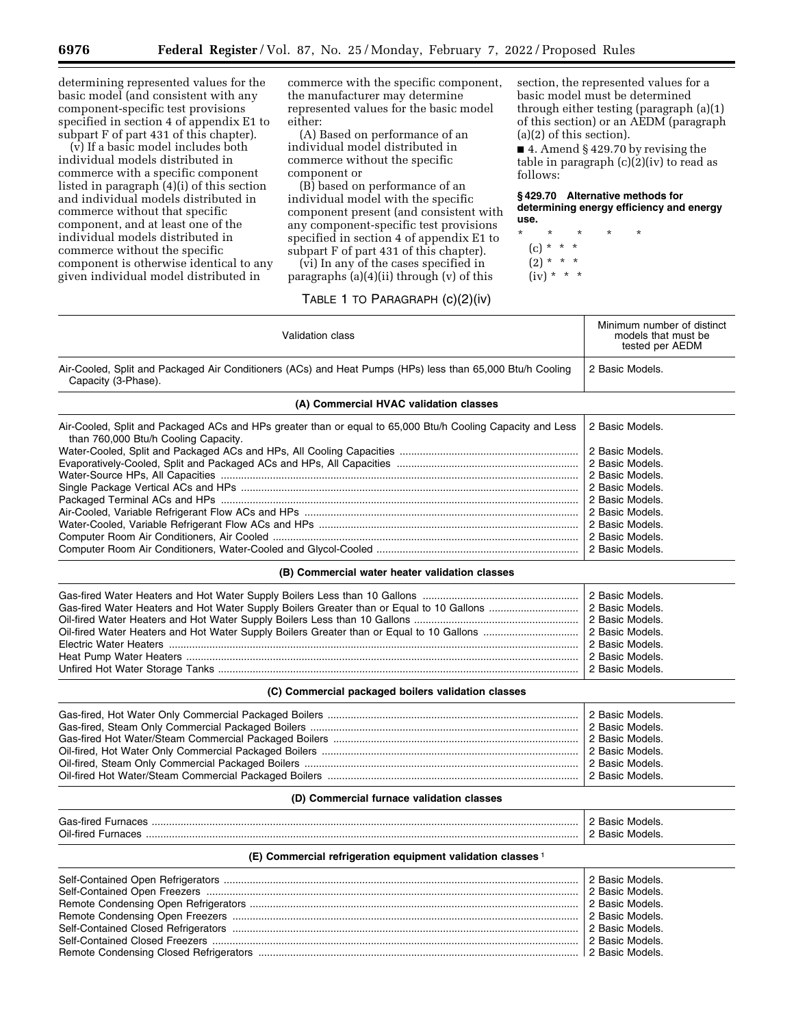determining represented values for the basic model (and consistent with any component-specific test provisions specified in section 4 of appendix E1 to subpart F of part 431 of this chapter).

(v) If a basic model includes both individual models distributed in commerce with a specific component listed in paragraph (4)(i) of this section and individual models distributed in commerce without that specific component, and at least one of the individual models distributed in commerce without the specific component is otherwise identical to any given individual model distributed in

commerce with the specific component, the manufacturer may determine represented values for the basic model either:

(A) Based on performance of an individual model distributed in commerce without the specific component or

(B) based on performance of an individual model with the specific component present (and consistent with any component-specific test provisions specified in section 4 of appendix E1 to subpart F of part 431 of this chapter).

(vi) In any of the cases specified in paragraphs (a)(4)(ii) through (v) of this

# TABLE 1 TO PARAGRAPH (c)(2)(iv)

section, the represented values for a basic model must be determined through either testing (paragraph (a)(1) of this section) or an AEDM (paragraph (a)(2) of this section).

■ 4. Amend § 429.70 by revising the table in paragraph (c)(2)(iv) to read as follows:

**§ 429.70 Alternative methods for determining energy efficiency and energy use.** 

- \* \* \* \* \* (c) \* \* \*  $(2) * * * *$ 
	- $(iv) * * * *$

| Validation class                                                                                                                                   | Minimum number of distinct<br>models that must be<br>tested per AEDM |  |
|----------------------------------------------------------------------------------------------------------------------------------------------------|----------------------------------------------------------------------|--|
| Air-Cooled, Split and Packaged Air Conditioners (ACs) and Heat Pumps (HPs) less than 65,000 Btu/h Cooling<br>Capacity (3-Phase).                   | 2 Basic Models.                                                      |  |
| (A) Commercial HVAC validation classes                                                                                                             |                                                                      |  |
| Air-Cooled, Split and Packaged ACs and HPs greater than or equal to 65,000 Btu/h Cooling Capacity and Less<br>than 760,000 Btu/h Cooling Capacity. | 2 Basic Models.                                                      |  |
|                                                                                                                                                    | 2 Basic Models.                                                      |  |
|                                                                                                                                                    | 2 Basic Models.                                                      |  |
|                                                                                                                                                    | 2 Basic Models.                                                      |  |
|                                                                                                                                                    | 2 Basic Models.                                                      |  |
|                                                                                                                                                    | 2 Basic Models.                                                      |  |
|                                                                                                                                                    | 2 Basic Models.                                                      |  |
|                                                                                                                                                    | 2 Basic Models.                                                      |  |
|                                                                                                                                                    | 2 Basic Models.                                                      |  |
|                                                                                                                                                    | 2 Basic Models.                                                      |  |
| (B) Commercial water heater validation classes                                                                                                     |                                                                      |  |

| 2 Basic Models. |
|-----------------|
| 2 Basic Models. |
|                 |

# **(C) Commercial packaged boilers validation classes**

# **(D) Commercial furnace validation classes**

| Gas-fire<br>.       | . |
|---------------------|---|
| $\cap$ il_fire<br>. | . |

# **(E) Commercial refrigeration equipment validation classes** 1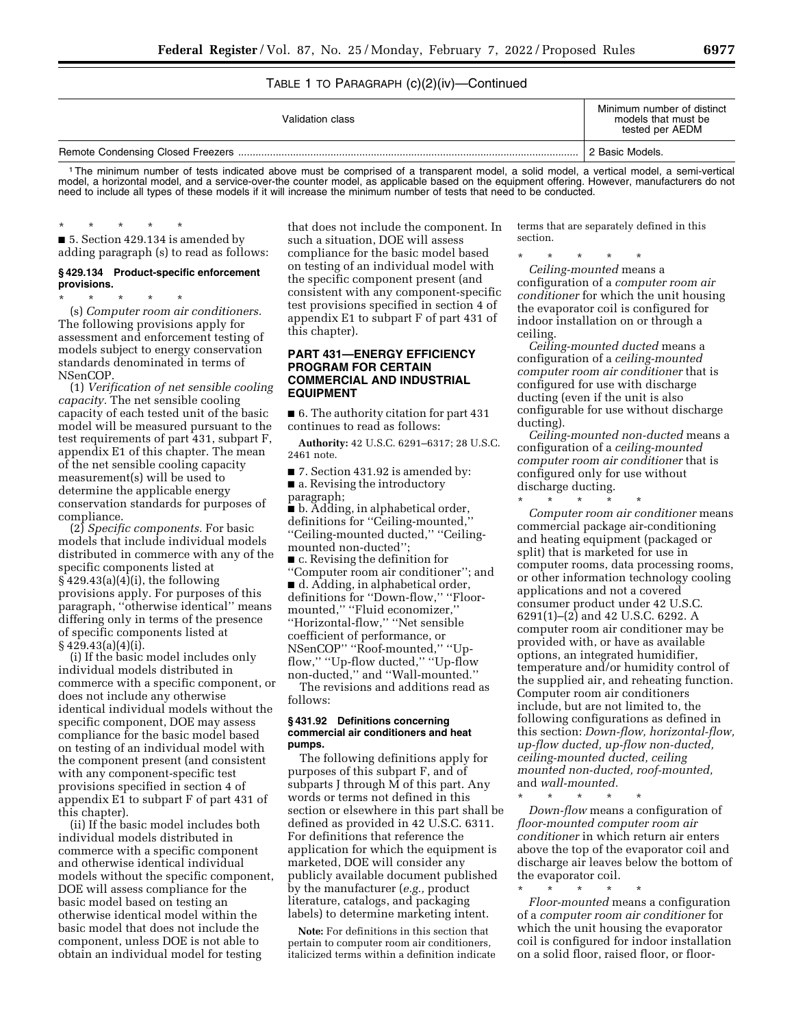### TABLE 1 TO PARAGRAPH (c)(2)(iv)—Continued

| Validation class | Minimum number of distinct<br>models that must be<br>tested per AEDM |
|------------------|----------------------------------------------------------------------|
|                  | 2 Basic Models.                                                      |

1The minimum number of tests indicated above must be comprised of a transparent model, a solid model, a vertical model, a semi-vertical model, a horizontal model, and a service-over-the counter model, as applicable based on the equipment offering. However, manufacturers do not need to include all types of these models if it will increase the minimum number of tests that need to be conducted.

### \* \* \* \* \*

■ 5. Section 429.134 is amended by adding paragraph (s) to read as follows:

#### **§ 429.134 Product-specific enforcement provisions.**

\* \* \* \* \* (s) *Computer room air conditioners.*  The following provisions apply for assessment and enforcement testing of models subject to energy conservation standards denominated in terms of NSenCOP.

(1) *Verification of net sensible cooling capacity.* The net sensible cooling capacity of each tested unit of the basic model will be measured pursuant to the test requirements of part 431, subpart F, appendix E1 of this chapter. The mean of the net sensible cooling capacity measurement(s) will be used to determine the applicable energy conservation standards for purposes of compliance.

(2) *Specific components.* For basic models that include individual models distributed in commerce with any of the specific components listed at  $\S 429.43(a)(4)(i)$ , the following provisions apply. For purposes of this paragraph, ''otherwise identical'' means differing only in terms of the presence of specific components listed at § 429.43(a)(4)(i).

(i) If the basic model includes only individual models distributed in commerce with a specific component, or does not include any otherwise identical individual models without the specific component, DOE may assess compliance for the basic model based on testing of an individual model with the component present (and consistent with any component-specific test provisions specified in section 4 of appendix E1 to subpart F of part 431 of this chapter).

(ii) If the basic model includes both individual models distributed in commerce with a specific component and otherwise identical individual models without the specific component, DOE will assess compliance for the basic model based on testing an otherwise identical model within the basic model that does not include the component, unless DOE is not able to obtain an individual model for testing

that does not include the component. In such a situation, DOE will assess compliance for the basic model based on testing of an individual model with the specific component present (and consistent with any component-specific test provisions specified in section 4 of appendix E1 to subpart F of part 431 of this chapter).

### **PART 431—ENERGY EFFICIENCY PROGRAM FOR CERTAIN COMMERCIAL AND INDUSTRIAL EQUIPMENT**

■ 6. The authority citation for part 431 continues to read as follows:

**Authority:** 42 U.S.C. 6291–6317; 28 U.S.C. 2461 note.

■ 7. Section 431.92 is amended by: ■ a. Revising the introductory paragraph;

■ b. Adding, in alphabetical order, definitions for ''Ceiling-mounted,'' ''Ceiling-mounted ducted,'' ''Ceilingmounted non-ducted'';

■ c. Revising the definition for ''Computer room air conditioner''; and ■ d. Adding, in alphabetical order, definitions for ''Down-flow,'' ''Floormounted,'' ''Fluid economizer,'' ''Horizontal-flow,'' ''Net sensible coefficient of performance, or NSenCOP'' ''Roof-mounted,'' ''Upflow,'' ''Up-flow ducted,'' ''Up-flow non-ducted,'' and ''Wall-mounted.'' The revisions and additions read as follows:

#### **§ 431.92 Definitions concerning commercial air conditioners and heat pumps.**

The following definitions apply for purposes of this subpart F, and of subparts J through M of this part. Any words or terms not defined in this section or elsewhere in this part shall be defined as provided in 42 U.S.C. 6311. For definitions that reference the application for which the equipment is marketed, DOE will consider any publicly available document published by the manufacturer (*e.g.,* product literature, catalogs, and packaging labels) to determine marketing intent.

**Note:** For definitions in this section that pertain to computer room air conditioners, italicized terms within a definition indicate terms that are separately defined in this section.

\* \* \* \* \*

*Ceiling-mounted* means a configuration of a *computer room air conditioner* for which the unit housing the evaporator coil is configured for indoor installation on or through a ceiling.

*Ceiling-mounted ducted* means a configuration of a *ceiling-mounted computer room air conditioner* that is configured for use with discharge ducting (even if the unit is also configurable for use without discharge ducting).

*Ceiling-mounted non-ducted* means a configuration of a *ceiling-mounted computer room air conditioner* that is configured only for use without discharge ducting.

\* \* \* \* \*

*Computer room air conditioner* means commercial package air-conditioning and heating equipment (packaged or split) that is marketed for use in computer rooms, data processing rooms, or other information technology cooling applications and not a covered consumer product under 42 U.S.C. 6291(1)–(2) and 42 U.S.C. 6292. A computer room air conditioner may be provided with, or have as available options, an integrated humidifier, temperature and/or humidity control of the supplied air, and reheating function. Computer room air conditioners include, but are not limited to, the following configurations as defined in this section: *Down-flow, horizontal-flow, up-flow ducted, up-flow non-ducted, ceiling-mounted ducted, ceiling mounted non-ducted, roof-mounted,*  and *wall-mounted.* 

\* \* \* \* \*

*Down-flow* means a configuration of *floor-mounted computer room air conditioner* in which return air enters above the top of the evaporator coil and discharge air leaves below the bottom of the evaporator coil.

\* \* \* \* \* *Floor-mounted* means a configuration of a *computer room air conditioner* for which the unit housing the evaporator coil is configured for indoor installation on a solid floor, raised floor, or floor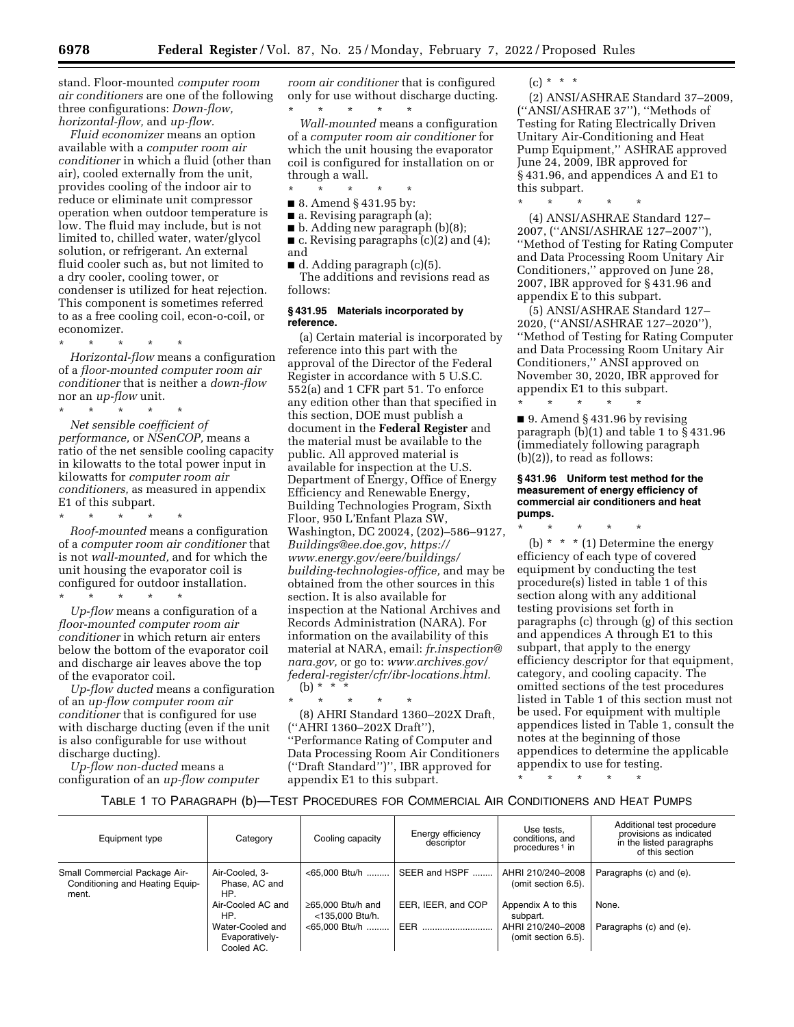stand. Floor-mounted *computer room air conditioners* are one of the following three configurations: *Down-flow, horizontal-flow,* and *up-flow.* 

*Fluid economizer* means an option available with a *computer room air conditioner* in which a fluid (other than air), cooled externally from the unit, provides cooling of the indoor air to reduce or eliminate unit compressor operation when outdoor temperature is low. The fluid may include, but is not limited to, chilled water, water/glycol solution, or refrigerant. An external fluid cooler such as, but not limited to a dry cooler, cooling tower, or condenser is utilized for heat rejection. This component is sometimes referred to as a free cooling coil, econ-o-coil, or economizer.

\* \* \* \* \* *Horizontal-flow* means a configuration of a *floor-mounted computer room air conditioner* that is neither a *down-flow*  nor an *up-flow* unit.

\* \* \* \* \* *Net sensible coefficient of performance,* or *NSenCOP,* means a ratio of the net sensible cooling capacity in kilowatts to the total power input in kilowatts for *computer room air conditioners,* as measured in appendix E1 of this subpart.

\* \* \* \* \* *Roof-mounted* means a configuration of a *computer room air conditioner* that is not *wall-mounted,* and for which the unit housing the evaporator coil is configured for outdoor installation.

\* \* \* \* \* *Up-flow* means a configuration of a *floor-mounted computer room air conditioner* in which return air enters below the bottom of the evaporator coil and discharge air leaves above the top of the evaporator coil.

*Up-flow ducted* means a configuration of an *up-flow computer room air conditioner* that is configured for use with discharge ducting (even if the unit is also configurable for use without discharge ducting).

*Up-flow non-ducted* means a configuration of an *up-flow computer* 

*room air conditioner* that is configured only for use without discharge ducting.

\* \* \* \* \* *Wall-mounted* means a configuration of a *computer room air conditioner* for which the unit housing the evaporator coil is configured for installation on or through a wall.

\* \* \* \* \*

■ 8. Amend § 431.95 by:

■ a. Revising paragraph (a);

■ b. Adding new paragraph (b)(8);

■ c. Revising paragraphs (c)(2) and (4); and

■ d. Adding paragraph (c)(5). The additions and revisions read as follows:

### **§ 431.95 Materials incorporated by reference.**

(a) Certain material is incorporated by reference into this part with the approval of the Director of the Federal Register in accordance with 5 U.S.C. 552(a) and 1 CFR part 51. To enforce any edition other than that specified in this section, DOE must publish a document in the **Federal Register** and the material must be available to the public. All approved material is available for inspection at the U.S. Department of Energy, Office of Energy Efficiency and Renewable Energy, Building Technologies Program, Sixth Floor, 950 L'Enfant Plaza SW, Washington, DC 20024, (202)–586–9127, *[Buildings@ee.doe.gov](mailto:Buildings@ee.doe.gov)*, *[https://](https://www.energy.gov/eere/buildings/building-technologies-office) [www.energy.gov/eere/buildings/](https://www.energy.gov/eere/buildings/building-technologies-office)  [building-technologies-office,](https://www.energy.gov/eere/buildings/building-technologies-office)* and may be obtained from the other sources in this section. It is also available for inspection at the National Archives and Records Administration (NARA). For information on the availability of this material at NARA, email: *[fr.inspection@](mailto:fr.inspection@nara.gov) [nara.gov,](mailto:fr.inspection@nara.gov)* or go to: *[www.archives.gov/](http://www.archives.gov/federal-register/cfr/ibr-locations.html) [federal-register/cfr/ibr-locations.html.](http://www.archives.gov/federal-register/cfr/ibr-locations.html)*   $(b) *$ 

\* \* \* \* \* (8) AHRI Standard 1360–202X Draft, (''AHRI 1360–202X Draft''), ''Performance Rating of Computer and Data Processing Room Air Conditioners (''Draft Standard'')'', IBR approved for appendix E1 to this subpart.

 $(c) * * * *$ 

(2) ANSI/ASHRAE Standard 37–2009, (''ANSI/ASHRAE 37''), ''Methods of Testing for Rating Electrically Driven Unitary Air-Conditioning and Heat Pump Equipment,'' ASHRAE approved June 24, 2009, IBR approved for § 431.96, and appendices A and E1 to this subpart.

\* \* \* \* \*

(4) ANSI/ASHRAE Standard 127– 2007, (''ANSI/ASHRAE 127–2007''), ''Method of Testing for Rating Computer and Data Processing Room Unitary Air Conditioners,'' approved on June 28, 2007, IBR approved for § 431.96 and appendix E to this subpart.

(5) ANSI/ASHRAE Standard 127– 2020, (''ANSI/ASHRAE 127–2020''), ''Method of Testing for Rating Computer and Data Processing Room Unitary Air Conditioners,'' ANSI approved on November 30, 2020, IBR approved for appendix E1 to this subpart.

\* \* \* \* \* ■ 9. Amend § 431.96 by revising paragraph (b)(1) and table 1 to § 431.96 (immediately following paragraph (b)(2)), to read as follows:

#### **§ 431.96 Uniform test method for the measurement of energy efficiency of commercial air conditioners and heat pumps.**

\* \* \* \* \* (b)  $*$   $*$   $*$  (1) Determine the energy efficiency of each type of covered equipment by conducting the test procedure(s) listed in table 1 of this section along with any additional testing provisions set forth in paragraphs (c) through (g) of this section and appendices A through E1 to this subpart, that apply to the energy efficiency descriptor for that equipment, category, and cooling capacity. The omitted sections of the test procedures listed in Table 1 of this section must not be used. For equipment with multiple appendices listed in Table 1, consult the notes at the beginning of those appendices to determine the applicable appendix to use for testing.

\* \* \* \* \*

### TABLE 1 TO PARAGRAPH (b)—TEST PROCEDURES FOR COMMERCIAL AIR CONDITIONERS AND HEAT PUMPS

| Equipment type                                                            | Category                                         | Cooling capacity                           | Energy efficiency<br>descriptor | Use tests,<br>conditions, and<br>procedures <sup>1</sup> in | Additional test procedure<br>provisions as indicated<br>in the listed paragraphs<br>of this section |
|---------------------------------------------------------------------------|--------------------------------------------------|--------------------------------------------|---------------------------------|-------------------------------------------------------------|-----------------------------------------------------------------------------------------------------|
| Small Commercial Package Air-<br>Conditioning and Heating Equip-<br>ment. | Air-Cooled, 3-<br>Phase, AC and<br>HP.           | <65,000 Btu/h                              | SEER and HSPF                   | AHRI 210/240-2008<br>(omit section 6.5).                    | Paragraphs (c) and (e).                                                                             |
|                                                                           | Air-Cooled AC and<br>HP.                         | $\geq$ 65.000 Btu/h and<br><135,000 Btu/h. | EER, IEER, and COP              | Appendix A to this<br>subpart.                              | None.                                                                                               |
|                                                                           | Water-Cooled and<br>Evaporatively-<br>Cooled AC. | <65,000 Btu/h                              | <b>EER</b>                      | AHRI 210/240-2008<br>(omit section 6.5).                    | Paragraphs (c) and (e).                                                                             |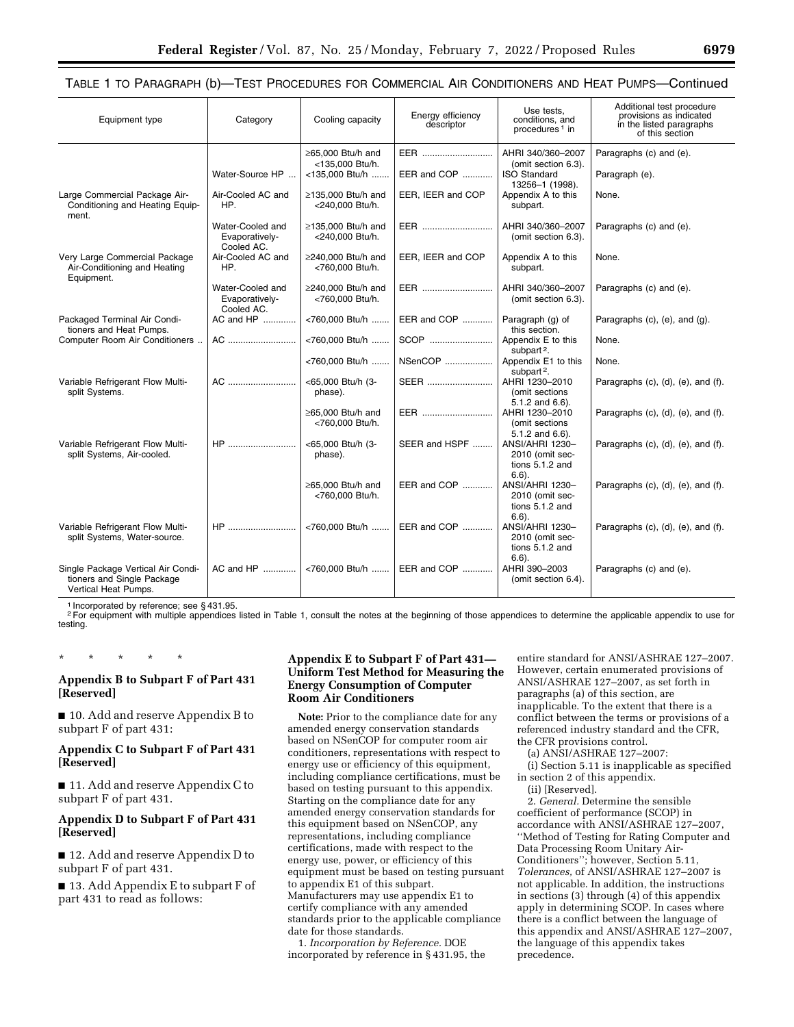TABLE 1 TO PARAGRAPH (b)—TEST PROCEDURES FOR COMMERCIAL AIR CONDITIONERS AND HEAT PUMPS—Continued

| Equipment type                                                                           | Category                                         | Cooling capacity                            | Energy efficiency<br>descriptor | Use tests,<br>conditions, and<br>procedures <sup>1</sup> in                   | Additional test procedure<br>provisions as indicated<br>in the listed paragraphs<br>of this section |
|------------------------------------------------------------------------------------------|--------------------------------------------------|---------------------------------------------|---------------------------------|-------------------------------------------------------------------------------|-----------------------------------------------------------------------------------------------------|
|                                                                                          |                                                  | ≥65,000 Btu/h and                           | EER                             | AHRI 340/360-2007                                                             | Paragraphs (c) and (e).                                                                             |
|                                                                                          | Water-Source HP                                  | <135.000 Btu/h.<br><135,000 Btu/h           | EER and COP                     | (omit section 6.3).<br><b>ISO Standard</b><br>13256-1 (1998).                 | Paragraph (e).                                                                                      |
| Large Commercial Package Air-<br>Conditioning and Heating Equip-<br>ment.                | Air-Cooled AC and<br>HP.                         | $\geq$ 135,000 Btu/h and<br><240,000 Btu/h. | EER, IEER and COP               | Appendix A to this<br>subpart.                                                | None.                                                                                               |
|                                                                                          | Water-Cooled and<br>Evaporatively-<br>Cooled AC. | $\geq$ 135.000 Btu/h and<br><240,000 Btu/h. | EER                             | AHRI 340/360-2007<br>(omit section 6.3).                                      | Paragraphs (c) and (e).                                                                             |
| Very Large Commercial Package<br>Air-Conditioning and Heating<br>Equipment.              | Air-Cooled AC and<br>HP.                         | $\geq$ 240.000 Btu/h and<br><760,000 Btu/h. | EER, IEER and COP               | Appendix A to this<br>subpart.                                                | None.                                                                                               |
|                                                                                          | Water-Cooled and<br>Evaporatively-<br>Cooled AC. | $\geq$ 240.000 Btu/h and<br><760,000 Btu/h. | EER                             | AHRI 340/360-2007<br>(omit section 6.3).                                      | Paragraphs (c) and (e).                                                                             |
| Packaged Terminal Air Condi-<br>tioners and Heat Pumps.                                  | AC and HP                                        | <760,000 Btu/h                              | EER and COP                     | Paragraph (g) of<br>this section.                                             | Paragraphs $(c)$ , $(e)$ , and $(q)$ .                                                              |
| Computer Room Air Conditioners                                                           | AC                                               | <760,000 Btu/h                              | SCOP                            | Appendix E to this                                                            | None.                                                                                               |
|                                                                                          |                                                  | <760,000 Btu/h                              | NSenCOP                         | subpart <sup>2</sup> .<br>Appendix E1 to this<br>subpart <sup>2</sup> .       | None.                                                                                               |
| Variable Refrigerant Flow Multi-<br>split Systems.                                       | AC                                               | <65,000 Btu/h (3-<br>phase).                | SEER                            | AHRI 1230-2010<br>(omit sections)                                             | Paragraphs (c), (d), (e), and (f).                                                                  |
|                                                                                          |                                                  | ≥65,000 Btu/h and<br><760,000 Btu/h.        | EER                             | $5.1.2$ and $6.6$ ).<br>AHRI 1230-2010<br>(omit sections                      | Paragraphs (c), (d), (e), and (f).                                                                  |
| Variable Refrigerant Flow Multi-<br>split Systems, Air-cooled.                           | HP                                               | <65,000 Btu/h (3-<br>phase).                | SEER and HSPF                   | $5.1.2$ and $6.6$ ).<br>ANSI/AHRI 1230-<br>2010 (omit sec-<br>tions 5.1.2 and | Paragraphs (c), (d), (e), and (f).                                                                  |
|                                                                                          |                                                  | ≥65,000 Btu/h and<br><760,000 Btu/h.        | EER and COP                     | $6.6$ ).<br>ANSI/AHRI 1230-<br>2010 (omit sec-<br>tions 5.1.2 and             | Paragraphs (c), (d), (e), and (f).                                                                  |
| Variable Refrigerant Flow Multi-<br>split Systems, Water-source.                         |                                                  | <760,000 Btu/h                              | EER and COP                     | $6.6$ ).<br>ANSI/AHRI 1230-<br>2010 (omit sec-                                | Paragraphs (c), (d), (e), and (f).                                                                  |
| Single Package Vertical Air Condi-<br>tioners and Single Package<br>Vertical Heat Pumps. | AC and HP                                        |                                             | <760,000 Btu/h  EER and COP     | tions $5.1.2$ and<br>$6.6$ ).<br>AHRI 390-2003<br>(omit section 6.4).         | Paragraphs (c) and (e).                                                                             |

1 Incorporated by reference; see § 431.95.

\* \* \* \* \*

<sup>2</sup> For equipment with multiple appendices listed in Table 1, consult the notes at the beginning of those appendices to determine the applicable appendix to use for testing.

### **Appendix B to Subpart F of Part 431 [Reserved]**

■ 10. Add and reserve Appendix B to subpart F of part 431:

### **Appendix C to Subpart F of Part 431 [Reserved]**

■ 11. Add and reserve Appendix C to subpart F of part 431.

# **Appendix D to Subpart F of Part 431 [Reserved]**

■ 12. Add and reserve Appendix D to subpart F of part 431.

■ 13. Add Appendix E to subpart F of part 431 to read as follows:

### **Appendix E to Subpart F of Part 431— Uniform Test Method for Measuring the Energy Consumption of Computer Room Air Conditioners**

**Note:** Prior to the compliance date for any amended energy conservation standards based on NSenCOP for computer room air conditioners, representations with respect to energy use or efficiency of this equipment, including compliance certifications, must be based on testing pursuant to this appendix. Starting on the compliance date for any amended energy conservation standards for this equipment based on NSenCOP, any representations, including compliance certifications, made with respect to the energy use, power, or efficiency of this equipment must be based on testing pursuant to appendix E1 of this subpart. Manufacturers may use appendix E1 to certify compliance with any amended standards prior to the applicable compliance date for those standards.

1. *Incorporation by Reference.* DOE incorporated by reference in § 431.95, the

entire standard for ANSI/ASHRAE 127–2007. However, certain enumerated provisions of ANSI/ASHRAE 127–2007, as set forth in paragraphs (a) of this section, are inapplicable. To the extent that there is a conflict between the terms or provisions of a referenced industry standard and the CFR, the CFR provisions control.

(a) ANSI/ASHRAE 127–2007:

(i) Section 5.11 is inapplicable as specified in section 2 of this appendix.

(ii) [Reserved].

2. *General.* Determine the sensible coefficient of performance (SCOP) in accordance with ANSI/ASHRAE 127–2007, ''Method of Testing for Rating Computer and Data Processing Room Unitary Air-Conditioners''; however, Section 5.11, *Tolerances,* of ANSI/ASHRAE 127–2007 is not applicable. In addition, the instructions in sections (3) through (4) of this appendix apply in determining SCOP. In cases where there is a conflict between the language of this appendix and ANSI/ASHRAE 127–2007, the language of this appendix takes precedence.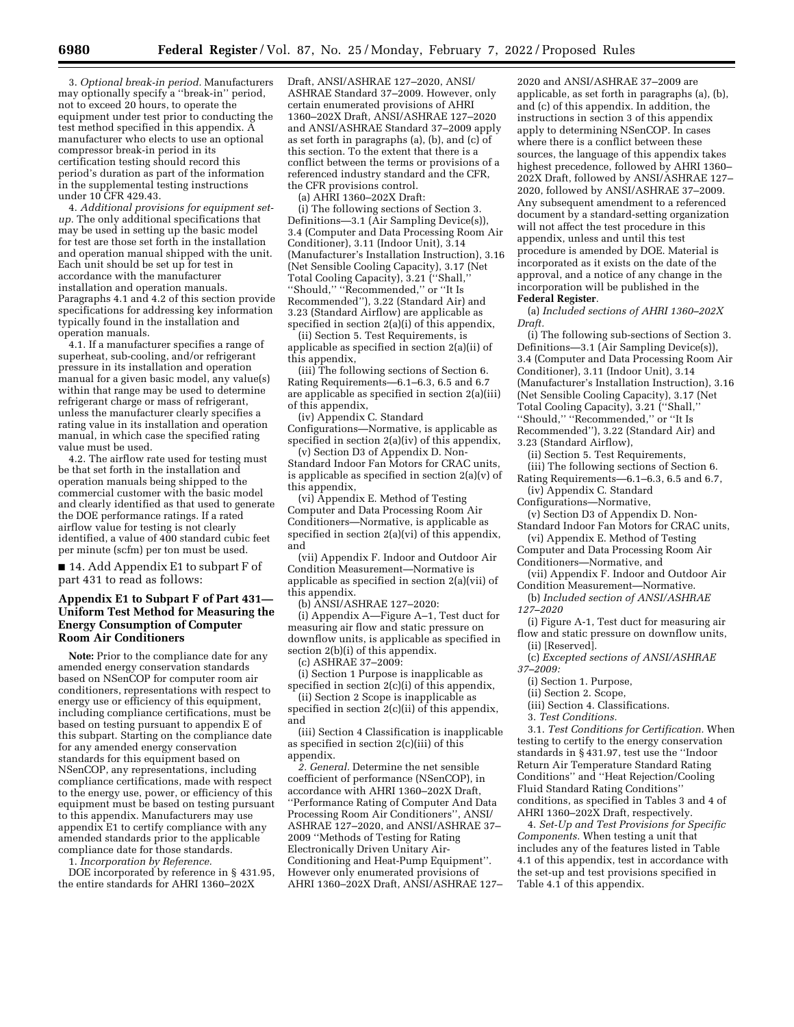3. *Optional break-in period.* Manufacturers may optionally specify a ''break-in'' period, not to exceed 20 hours, to operate the equipment under test prior to conducting the test method specified in this appendix. A manufacturer who elects to use an optional compressor break-in period in its certification testing should record this period's duration as part of the information in the supplemental testing instructions under 10 CFR 429.43.

4. *Additional provisions for equipment setup.* The only additional specifications that may be used in setting up the basic model for test are those set forth in the installation and operation manual shipped with the unit. Each unit should be set up for test in accordance with the manufacturer installation and operation manuals. Paragraphs 4.1 and 4.2 of this section provide specifications for addressing key information typically found in the installation and operation manuals.

4.1. If a manufacturer specifies a range of superheat, sub-cooling, and/or refrigerant pressure in its installation and operation manual for a given basic model, any value(s) within that range may be used to determine refrigerant charge or mass of refrigerant, unless the manufacturer clearly specifies a rating value in its installation and operation manual, in which case the specified rating value must be used.

4.2. The airflow rate used for testing must be that set forth in the installation and operation manuals being shipped to the commercial customer with the basic model and clearly identified as that used to generate the DOE performance ratings. If a rated airflow value for testing is not clearly identified, a value of 400 standard cubic feet per minute (scfm) per ton must be used.

■ 14. Add Appendix E1 to subpart F of part 431 to read as follows:

### **Appendix E1 to Subpart F of Part 431— Uniform Test Method for Measuring the Energy Consumption of Computer Room Air Conditioners**

**Note:** Prior to the compliance date for any amended energy conservation standards based on NSenCOP for computer room air conditioners, representations with respect to energy use or efficiency of this equipment, including compliance certifications, must be based on testing pursuant to appendix E of this subpart. Starting on the compliance date for any amended energy conservation standards for this equipment based on NSenCOP, any representations, including compliance certifications, made with respect to the energy use, power, or efficiency of this equipment must be based on testing pursuant to this appendix. Manufacturers may use appendix E1 to certify compliance with any amended standards prior to the applicable compliance date for those standards.

1. *Incorporation by Reference.* 

DOE incorporated by reference in § 431.95, the entire standards for AHRI 1360–202X

Draft, ANSI/ASHRAE 127–2020, ANSI/ ASHRAE Standard 37–2009. However, only certain enumerated provisions of AHRI 1360–202X Draft, ANSI/ASHRAE 127–2020 and ANSI/ASHRAE Standard 37–2009 apply as set forth in paragraphs (a), (b), and (c) of this section. To the extent that there is a conflict between the terms or provisions of a referenced industry standard and the CFR, the CFR provisions control.

(a) AHRI 1360–202X Draft:

(i) The following sections of Section 3. Definitions—3.1 (Air Sampling Device(s)), 3.4 (Computer and Data Processing Room Air Conditioner), 3.11 (Indoor Unit), 3.14 (Manufacturer's Installation Instruction), 3.16 (Net Sensible Cooling Capacity), 3.17 (Net Total Cooling Capacity), 3.21 (''Shall,'' ''Should,'' ''Recommended,'' or ''It Is Recommended''), 3.22 (Standard Air) and 3.23 (Standard Airflow) are applicable as specified in section 2(a)(i) of this appendix,

(ii) Section 5. Test Requirements, is applicable as specified in section 2(a)(ii) of this appendix,

(iii) The following sections of Section 6. Rating Requirements—6.1–6.3, 6.5 and 6.7 are applicable as specified in section 2(a)(iii) of this appendix,

(iv) Appendix C. Standard

Configurations—Normative, is applicable as specified in section 2(a)(iv) of this appendix,

(v) Section D3 of Appendix D. Non-Standard Indoor Fan Motors for CRAC units, is applicable as specified in section 2(a)(v) of this appendix,

(vi) Appendix E. Method of Testing Computer and Data Processing Room Air Conditioners—Normative, is applicable as specified in section 2(a)(vi) of this appendix, and

(vii) Appendix F. Indoor and Outdoor Air Condition Measurement—Normative is applicable as specified in section 2(a)(vii) of this appendix.

(b) ANSI/ASHRAE 127–2020:

(i) Appendix A—Figure A–1, Test duct for measuring air flow and static pressure on downflow units, is applicable as specified in section 2(b)(i) of this appendix.

(c) ASHRAE 37–2009:

(i) Section 1 Purpose is inapplicable as specified in section 2(c)(i) of this appendix,

(ii) Section 2 Scope is inapplicable as specified in section 2(c)(ii) of this appendix, and

(iii) Section 4 Classification is inapplicable as specified in section 2(c)(iii) of this appendix.

*2. General.* Determine the net sensible coefficient of performance (NSenCOP), in accordance with AHRI 1360–202X Draft, ''Performance Rating of Computer And Data Processing Room Air Conditioners'', ANSI/ ASHRAE 127–2020, and ANSI/ASHRAE 37– 2009 ''Methods of Testing for Rating Electronically Driven Unitary Air-Conditioning and Heat-Pump Equipment''. However only enumerated provisions of AHRI 1360–202X Draft, ANSI/ASHRAE 127–

2020 and ANSI/ASHRAE 37–2009 are applicable, as set forth in paragraphs (a), (b), and (c) of this appendix. In addition, the instructions in section 3 of this appendix apply to determining NSenCOP. In cases where there is a conflict between these sources, the language of this appendix takes highest precedence, followed by AHRI 1360– 202X Draft, followed by ANSI/ASHRAE 127– 2020, followed by ANSI/ASHRAE 37–2009. Any subsequent amendment to a referenced document by a standard-setting organization will not affect the test procedure in this appendix, unless and until this test procedure is amended by DOE. Material is incorporated as it exists on the date of the approval, and a notice of any change in the incorporation will be published in the **Federal Register**.

(a) *Included sections of AHRI 1360–202X Draft.* 

(i) The following sub-sections of Section 3. Definitions—3.1 (Air Sampling Device(s)), 3.4 (Computer and Data Processing Room Air Conditioner), 3.11 (Indoor Unit), 3.14 (Manufacturer's Installation Instruction), 3.16 (Net Sensible Cooling Capacity), 3.17 (Net Total Cooling Capacity), 3.21 (''Shall,'' ''Should,'' ''Recommended,'' or ''It Is Recommended''), 3.22 (Standard Air) and 3.23 (Standard Airflow),

(ii) Section 5. Test Requirements,

(iii) The following sections of Section 6. Rating Requirements—6.1–6.3, 6.5 and 6.7,

(iv) Appendix C. Standard Configurations—Normative,

(v) Section D3 of Appendix D. Non-

Standard Indoor Fan Motors for CRAC units, (vi) Appendix E. Method of Testing

Computer and Data Processing Room Air Conditioners—Normative, and

(vii) Appendix F. Indoor and Outdoor Air Condition Measurement—Normative.

(b) *Included section of ANSI/ASHRAE 127–2020* 

(i) Figure A-1, Test duct for measuring air flow and static pressure on downflow units, (ii) [Reserved].

(c) *Excepted sections of ANSI/ASHRAE 37–2009:* 

(i) Section 1. Purpose,

(ii) Section 2. Scope,

(iii) Section 4. Classifications.

3. *Test Conditions.* 

3.1. *Test Conditions for Certification.* When testing to certify to the energy conservation standards in § 431.97, test use the ''Indoor Return Air Temperature Standard Rating Conditions'' and ''Heat Rejection/Cooling Fluid Standard Rating Conditions'' conditions, as specified in Tables 3 and 4 of AHRI 1360–202X Draft, respectively.

4. *Set-Up and Test Provisions for Specific Components.* When testing a unit that includes any of the features listed in Table 4.1 of this appendix, test in accordance with the set-up and test provisions specified in Table 4.1 of this appendix.